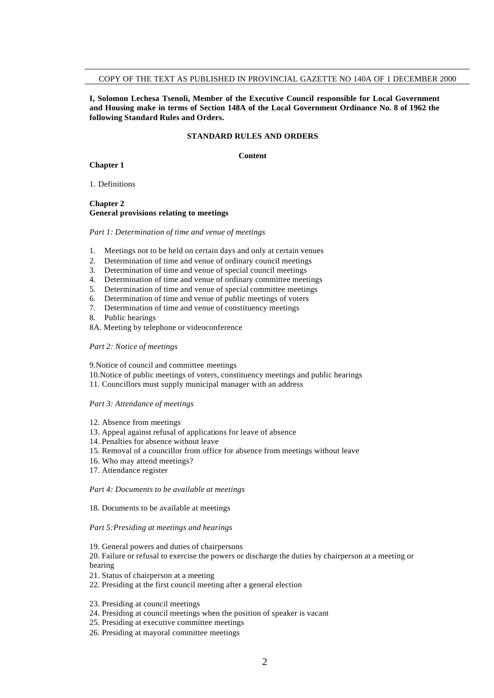## COPY OF THE TEXT AS PUBLISHED IN PROVINCIAL GAZETTE NO 140A OF 1 DECEMBER 2000

**I, Solomon Lechesa Tsenoli, Member of the Executive Council responsible for Local Government and Housing make in terms of Section 148A of the Local Government Ordinance No. 8 of 1962 the following Standard Rules and Orders.**

## **STANDARD RULES AND ORDERS**

### **Content**

**Chapter 1**

1. Definitions

## **Chapter 2 General provisions relating to meetings**

#### *Part 1: Determination of time and venue of meetings*

- 1. Meetings not to be held on certain days and only at certain venues
- 2. Determination of time and venue of ordinary council meetings
- 3. Determination of time and venue of special council meetings
- 4. Determination of time and venue of ordinary committee meetings
- 5. Determination of time and venue of special committee meetings
- 6. Determination of time and venue of public meetings of voters
- 7. Determination of time and venue of constituency meetings
- 8. Public hearings
- 8A. Meeting by telephone or videoconference

#### *Part 2: Notice of meetings*

9.Notice of council and committee meetings

- 10.Notice of public meetings of voters, constituency meetings and public hearings
- 11. Councillors must supply municipal manager with an address

#### *Part 3: Attendance of meetings*

- 12. Absence from meetings
- 13. Appeal against refusal of applications for leave of absence
- 14. Penalties for absence without leave
- 15. Removal of a councillor from office for absence from meetings without leave
- 16. Who may attend meetings?
- 17. Attendance register

#### *Part 4: Documents to be available at meetings*

#### 18. Documents to be available at meetings

#### *Part 5:Presiding at meetings and hearings*

19. General powers and duties of chairpersons

20. Failure or refusal to exercise the powers or discharge the duties by chairperson at a meeting or hearing

- 21. Status of chairperson at a meeting
- 22. Presiding at the first council meeting after a general election

23. Presiding at council meetings

- 24. Presiding at council meetings when the position of speaker is vacant
- 25. Presiding at executive committee meetings
- 26. Presiding at mayoral committee meetings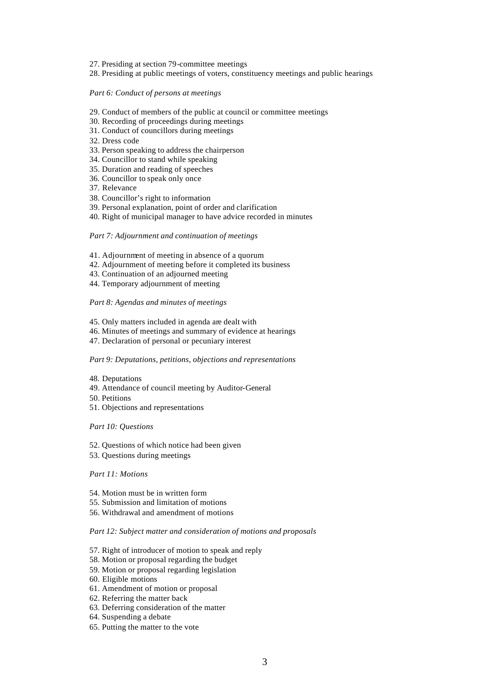- 27. Presiding at section 79-committee meetings
- 28. Presiding at public meetings of voters, constituency meetings and public hearings

#### *Part 6: Conduct of persons at meetings*

- 29. Conduct of members of the public at council or committee meetings
- 30. Recording of proceedings during meetings
- 31. Conduct of councillors during meetings
- 32. Dress code
- 33. Person speaking to address the chairperson
- 34. Councillor to stand while speaking
- 35. Duration and reading of speeches
- 36. Councillor to speak only once
- 37. Relevance
- 38. Councillor's right to information
- 39. Personal explanation, point of order and clarification
- 40. Right of municipal manager to have advice recorded in minutes

## *Part 7: Adjournment and continuation of meetings*

- 41. Adjournment of meeting in absence of a quorum
- 42. Adjournment of meeting before it completed its business
- 43. Continuation of an adjourned meeting
- 44. Temporary adjournment of meeting

#### *Part 8: Agendas and minutes of meetings*

- 45. Only matters included in agenda are dealt with
- 46. Minutes of meetings and summary of evidence at hearings
- 47. Declaration of personal or pecuniary interest

#### *Part 9: Deputations, petitions, objections and representations*

- 48. Deputations
- 49. Attendance of council meeting by Auditor-General
- 50. Petitions
- 51. Objections and representations

#### *Part 10: Questions*

- 52. Questions of which notice had been given
- 53. Questions during meetings

#### *Part 11: Motions*

- 54. Motion must be in written form
- 55. Submission and limitation of motions
- 56. Withdrawal and amendment of motions

## *Part 12: Subject matter and consideration of motions and proposals*

- 57. Right of introducer of motion to speak and reply
- 58. Motion or proposal regarding the budget
- 59. Motion or proposal regarding legislation
- 60. Eligible motions
- 61. Amendment of motion or proposal
- 62. Referring the matter back
- 63. Deferring consideration of the matter
- 64. Suspending a debate
- 65. Putting the matter to the vote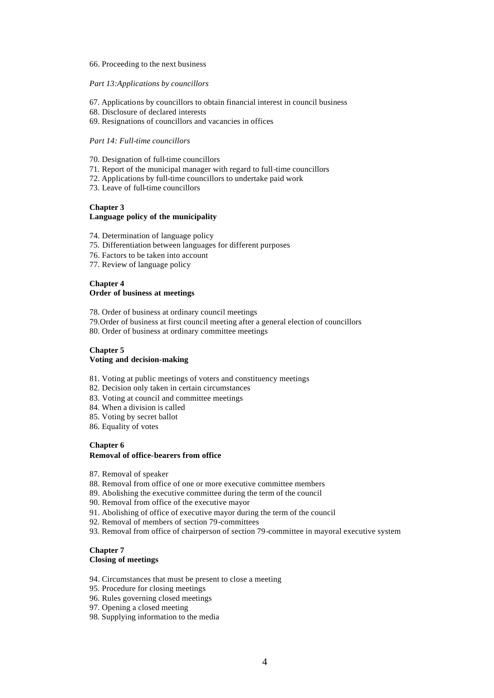#### 66. Proceeding to the next business

#### *Part 13:Applications by councillors*

- 67. Applications by councillors to obtain financial interest in council business
- 68. Disclosure of declared interests
- 69. Resignations of councillors and vacancies in offices

## *Part 14: Full-time councillors*

- 70. Designation of full-time councillors
- 71. Report of the municipal manager with regard to full-time councillors
- 72. Applications by full-time councillors to undertake paid work
- 73. Leave of full-time councillors

# **Chapter 3**

# **Language policy of the municipality**

- 74. Determination of language policy
- 75. Differentiation between languages for different purposes
- 76. Factors to be taken into account
- 77. Review of language policy

# **Chapter 4**

# **Order of business at meetings**

78. Order of business at ordinary council meetings

- 79.Order of business at first council meeting after a general election of councillors
- 80. Order of business at ordinary committee meetings

## **Chapter 5 Voting and decision-making**

- 81. Voting at public meetings of voters and constituency meetings
- 82. Decision only taken in certain circumstances
- 83. Voting at council and committee meetings
- 84. When a division is called
- 85. Voting by secret ballot
- 86. Equality of votes

# **Chapter 6 Removal of office-bearers from office**

- 87. Removal of speaker
- 88. Removal from office of one or more executive committee members
- 89. Abolishing the executive committee during the term of the council
- 90. Removal from office of the executive mayor
- 91. Abolishing of office of executive mayor during the term of the council
- 92. Removal of members of section 79-committees
- 93. Removal from office of chairperson of section 79-committee in mayoral executive system

# **Chapter 7 Closing of meetings**

- 94. Circumstances that must be present to close a meeting
- 95. Procedure for closing meetings
- 96. Rules governing closed meetings
- 97. Opening a closed meeting
- 98. Supplying information to the media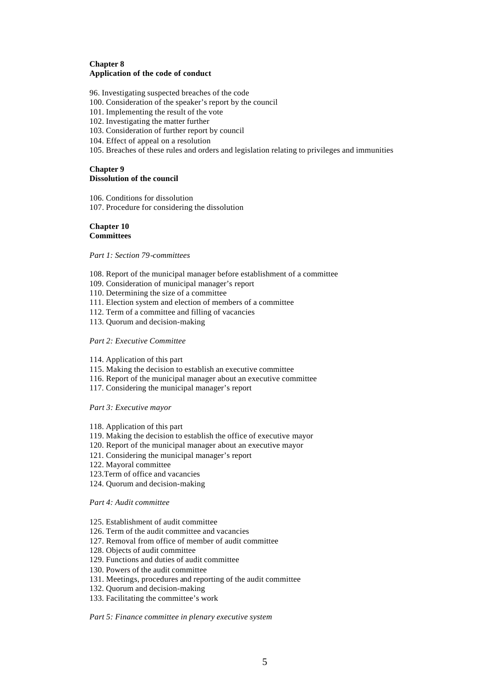# **Chapter 8 Application of the code of conduct**

96. Investigating suspected breaches of the code

- 100. Consideration of the speaker's report by the council
- 101. Implementing the result of the vote
- 102. Investigating the matter further
- 103. Consideration of further report by council
- 104. Effect of appeal on a resolution
- 105. Breaches of these rules and orders and legislation relating to privileges and immunities

# **Chapter 9**

# **Dissolution of the council**

- 106. Conditions for dissolution 107. Procedure for considering the dissolution
- 

## **Chapter 10 Committees**

*Part 1: Section 79-committees*

- 108. Report of the municipal manager before establishment of a committee
- 109. Consideration of municipal manager's report
- 110. Determining the size of a committee
- 111. Election system and election of members of a committee
- 112. Term of a committee and filling of vacancies
- 113. Quorum and decision-making

# *Part 2: Executive Committee*

- 114. Application of this part
- 115. Making the decision to establish an executive committee
- 116. Report of the municipal manager about an executive committee
- 117. Considering the municipal manager's report

*Part 3: Executive mayor*

- 118. Application of this part
- 119. Making the decision to establish the office of executive mayor
- 120. Report of the municipal manager about an executive mayor
- 121. Considering the municipal manager's report
- 122. Mayoral committee
- 123.Term of office and vacancies
- 124. Quorum and decision-making

*Part 4: Audit committee*

- 125. Establishment of audit committee
- 126. Term of the audit committee and vacancies
- 127. Removal from office of member of audit committee
- 128. Objects of audit committee
- 129. Functions and duties of audit committee
- 130. Powers of the audit committee
- 131. Meetings, procedures and reporting of the audit committee
- 132. Quorum and decision-making
- 133. Facilitating the committee's work

*Part 5: Finance committee in plenary executive system*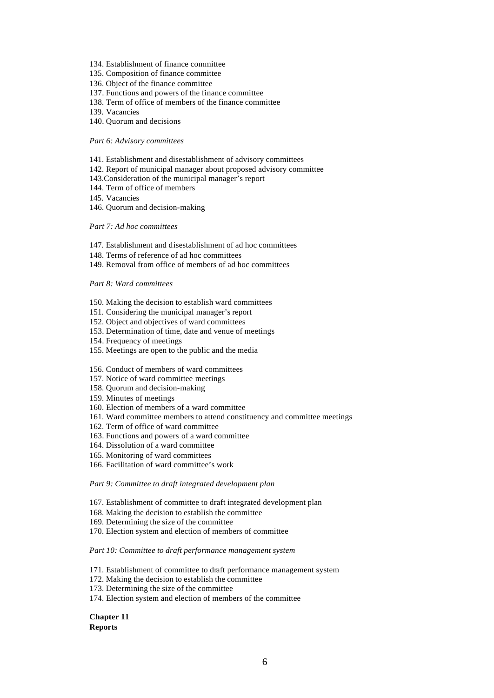- 134. Establishment of finance committee
- 135. Composition of finance committee
- 136. Object of the finance committee
- 137. Functions and powers of the finance committee
- 138. Term of office of members of the finance committee
- 139. Vacancies
- 140. Quorum and decisions

## *Part 6: Advisory committees*

- 141. Establishment and disestablishment of advisory committees
- 142. Report of municipal manager about proposed advisory committee
- 143.Consideration of the municipal manager's report
- 144. Term of office of members
- 145. Vacancies
- 146. Quorum and decision-making

# *Part 7: Ad hoc committees*

- 147. Establishment and disestablishment of ad hoc committees
- 148. Terms of reference of ad hoc committees
- 149. Removal from office of members of ad hoc committees

#### *Part 8: Ward committees*

- 150. Making the decision to establish ward committees
- 151. Considering the municipal manager's report
- 152. Object and objectives of ward committees
- 153. Determination of time, date and venue of meetings
- 154. Frequency of meetings
- 155. Meetings are open to the public and the media
- 156. Conduct of members of ward committees
- 157. Notice of ward committee meetings
- 158. Quorum and decision-making
- 159. Minutes of meetings
- 160. Election of members of a ward committee
- 161. Ward committee members to attend constituency and committee meetings
- 162. Term of office of ward committee
- 163. Functions and powers of a ward committee
- 164. Dissolution of a ward committee
- 165. Monitoring of ward committees
- 166. Facilitation of ward committee's work

*Part 9: Committee to draft integrated development plan*

- 167. Establishment of committee to draft integrated development plan
- 168. Making the decision to establish the committee
- 169. Determining the size of the committee
- 170. Election system and election of members of committee

*Part 10: Committee to draft performance management system*

- 171. Establishment of committee to draft performance management system
- 172. Making the decision to establish the committee
- 173. Determining the size of the committee
- 174. Election system and election of members of the committee

**Chapter 11 Reports**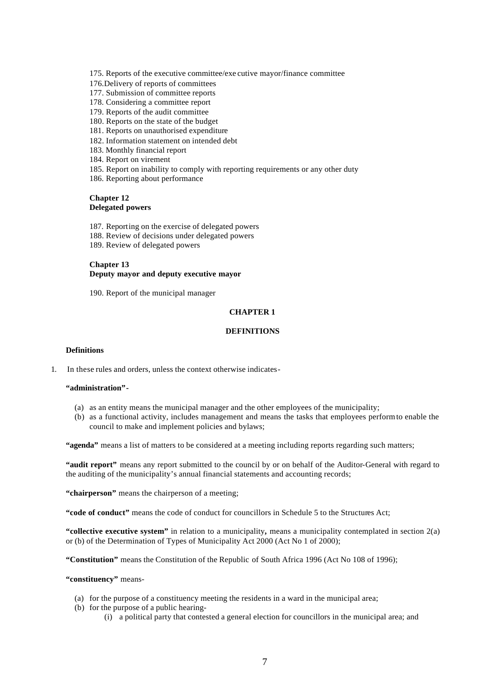175. Reports of the executive committee/exe cutive mayor/finance committee

- 176.Delivery of reports of committees
- 177. Submission of committee reports
- 178. Considering a committee report
- 179. Reports of the audit committee
- 180. Reports on the state of the budget
- 181. Reports on unauthorised expenditure
- 182. Information statement on intended debt
- 183. Monthly financial report
- 184. Report on virement
- 185. Report on inability to comply with reporting requirements or any other duty
- 186. Reporting about performance

# **Chapter 12 Delegated powers**

187. Reporting on the exercise of delegated powers 188. Review of decisions under delegated powers 189. Review of delegated powers

### **Chapter 13 Deputy mayor and deputy executive mayor**

190. Report of the municipal manager

# **CHAPTER 1**

# **DEFINITIONS**

## **Definitions**

1. In these rules and orders, unless the context otherwise indicates-

#### **"administration"-**

- (a) as an entity means the municipal manager and the other employees of the municipality;
- (b) as a functional activity, includes management and means the tasks that employees perform to enable the council to make and implement policies and bylaws;

**"agenda"** means a list of matters to be considered at a meeting including reports regarding such matters;

**"audit report"** means any report submitted to the council by or on behalf of the Auditor-General with regard to the auditing of the municipality's annual financial statements and accounting records;

**"chairperson"** means the chairperson of a meeting;

**"code of conduct"** means the code of conduct for councillors in Schedule 5 to the Structures Act;

**"collective executive system"** in relation to a municipality**,** means a municipality contemplated in section 2(a) or (b) of the Determination of Types of Municipality Act 2000 (Act No 1 of 2000);

**"Constitution"** means the Constitution of the Republic of South Africa 1996 (Act No 108 of 1996);

## **"constituency"** means-

- (a) for the purpose of a constituency meeting the residents in a ward in the municipal area;
- (b) for the purpose of a public hearing-
	- (i) a political party that contested a general election for councillors in the municipal area; and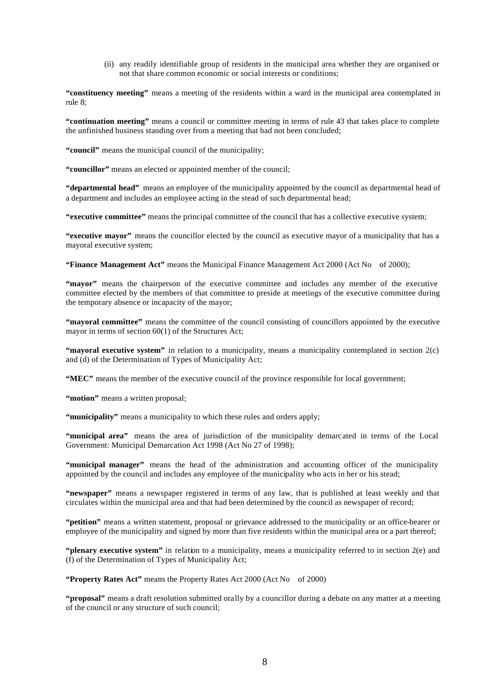(ii) any readily identifiable group of residents in the municipal area whether they are organised or not that share common economic or social interests or conditions;

**"constituency meeting"** means a meeting of the residents within a ward in the municipal area contemplated in rule 8;

**"continuation meeting"** means a council or committee meeting in terms of rule 43 that takes place to complete the unfinished business standing over from a meeting that had not been concluded;

**"council"** means the municipal council of the municipality;

**"councillor"** means an elected or appointed member of the council;

**"departmental head"** means an employee of the municipality appointed by the council as departmental head of a department and includes an employee acting in the stead of such departmental head;

**"executive committee"** means the principal committee of the council that has a collective executive system;

**"executive mayor"** means the councillor elected by the council as executive mayor of a municipality that has a mayoral executive system;

**"Finance Management Act"** means the Municipal Finance Management Act 2000 (Act No of 2000);

**"mayor"** means the chairperson of the executive committee and includes any member of the executive committee elected by the members of that committee to preside at meetings of the executive committee during the temporary absence or incapacity of the mayor;

**"mayoral committee"** means the committee of the council consisting of councillors appointed by the executive mayor in terms of section 60(1) of the Structures Act;

**"mayoral executive system"** in relation to a municipality, means a municipality contemplated in section 2(c) and (d) of the Determination of Types of Municipality Act;

**"MEC"** means the member of the executive council of the province responsible for local government;

"**motion**" means a written proposal;

**"municipality"** means a municipality to which these rules and orders apply;

**"municipal area"** means the area of jurisdiction of the municipality demarcated in terms of the Local Government: Municipal Demarcation Act 1998 (Act No 27 of 1998);

**"municipal manager"** means the head of the administration and accounting officer of the municipality appointed by the council and includes any employee of the municipality who acts in her or his stead;

**"newspaper"** means a newspaper registered in terms of any law, that is published at least weekly and that circulates within the municipal area and that had been determined by the council as newspaper of record;

**"petition"** means a written statement, proposal or grievance addressed to the municipality or an office-bearer or employee of the municipality and signed by more than five residents within the municipal area or a part thereof;

**"plenary executive system"** in relation to a municipality, means a municipality referred to in section 2(e) and (f) of the Determination of Types of Municipality Act;

**"Property Rates Act"** means the Property Rates Act 2000 (Act No of 2000)

**"proposal"** means a draft resolution submitted orally by a councillor during a debate on any matter at a meeting of the council or any structure of such council;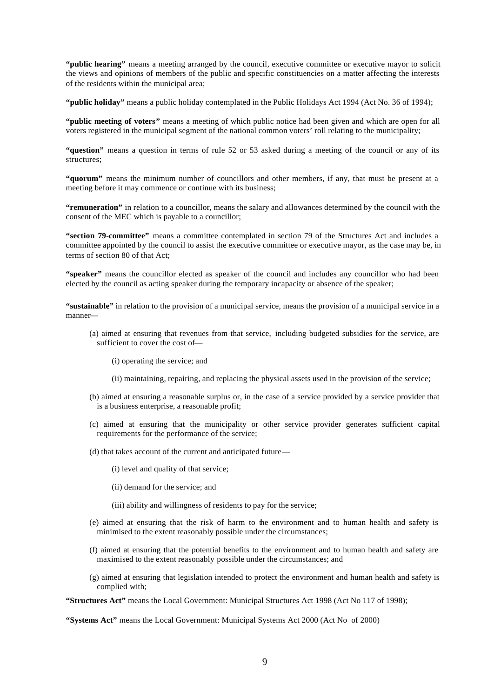**"public hearing"** means a meeting arranged by the council, executive committee or executive mayor to solicit the views and opinions of members of the public and specific constituencies on a matter affecting the interests of the residents within the municipal area;

**"public holiday"** means a public holiday contemplated in the Public Holidays Act 1994 (Act No. 36 of 1994);

**"public meeting of voters"** means a meeting of which public notice had been given and which are open for all voters registered in the municipal segment of the national common voters' roll relating to the municipality;

**"question"** means a question in terms of rule 52 or 53 asked during a meeting of the council or any of its structures;

**"quorum"** means the minimum number of councillors and other members, if any, that must be present at a meeting before it may commence or continue with its business;

**"remuneration"** in relation to a councillor, means the salary and allowances determined by the council with the consent of the MEC which is payable to a councillor;

**"section 79-committee"** means a committee contemplated in section 79 of the Structures Act and includes a committee appointed by the council to assist the executive committee or executive mayor, as the case may be, in terms of section 80 of that Act;

**"speaker"** means the councillor elected as speaker of the council and includes any councillor who had been elected by the council as acting speaker during the temporary incapacity or absence of the speaker;

**"sustainable"** in relation to the provision of a municipal service, means the provision of a municipal service in a manner—

- (a) aimed at ensuring that revenues from that service, including budgeted subsidies for the service, are sufficient to cover the cost of—
	- (i) operating the service; and
	- (ii) maintaining, repairing, and replacing the physical assets used in the provision of the service;
- (b) aimed at ensuring a reasonable surplus or, in the case of a service provided by a service provider that is a business enterprise, a reasonable profit;
- (c) aimed at ensuring that the municipality or other service provider generates sufficient capital requirements for the performance of the service;
- (d) that takes account of the current and anticipated future—
	- (i) level and quality of that service;
	- (ii) demand for the service; and
	- (iii) ability and willingness of residents to pay for the service;
- (e) aimed at ensuring that the risk of harm to the environment and to human health and safety is minimised to the extent reasonably possible under the circumstances;
- (f) aimed at ensuring that the potential benefits to the environment and to human health and safety are maximised to the extent reasonably possible under the circumstances; and
- (g) aimed at ensuring that legislation intended to protect the environment and human health and safety is complied with;

**"Structures Act"** means the Local Government: Municipal Structures Act 1998 (Act No 117 of 1998);

**"Systems Act"** means the Local Government: Municipal Systems Act 2000 (Act No of 2000)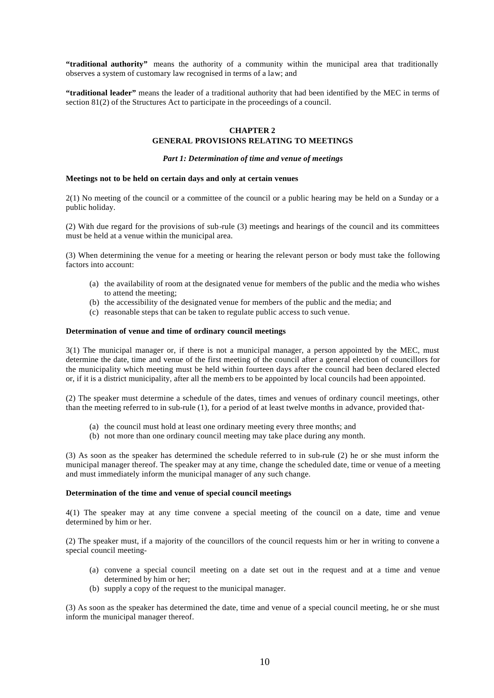"traditional authority" means the authority of a community within the municipal area that traditionally observes a system of customary law recognised in terms of a law; and

**"traditional leader"** means the leader of a traditional authority that had been identified by the MEC in terms of section 81(2) of the Structures Act to participate in the proceedings of a council.

# **CHAPTER 2**

# **GENERAL PROVISIONS RELATING TO MEETINGS**

# *Part 1: Determination of time and venue of meetings*

#### **Meetings not to be held on certain days and only at certain venues**

2(1) No meeting of the council or a committee of the council or a public hearing may be held on a Sunday or a public holiday.

(2) With due regard for the provisions of sub-rule (3) meetings and hearings of the council and its committees must be held at a venue within the municipal area.

(3) When determining the venue for a meeting or hearing the relevant person or body must take the following factors into account:

- (a) the availability of room at the designated venue for members of the public and the media who wishes to attend the meeting;
- (b) the accessibility of the designated venue for members of the public and the media; and
- (c) reasonable steps that can be taken to regulate public access to such venue.

### **Determination of venue and time of ordinary council meetings**

3(1) The municipal manager or, if there is not a municipal manager, a person appointed by the MEC, must determine the date, time and venue of the first meeting of the council after a general election of councillors for the municipality which meeting must be held within fourteen days after the council had been declared elected or, if it is a district municipality, after all the memb ers to be appointed by local councils had been appointed.

(2) The speaker must determine a schedule of the dates, times and venues of ordinary council meetings, other than the meeting referred to in sub-rule (1), for a period of at least twelve months in advance, provided that-

- (a) the council must hold at least one ordinary meeting every three months; and
- (b) not more than one ordinary council meeting may take place during any month.

(3) As soon as the speaker has determined the schedule referred to in sub-rule (2) he or she must inform the municipal manager thereof. The speaker may at any time, change the scheduled date, time or venue of a meeting and must immediately inform the municipal manager of any such change.

## **Determination of the time and venue of special council meetings**

4(1) The speaker may at any time convene a special meeting of the council on a date, time and venue determined by him or her.

(2) The speaker must, if a majority of the councillors of the council requests him or her in writing to convene a special council meeting-

- (a) convene a special council meeting on a date set out in the request and at a time and venue determined by him or her;
- (b) supply a copy of the request to the municipal manager.

(3) As soon as the speaker has determined the date, time and venue of a special council meeting, he or she must inform the municipal manager thereof.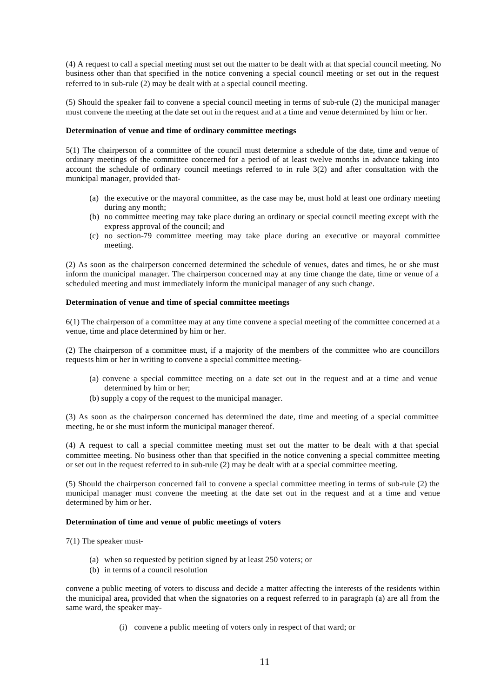(4) A request to call a special meeting must set out the matter to be dealt with at that special council meeting. No business other than that specified in the notice convening a special council meeting or set out in the request referred to in sub-rule (2) may be dealt with at a special council meeting.

(5) Should the speaker fail to convene a special council meeting in terms of sub-rule (2) the municipal manager must convene the meeting at the date set out in the request and at a time and venue determined by him or her.

# **Determination of venue and time of ordinary committee meetings**

5(1) The chairperson of a committee of the council must determine a schedule of the date, time and venue of ordinary meetings of the committee concerned for a period of at least twelve months in advance taking into account the schedule of ordinary council meetings referred to in rule 3(2) and after consultation with the municipal manager, provided that-

- (a) the executive or the mayoral committee, as the case may be, must hold at least one ordinary meeting during any month;
- (b) no committee meeting may take place during an ordinary or special council meeting except with the express approval of the council; and
- (c) no section-79 committee meeting may take place during an executive or mayoral committee meeting.

(2) As soon as the chairperson concerned determined the schedule of venues, dates and times, he or she must inform the municipal manager. The chairperson concerned may at any time change the date, time or venue of a scheduled meeting and must immediately inform the municipal manager of any such change.

## **Determination of venue and time of special committee meetings**

6(1) The chairperson of a committee may at any time convene a special meeting of the committee concerned at a venue, time and place determined by him or her.

(2) The chairperson of a committee must, if a majority of the members of the committee who are councillors requests him or her in writing to convene a special committee meeting-

- (a) convene a special committee meeting on a date set out in the request and at a time and venue determined by him or her;
- (b) supply a copy of the request to the municipal manager.

(3) As soon as the chairperson concerned has determined the date, time and meeting of a special committee meeting, he or she must inform the municipal manager thereof.

(4) A request to call a special committee meeting must set out the matter to be dealt with at that special committee meeting. No business other than that specified in the notice convening a special committee meeting or set out in the request referred to in sub-rule (2) may be dealt with at a special committee meeting.

(5) Should the chairperson concerned fail to convene a special committee meeting in terms of sub-rule (2) the municipal manager must convene the meeting at the date set out in the request and at a time and venue determined by him or her.

## **Determination of time and venue of public meetings of voters**

7(1) The speaker must-

- (a) when so requested by petition signed by at least 250 voters; or
- (b) in terms of a council resolution

convene a public meeting of voters to discuss and decide a matter affecting the interests of the residents within the municipal area**,** provided that when the signatories on a request referred to in paragraph (a) are all from the same ward, the speaker may-

(i) convene a public meeting of voters only in respect of that ward; or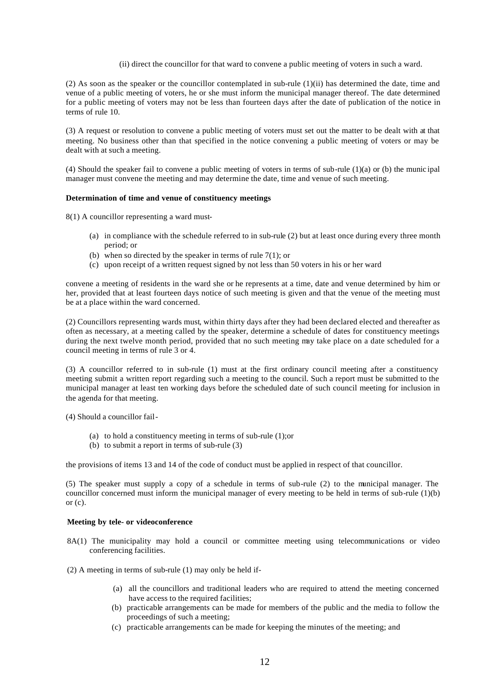(ii) direct the councillor for that ward to convene a public meeting of voters in such a ward.

(2) As soon as the speaker or the councillor contemplated in sub-rule (1)(ii) has determined the date, time and venue of a public meeting of voters, he or she must inform the municipal manager thereof. The date determined for a public meeting of voters may not be less than fourteen days after the date of publication of the notice in terms of rule 10.

(3) A request or resolution to convene a public meeting of voters must set out the matter to be dealt with at that meeting. No business other than that specified in the notice convening a public meeting of voters or may be dealt with at such a meeting.

(4) Should the speaker fail to convene a public meeting of voters in terms of sub-rule  $(1)(a)$  or (b) the munic ipal manager must convene the meeting and may determine the date, time and venue of such meeting.

## **Determination of time and venue of constituency meetings**

- 8(1) A councillor representing a ward must-
	- (a) in compliance with the schedule referred to in sub-rule (2) but at least once during every three month period; or
	- (b) when so directed by the speaker in terms of rule  $7(1)$ ; or
	- (c) upon receipt of a written request signed by not less than 50 voters in his or her ward

convene a meeting of residents in the ward she or he represents at a time, date and venue determined by him or her, provided that at least fourteen days notice of such meeting is given and that the venue of the meeting must be at a place within the ward concerned.

(2) Councillors representing wards must, within thirty days after they had been declared elected and thereafter as often as necessary, at a meeting called by the speaker, determine a schedule of dates for constituency meetings during the next twelve month period, provided that no such meeting may take place on a date scheduled for a council meeting in terms of rule 3 or 4.

(3) A councillor referred to in sub-rule (1) must at the first ordinary council meeting after a constituency meeting submit a written report regarding such a meeting to the council. Such a report must be submitted to the municipal manager at least ten working days before the scheduled date of such council meeting for inclusion in the agenda for that meeting.

(4) Should a councillor fail-

- (a) to hold a constituency meeting in terms of sub-rule (1);or
- (b) to submit a report in terms of sub-rule (3)

the provisions of items 13 and 14 of the code of conduct must be applied in respect of that councillor.

(5) The speaker must supply a copy of a schedule in terms of sub-rule (2) to the municipal manager. The councillor concerned must inform the municipal manager of every meeting to be held in terms of sub-rule (1)(b) or  $(c)$ .

## **Meeting by tele- or videoconference**

- 8A(1) The municipality may hold a council or committee meeting using telecommunications or video conferencing facilities.
- (2) A meeting in terms of sub-rule (1) may only be held if-
	- (a) all the councillors and traditional leaders who are required to attend the meeting concerned have access to the required facilities;
	- (b) practicable arrangements can be made for members of the public and the media to follow the proceedings of such a meeting;
	- (c) practicable arrangements can be made for keeping the minutes of the meeting; and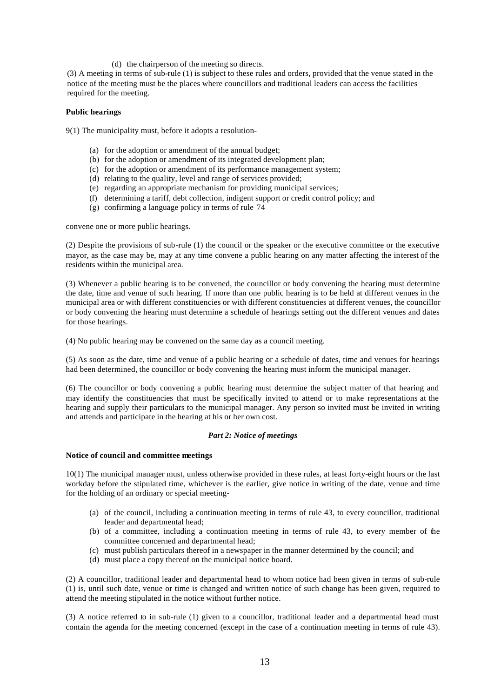(d) the chairperson of the meeting so directs.

(3) A meeting in terms of sub-rule (1) is subject to these rules and orders, provided that the venue stated in the notice of the meeting must be the places where councillors and traditional leaders can access the facilities required for the meeting.

# **Public hearings**

9(1) The municipality must, before it adopts a resolution-

- (a) for the adoption or amendment of the annual budget;
- (b) for the adoption or amendment of its integrated development plan;
- (c) for the adoption or amendment of its performance management system;
- (d) relating to the quality, level and range of services provided;
- (e) regarding an appropriate mechanism for providing municipal services;
- (f) determining a tariff, debt collection, indigent support or credit control policy; and
- (g) confirming a language policy in terms of rule 74

convene one or more public hearings.

(2) Despite the provisions of sub-rule (1) the council or the speaker or the executive committee or the executive mayor, as the case may be, may at any time convene a public hearing on any matter affecting the interest of the residents within the municipal area.

(3) Whenever a public hearing is to be convened, the councillor or body convening the hearing must determine the date, time and venue of such hearing. If more than one public hearing is to be held at different venues in the municipal area or with different constituencies or with different constituencies at different venues, the councillor or body convening the hearing must determine a schedule of hearings setting out the different venues and dates for those hearings.

(4) No public hearing may be convened on the same day as a council meeting.

(5) As soon as the date, time and venue of a public hearing or a schedule of dates, time and venues for hearings had been determined, the councillor or body convening the hearing must inform the municipal manager.

(6) The councillor or body convening a public hearing must determine the subject matter of that hearing and may identify the constituencies that must be specifically invited to attend or to make representations at the hearing and supply their particulars to the municipal manager. Any person so invited must be invited in writing and attends and participate in the hearing at his or her own cost.

# *Part 2: Notice of meetings*

#### **Notice of council and committee meetings**

10(1) The municipal manager must, unless otherwise provided in these rules, at least forty-eight hours or the last workday before the stipulated time, whichever is the earlier, give notice in writing of the date, venue and time for the holding of an ordinary or special meeting-

- (a) of the council, including a continuation meeting in terms of rule 43, to every councillor, traditional leader and departmental head;
- (b) of a committee, including a continuation meeting in terms of rule 43, to every member of the committee concerned and departmental head;
- (c) must publish particulars thereof in a newspaper in the manner determined by the council; and
- (d) must place a copy thereof on the municipal notice board.

(2) A councillor, traditional leader and departmental head to whom notice had been given in terms of sub-rule (1) is, until such date, venue or time is changed and written notice of such change has been given, required to attend the meeting stipulated in the notice without further notice.

(3) A notice referred to in sub-rule (1) given to a councillor, traditional leader and a departmental head must contain the agenda for the meeting concerned (except in the case of a continuation meeting in terms of rule 43).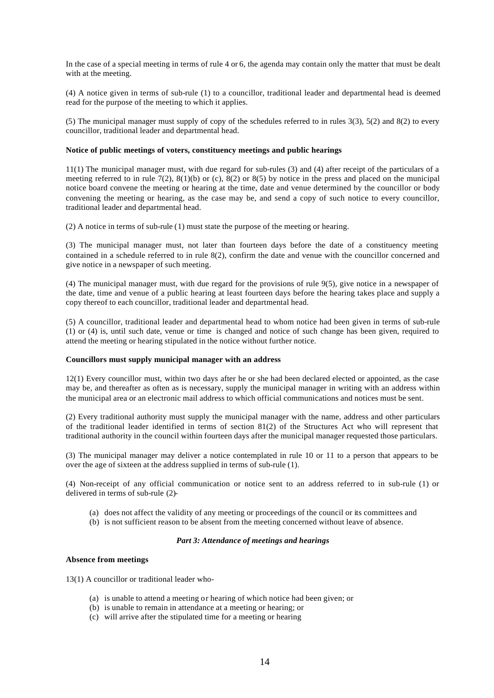In the case of a special meeting in terms of rule 4 or 6, the agenda may contain only the matter that must be dealt with at the meeting.

(4) A notice given in terms of sub-rule (1) to a councillor, traditional leader and departmental head is deemed read for the purpose of the meeting to which it applies.

(5) The municipal manager must supply of copy of the schedules referred to in rules 3(3), 5(2) and 8(2) to every councillor, traditional leader and departmental head.

#### **Notice of public meetings of voters, constituency meetings and public hearings**

11(1) The municipal manager must, with due regard for sub-rules (3) and (4) after receipt of the particulars of a meeting referred to in rule 7(2),  $8(1)(b)$  or (c),  $8(2)$  or  $8(5)$  by notice in the press and placed on the municipal notice board convene the meeting or hearing at the time, date and venue determined by the councillor or body convening the meeting or hearing, as the case may be, and send a copy of such notice to every councillor, traditional leader and departmental head.

(2) A notice in terms of sub-rule (1) must state the purpose of the meeting or hearing.

(3) The municipal manager must, not later than fourteen days before the date of a constituency meeting contained in a schedule referred to in rule 8(2), confirm the date and venue with the councillor concerned and give notice in a newspaper of such meeting.

(4) The municipal manager must, with due regard for the provisions of rule 9(5), give notice in a newspaper of the date, time and venue of a public hearing at least fourteen days before the hearing takes place and supply a copy thereof to each councillor, traditional leader and departmental head.

(5) A councillor, traditional leader and departmental head to whom notice had been given in terms of sub-rule (1) or (4) is, until such date, venue or time is changed and notice of such change has been given, required to attend the meeting or hearing stipulated in the notice without further notice.

#### **Councillors must supply municipal manager with an address**

12(1) Every councillor must, within two days after he or she had been declared elected or appointed, as the case may be, and thereafter as often as is necessary, supply the municipal manager in writing with an address within the municipal area or an electronic mail address to which official communications and notices must be sent.

(2) Every traditional authority must supply the municipal manager with the name, address and other particulars of the traditional leader identified in terms of section 81(2) of the Structures Act who will represent that traditional authority in the council within fourteen days after the municipal manager requested those particulars.

(3) The municipal manager may deliver a notice contemplated in rule 10 or 11 to a person that appears to be over the age of sixteen at the address supplied in terms of sub-rule (1).

(4) Non-receipt of any official communication or notice sent to an address referred to in sub-rule (1) or delivered in terms of sub-rule (2)-

- (a) does not affect the validity of any meeting or proceedings of the council or its committees and
- (b) is not sufficient reason to be absent from the meeting concerned without leave of absence.

# *Part 3: Attendance of meetings and hearings*

#### **Absence from meetings**

13(1) A councillor or traditional leader who-

- (a) is unable to attend a meeting or hearing of which notice had been given; or
- (b) is unable to remain in attendance at a meeting or hearing; or
- (c) will arrive after the stipulated time for a meeting or hearing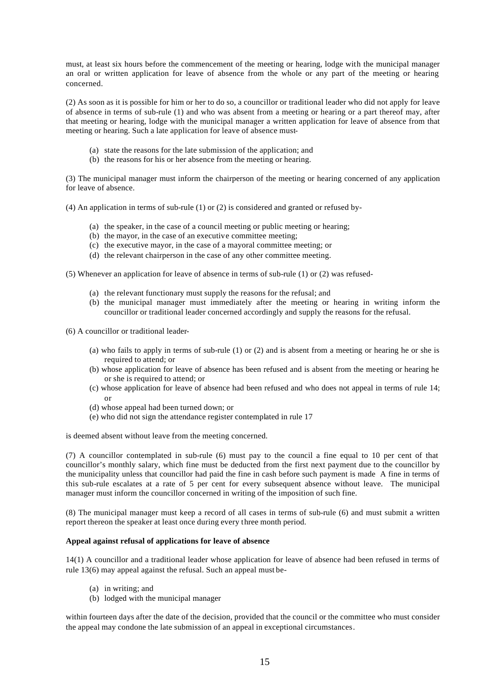must, at least six hours before the commencement of the meeting or hearing, lodge with the municipal manager an oral or written application for leave of absence from the whole or any part of the meeting or hearing concerned.

(2) As soon as it is possible for him or her to do so, a councillor or traditional leader who did not apply for leave of absence in terms of sub-rule (1) and who was absent from a meeting or hearing or a part thereof may, after that meeting or hearing, lodge with the municipal manager a written application for leave of absence from that meeting or hearing. Such a late application for leave of absence must-

- (a) state the reasons for the late submission of the application; and
- (b) the reasons for his or her absence from the meeting or hearing.

(3) The municipal manager must inform the chairperson of the meeting or hearing concerned of any application for leave of absence.

(4) An application in terms of sub-rule (1) or (2) is considered and granted or refused by-

- (a) the speaker, in the case of a council meeting or public meeting or hearing;
- (b) the mayor, in the case of an executive committee meeting;
- (c) the executive mayor, in the case of a mayoral committee meeting; or
- (d) the relevant chairperson in the case of any other committee meeting.

(5) Whenever an application for leave of absence in terms of sub-rule (1) or (2) was refused-

- (a) the relevant functionary must supply the reasons for the refusal; and
- (b) the municipal manager must immediately after the meeting or hearing in writing inform the councillor or traditional leader concerned accordingly and supply the reasons for the refusal.

(6) A councillor or traditional leader-

- (a) who fails to apply in terms of sub-rule (1) or (2) and is absent from a meeting or hearing he or she is required to attend; or
- (b) whose application for leave of absence has been refused and is absent from the meeting or hearing he or she is required to attend; or
- (c) whose application for leave of absence had been refused and who does not appeal in terms of rule 14; or
- (d) whose appeal had been turned down; or
- (e) who did not sign the attendance register contemplated in rule 17

is deemed absent without leave from the meeting concerned.

(7) A councillor contemplated in sub-rule (6) must pay to the council a fine equal to 10 per cent of that councillor's monthly salary, which fine must be deducted from the first next payment due to the councillor by the municipality unless that councillor had paid the fine in cash before such payment is made A fine in terms of this sub-rule escalates at a rate of 5 per cent for every subsequent absence without leave. The municipal manager must inform the councillor concerned in writing of the imposition of such fine.

(8) The municipal manager must keep a record of all cases in terms of sub-rule (6) and must submit a written report thereon the speaker at least once during every three month period.

# **Appeal against refusal of applications for leave of absence**

14(1) A councillor and a traditional leader whose application for leave of absence had been refused in terms of rule 13(6) may appeal against the refusal. Such an appeal must be-

- (a) in writing; and
- (b) lodged with the municipal manager

within fourteen days after the date of the decision, provided that the council or the committee who must consider the appeal may condone the late submission of an appeal in exceptional circumstances.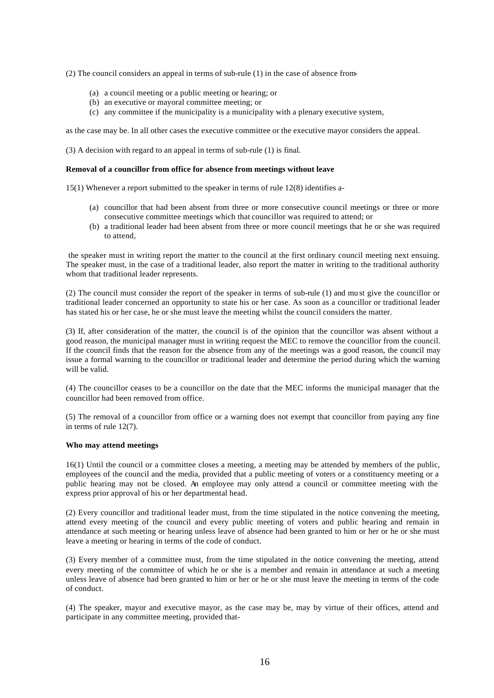(2) The council considers an appeal in terms of sub-rule (1) in the case of absence from-

- (a) a council meeting or a public meeting or hearing; or
- (b) an executive or mayoral committee meeting; or
- (c) any committee if the municipality is a municipality with a plenary executive system,

as the case may be. In all other cases the executive committee or the executive mayor considers the appeal.

(3) A decision with regard to an appeal in terms of sub-rule (1) is final.

## **Removal of a councillor from office for absence from meetings without leave**

15(1) Whenever a report submitted to the speaker in terms of rule 12(8) identifies a-

- (a) councillor that had been absent from three or more consecutive council meetings or three or more consecutive committee meetings which that councillor was required to attend; or
- (b) a traditional leader had been absent from three or more council meetings that he or she was required to attend,

 the speaker must in writing report the matter to the council at the first ordinary council meeting next ensuing. The speaker must, in the case of a traditional leader, also report the matter in writing to the traditional authority whom that traditional leader represents.

(2) The council must consider the report of the speaker in terms of sub-rule (1) and mu st give the councillor or traditional leader concerned an opportunity to state his or her case. As soon as a councillor or traditional leader has stated his or her case, he or she must leave the meeting whilst the council considers the matter.

(3) If, after consideration of the matter, the council is of the opinion that the councillor was absent without a good reason, the municipal manager must in writing request the MEC to remove the councillor from the council. If the council finds that the reason for the absence from any of the meetings was a good reason, the council may issue a formal warning to the councillor or traditional leader and determine the period during which the warning will be valid.

(4) The councillor ceases to be a councillor on the date that the MEC informs the municipal manager that the councillor had been removed from office.

(5) The removal of a councillor from office or a warning does not exempt that councillor from paying any fine in terms of rule 12(7).

#### **Who may attend meetings**

16(1) Until the council or a committee closes a meeting, a meeting may be attended by members of the public, employees of the council and the media, provided that a public meeting of voters or a constituency meeting or a public hearing may not be closed. An employee may only attend a council or committee meeting with the express prior approval of his or her departmental head.

(2) Every councillor and traditional leader must, from the time stipulated in the notice convening the meeting, attend every meeting of the council and every public meeting of voters and public hearing and remain in attendance at such meeting or hearing unless leave of absence had been granted to him or her or he or she must leave a meeting or hearing in terms of the code of conduct.

(3) Every member of a committee must, from the time stipulated in the notice convening the meeting, attend every meeting of the committee of which he or she is a member and remain in attendance at such a meeting unless leave of absence had been granted to him or her or he or she must leave the meeting in terms of the code of conduct.

(4) The speaker, mayor and executive mayor, as the case may be, may by virtue of their offices, attend and participate in any committee meeting, provided that-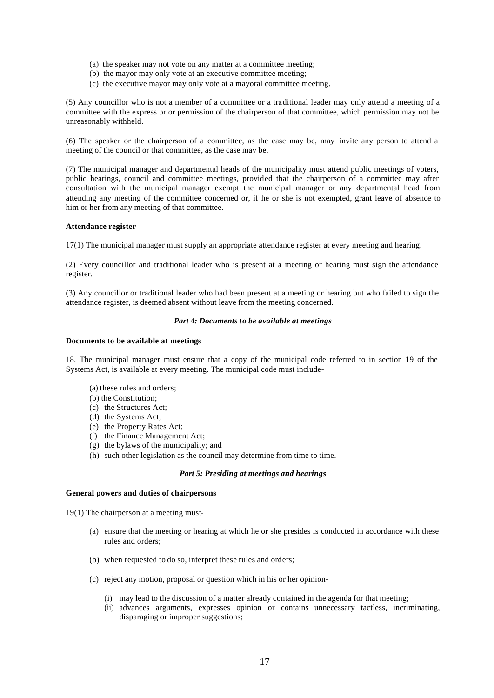- (a) the speaker may not vote on any matter at a committee meeting;
- (b) the mayor may only vote at an executive committee meeting;
- (c) the executive mayor may only vote at a mayoral committee meeting.

(5) Any councillor who is not a member of a committee or a traditional leader may only attend a meeting of a committee with the express prior permission of the chairperson of that committee, which permission may not be unreasonably withheld.

(6) The speaker or the chairperson of a committee, as the case may be, may invite any person to attend a meeting of the council or that committee, as the case may be.

(7) The municipal manager and departmental heads of the municipality must attend public meetings of voters, public hearings, council and committee meetings, provided that the chairperson of a committee may after consultation with the municipal manager exempt the municipal manager or any departmental head from attending any meeting of the committee concerned or, if he or she is not exempted, grant leave of absence to him or her from any meeting of that committee.

#### **Attendance register**

17(1) The municipal manager must supply an appropriate attendance register at every meeting and hearing.

(2) Every councillor and traditional leader who is present at a meeting or hearing must sign the attendance register.

(3) Any councillor or traditional leader who had been present at a meeting or hearing but who failed to sign the attendance register, is deemed absent without leave from the meeting concerned.

# *Part 4: Documents to be available at meetings*

#### **Documents to be available at meetings**

18. The municipal manager must ensure that a copy of the municipal code referred to in section 19 of the Systems Act, is available at every meeting. The municipal code must include-

- (a) these rules and orders;
- (b) the Constitution;
- (c) the Structures Act;
- (d) the Systems Act;
- (e) the Property Rates Act;
- (f) the Finance Management Act;
- (g) the bylaws of the municipality; and
- (h) such other legislation as the council may determine from time to time.

#### *Part 5: Presiding at meetings and hearings*

## **General powers and duties of chairpersons**

19(1) The chairperson at a meeting must-

- (a) ensure that the meeting or hearing at which he or she presides is conducted in accordance with these rules and orders;
- (b) when requested to do so, interpret these rules and orders;
- (c) reject any motion, proposal or question which in his or her opinion-
	- (i) may lead to the discussion of a matter already contained in the agenda for that meeting;
	- (ii) advances arguments, expresses opinion or contains unnecessary tactless, incriminating, disparaging or improper suggestions;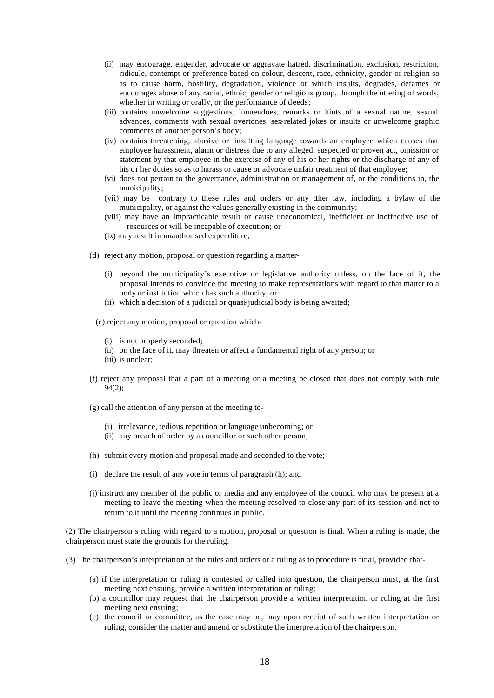- (ii) may encourage, engender, advocate or aggravate hatred, discrimination, exclusion, restriction, ridicule, contempt or preference based on colour, descent, race, ethnicity, gender or religion so as to cause harm, hostility, degradation, violence or which insults, degrades, defames or encourages abuse of any racial, ethnic, gender or religious group, through the uttering of words, whether in writing or orally, or the performance of deeds;
- (iii) contains unwelcome suggestions, innuendoes, remarks or hints of a sexual nature, sexual advances, comments with sexual overtones, sex-related jokes or insults or unwelcome graphic comments of another person's body;
- (iv) contains threatening, abusive or insulting language towards an employee which causes that employee harassment, alarm or distress due to any alleged, suspected or proven act, omission or statement by that employee in the exercise of any of his or her rights or the discharge of any of his or her duties so as to harass or cause or advocate unfair treatment of that employee;
- (vi) does not pertain to the governance, administration or management of, or the conditions in, the municipality;
- (vii) may be contrary to these rules and orders or any other law, including a bylaw of the municipality, or against the values generally existing in the community;
- (viii) may have an impracticable result or cause uneconomical, inefficient or ineffective use of resources or will be incapable of execution; or
- (ix) may result in unauthorised expenditure;
- (d) reject any motion, proposal or question regarding a matter-
	- (i) beyond the municipality's executive or legislative authority unless, on the face of it, the proposal intends to convince the meeting to make representations with regard to that matter to a body or institution which has such authority; or
	- (ii) which a decision of a judicial or quasi-judicial body is being awaited;
	- (e) reject any motion, proposal or question which-
		- (i) is not properly seconded;
		- (ii) on the face of it, may threaten or affect a fundamental right of any person; or
		- (iii) is unclear;
- (f) reject any proposal that a part of a meeting or a meeting be closed that does not comply with rule 94(2);
- (g) call the attention of any person at the meeting to-
	- (i) irrelevance, tedious repetition or language unbecoming; or
	- (ii) any breach of order by a councillor or such other person;
- (h) submit every motion and proposal made and seconded to the vote;
- (i) declare the result of any vote in terms of paragraph (h); and
- (j) instruct any member of the public or media and any employee of the council who may be present at a meeting to leave the meeting when the meeting resolved to close any part of its session and not to return to it until the meeting continues in public.

(2) The chairperson's ruling with regard to a motion, proposal or question is final. When a ruling is made, the chairperson must state the grounds for the ruling.

(3) The chairperson's interpretation of the rules and orders or a ruling as to procedure is final, provided that-

- (a) if the interpretation or ruling is contested or called into question, the chairperson must, at the first meeting next ensuing, provide a written interpretation or ruling;
- (b) a councillor may request that the chairperson provide a written interpretation or ruling at the first meeting next ensuing;
- (c) the council or committee, as the case may be, may upon receipt of such written interpretation or ruling, consider the matter and amend or substitute the interpretation of the chairperson.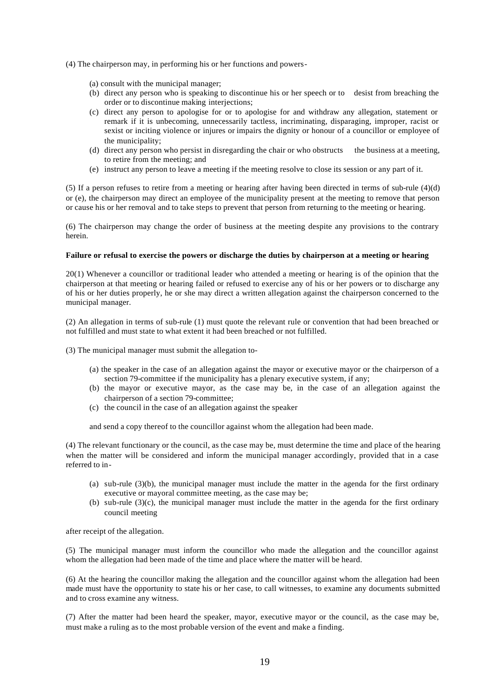- (4) The chairperson may, in performing his or her functions and powers-
	- (a) consult with the municipal manager;
	- (b) direct any person who is speaking to discontinue his or her speech or to desist from breaching the order or to discontinue making interjections;
	- (c) direct any person to apologise for or to apologise for and withdraw any allegation, statement or remark if it is unbecoming, unnecessarily tactless, incriminating, disparaging, improper, racist or sexist or inciting violence or injures or impairs the dignity or honour of a councillor or employee of the municipality;
	- (d) direct any person who persist in disregarding the chair or who obstructs the business at a meeting, to retire from the meeting; and
	- (e) instruct any person to leave a meeting if the meeting resolve to close its session or any part of it.

(5) If a person refuses to retire from a meeting or hearing after having been directed in terms of sub-rule (4)(d) or (e), the chairperson may direct an employee of the municipality present at the meeting to remove that person or cause his or her removal and to take steps to prevent that person from returning to the meeting or hearing.

(6) The chairperson may change the order of business at the meeting despite any provisions to the contrary herein.

#### **Failure or refusal to exercise the powers or discharge the duties by chairperson at a meeting or hearing**

20(1) Whenever a councillor or traditional leader who attended a meeting or hearing is of the opinion that the chairperson at that meeting or hearing failed or refused to exercise any of his or her powers or to discharge any of his or her duties properly, he or she may direct a written allegation against the chairperson concerned to the municipal manager.

(2) An allegation in terms of sub-rule (1) must quote the relevant rule or convention that had been breached or not fulfilled and must state to what extent it had been breached or not fulfilled.

(3) The municipal manager must submit the allegation to-

- (a) the speaker in the case of an allegation against the mayor or executive mayor or the chairperson of a section 79-committee if the municipality has a plenary executive system, if any;
- (b) the mayor or executive mayor, as the case may be, in the case of an allegation against the chairperson of a section 79-committee;
- (c) the council in the case of an allegation against the speaker

and send a copy thereof to the councillor against whom the allegation had been made.

(4) The relevant functionary or the council, as the case may be, must determine the time and place of the hearing when the matter will be considered and inform the municipal manager accordingly, provided that in a case referred to in-

- (a) sub-rule (3)(b), the municipal manager must include the matter in the agenda for the first ordinary executive or mayoral committee meeting, as the case may be;
- (b) sub-rule (3)(c), the municipal manager must include the matter in the agenda for the first ordinary council meeting

after receipt of the allegation.

(5) The municipal manager must inform the councillor who made the allegation and the councillor against whom the allegation had been made of the time and place where the matter will be heard.

(6) At the hearing the councillor making the allegation and the councillor against whom the allegation had been made must have the opportunity to state his or her case, to call witnesses, to examine any documents submitted and to cross examine any witness.

(7) After the matter had been heard the speaker, mayor, executive mayor or the council, as the case may be, must make a ruling as to the most probable version of the event and make a finding.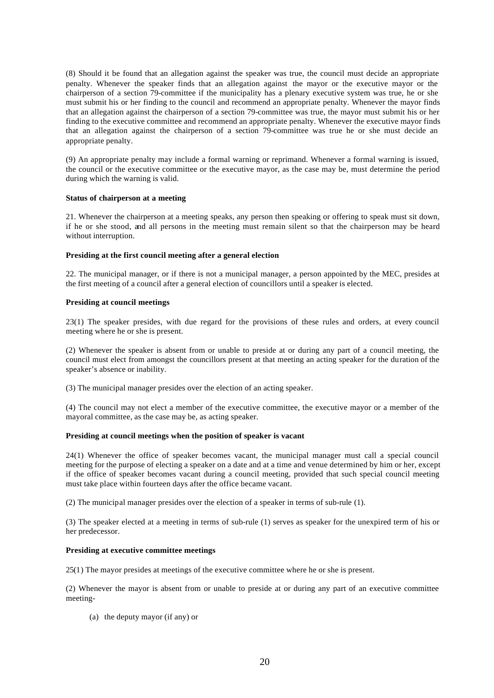(8) Should it be found that an allegation against the speaker was true, the council must decide an appropriate penalty. Whenever the speaker finds that an allegation against the mayor or the executive mayor or the chairperson of a section 79-committee if the municipality has a plenary executive system was true, he or she must submit his or her finding to the council and recommend an appropriate penalty. Whenever the mayor finds that an allegation against the chairperson of a section 79-committee was true, the mayor must submit his or her finding to the executive committee and recommend an appropriate penalty. Whenever the executive mayor finds that an allegation against the chairperson of a section 79-committee was true he or she must decide an appropriate penalty.

(9) An appropriate penalty may include a formal warning or reprimand. Whenever a formal warning is issued, the council or the executive committee or the executive mayor, as the case may be, must determine the period during which the warning is valid.

## **Status of chairperson at a meeting**

21. Whenever the chairperson at a meeting speaks, any person then speaking or offering to speak must sit down, if he or she stood, and all persons in the meeting must remain silent so that the chairperson may be heard without interruption.

## **Presiding at the first council meeting after a general election**

22. The municipal manager, or if there is not a municipal manager, a person appointed by the MEC, presides at the first meeting of a council after a general election of councillors until a speaker is elected.

## **Presiding at council meetings**

23(1) The speaker presides, with due regard for the provisions of these rules and orders, at every council meeting where he or she is present.

(2) Whenever the speaker is absent from or unable to preside at or during any part of a council meeting, the council must elect from amongst the councillors present at that meeting an acting speaker for the duration of the speaker's absence or inability.

(3) The municipal manager presides over the election of an acting speaker.

(4) The council may not elect a member of the executive committee, the executive mayor or a member of the mayoral committee, as the case may be, as acting speaker.

#### **Presiding at council meetings when the position of speaker is vacant**

24(1) Whenever the office of speaker becomes vacant, the municipal manager must call a special council meeting for the purpose of electing a speaker on a date and at a time and venue determined by him or her, except if the office of speaker becomes vacant during a council meeting, provided that such special council meeting must take place within fourteen days after the office became vacant.

(2) The municipal manager presides over the election of a speaker in terms of sub-rule (1).

(3) The speaker elected at a meeting in terms of sub-rule (1) serves as speaker for the unexpired term of his or her predecessor.

#### **Presiding at executive committee meetings**

25(1) The mayor presides at meetings of the executive committee where he or she is present.

(2) Whenever the mayor is absent from or unable to preside at or during any part of an executive committee meeting-

(a) the deputy mayor (if any) or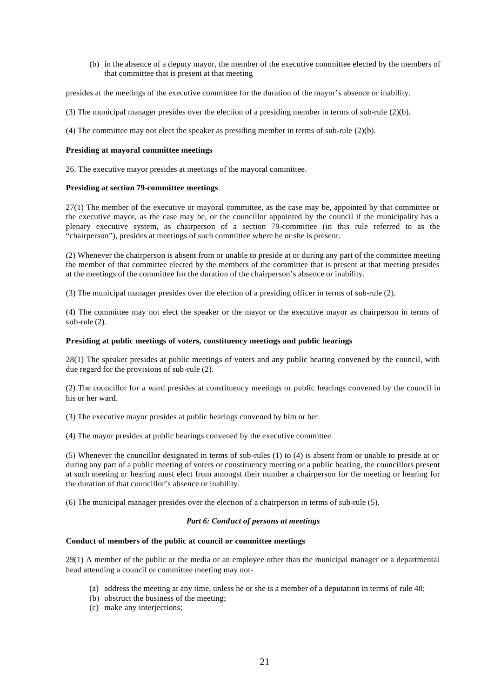(b) in the absence of a deputy mayor, the member of the executive committee elected by the members of that committee that is present at that meeting

presides at the meetings of the executive committee for the duration of the mayor's absence or inability.

- (3) The municipal manager presides over the election of a presiding member in terms of sub-rule (2)(b).
- (4) The committee may not elect the speaker as presiding member in terms of sub-rule (2)(b).

#### **Presiding at mayoral committee meetings**

26. The executive mayor presides at meetings of the mayoral committee.

## **Presiding at section 79-committee meetings**

27(1) The member of the executive or mayoral committee, as the case may be, appointed by that committee or the executive mayor, as the case may be, or the councillor appointed by the council if the municipality has a plenary executive system, as chairperson of a section 79-committee (in this rule referred to as the "chairperson"), presides at meetings of such committee where he or she is present.

(2) Whenever the chairperson is absent from or unable to preside at or during any part of the committee meeting the member of that committee elected by the members of the committee that is present at that meeting presides at the meetings of the committee for the duration of the chairperson's absence or inability.

(3) The municipal manager presides over the election of a presiding officer in terms of sub-rule (2).

(4) The committee may not elect the speaker or the mayor or the executive mayor as chairperson in terms of sub-rule (2).

## **Presiding at public meetings of voters, constituency meetings and public hearings**

28(1) The speaker presides at public meetings of voters and any public hearing convened by the council, with due regard for the provisions of sub-rule (2).

(2) The councillor for a ward presides at constituency meetings or public hearings convened by the council in his or her ward.

(3) The executive mayor presides at public hearings convened by him or her.

(4) The mayor presides at public hearings convened by the executive committee.

(5) Whenever the councillor designated in terms of sub-rules (1) to (4) is absent from or unable to preside at or during any part of a public meeting of voters or constituency meeting or a public hearing, the councillors present at such meeting or hearing must elect from amongst their number a chairperson for the meeting or hearing for the duration of that councillor's absence or inability.

(6) The municipal manager presides over the election of a chairperson in terms of sub-rule (5).

# *Part 6: Conduct of persons at meetings*

# **Conduct of members of the public at council or committee meetings**

29(1) A member of the public or the media or an employee other than the municipal manager or a departmental head attending a council or committee meeting may not-

- (a) address the meeting at any time, unless he or she is a member of a deputation in terms of rule 48;
- (b) obstruct the business of the meeting;
- (c) make any interjections;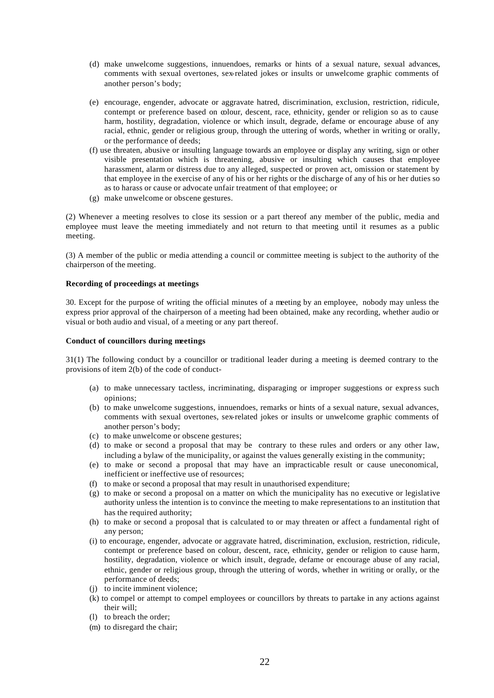- (d) make unwelcome suggestions, innuendoes, remarks or hints of a sexual nature, sexual advances, comments with sexual overtones, sex-related jokes or insults or unwelcome graphic comments of another person's body;
- (e) encourage, engender, advocate or aggravate hatred, discrimination, exclusion, restriction, ridicule, contempt or preference based on colour, descent, race, ethnicity, gender or religion so as to cause harm, hostility, degradation, violence or which insult, degrade, defame or encourage abuse of any racial, ethnic, gender or religious group, through the uttering of words, whether in writing or orally, or the performance of deeds;
- (f) use threaten, abusive or insulting language towards an employee or display any writing, sign or other visible presentation which is threatening, abusive or insulting which causes that employee harassment, alarm or distress due to any alleged, suspected or proven act, omission or statement by that employee in the exercise of any of his or her rights or the discharge of any of his or her duties so as to harass or cause or advocate unfair treatment of that employee; or
- (g) make unwelcome or obscene gestures.

(2) Whenever a meeting resolves to close its session or a part thereof any member of the public, media and employee must leave the meeting immediately and not return to that meeting until it resumes as a public meeting.

(3) A member of the public or media attending a council or committee meeting is subject to the authority of the chairperson of the meeting.

## **Recording of proceedings at meetings**

30. Except for the purpose of writing the official minutes of a meeting by an employee, nobody may unless the express prior approval of the chairperson of a meeting had been obtained, make any recording, whether audio or visual or both audio and visual, of a meeting or any part thereof.

## **Conduct of councillors during meetings**

31(1) The following conduct by a councillor or traditional leader during a meeting is deemed contrary to the provisions of item 2(b) of the code of conduct-

- (a) to make unnecessary tactless, incriminating, disparaging or improper suggestions or express such opinions;
- (b) to make unwelcome suggestions, innuendoes, remarks or hints of a sexual nature, sexual advances, comments with sexual overtones, sex-related jokes or insults or unwelcome graphic comments of another person's body;
- (c) to make unwelcome or obscene gestures;
- (d) to make or second a proposal that may be contrary to these rules and orders or any other law, including a bylaw of the municipality, or against the values generally existing in the community;
- (e) to make or second a proposal that may have an impracticable result or cause uneconomical, inefficient or ineffective use of resources;
- (f) to make or second a proposal that may result in unauthorised expenditure;
- (g) to make or second a proposal on a matter on which the municipality has no executive or legislative authority unless the intention is to convince the meeting to make representations to an institution that has the required authority;
- (h) to make or second a proposal that is calculated to or may threaten or affect a fundamental right of any person;
- (i) to encourage, engender, advocate or aggravate hatred, discrimination, exclusion, restriction, ridicule, contempt or preference based on colour, descent, race, ethnicity, gender or religion to cause harm, hostility, degradation, violence or which insult, degrade, defame or encourage abuse of any racial, ethnic, gender or religious group, through the uttering of words, whether in writing or orally, or the performance of deeds;
- (j) to incite imminent violence;
- (k) to compel or attempt to compel employees or councillors by threats to partake in any actions against their will;
- (l) to breach the order;
- (m) to disregard the chair;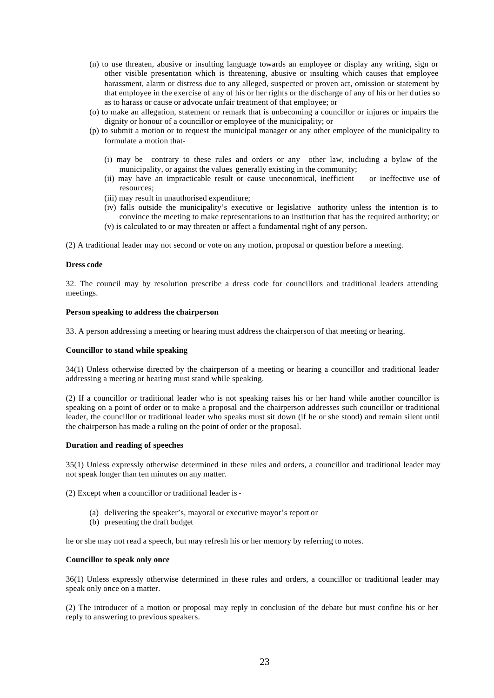- (n) to use threaten, abusive or insulting language towards an employee or display any writing, sign or other visible presentation which is threatening, abusive or insulting which causes that employee harassment, alarm or distress due to any alleged, suspected or proven act, omission or statement by that employee in the exercise of any of his or her rights or the discharge of any of his or her duties so as to harass or cause or advocate unfair treatment of that employee; or
- (o) to make an allegation, statement or remark that is unbecoming a councillor or injures or impairs the dignity or honour of a councillor or employee of the municipality; or
- (p) to submit a motion or to request the municipal manager or any other employee of the municipality to formulate a motion that-
	- (i) may be contrary to these rules and orders or any other law, including a bylaw of the municipality, or against the values generally existing in the community;
	- (ii) may have an impracticable result or cause uneconomical, inefficient or ineffective use of resources;
	- (iii) may result in unauthorised expenditure;
	- (iv) falls outside the municipality's executive or legislative authority unless the intention is to convince the meeting to make representations to an institution that has the required authority; or
	- (v) is calculated to or may threaten or affect a fundamental right of any person.

(2) A traditional leader may not second or vote on any motion, proposal or question before a meeting.

#### **Dress code**

32. The council may by resolution prescribe a dress code for councillors and traditional leaders attending meetings.

# **Person speaking to address the chairperson**

33. A person addressing a meeting or hearing must address the chairperson of that meeting or hearing.

### **Councillor to stand while speaking**

34(1) Unless otherwise directed by the chairperson of a meeting or hearing a councillor and traditional leader addressing a meeting or hearing must stand while speaking.

(2) If a councillor or traditional leader who is not speaking raises his or her hand while another councillor is speaking on a point of order or to make a proposal and the chairperson addresses such councillor or traditional leader, the councillor or traditional leader who speaks must sit down (if he or she stood) and remain silent until the chairperson has made a ruling on the point of order or the proposal.

#### **Duration and reading of speeches**

35(1) Unless expressly otherwise determined in these rules and orders, a councillor and traditional leader may not speak longer than ten minutes on any matter.

(2) Except when a councillor or traditional leader is -

- (a) delivering the speaker's, mayoral or executive mayor's report or
- (b) presenting the draft budget

he or she may not read a speech, but may refresh his or her memory by referring to notes.

#### **Councillor to speak only once**

36(1) Unless expressly otherwise determined in these rules and orders, a councillor or traditional leader may speak only once on a matter.

(2) The introducer of a motion or proposal may reply in conclusion of the debate but must confine his or her reply to answering to previous speakers.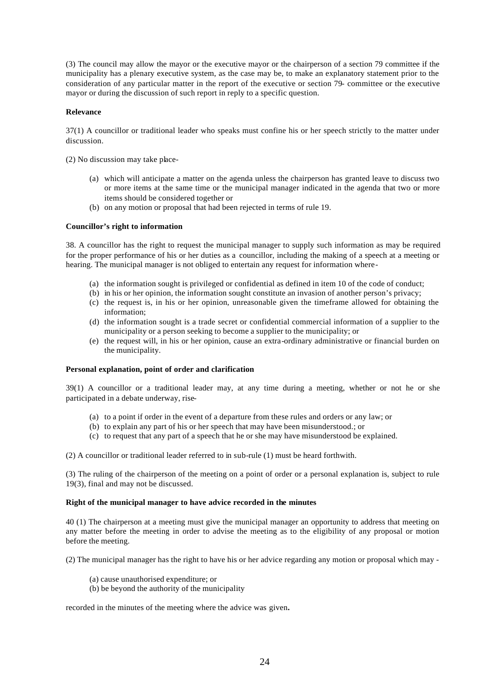(3) The council may allow the mayor or the executive mayor or the chairperson of a section 79 committee if the municipality has a plenary executive system, as the case may be, to make an explanatory statement prior to the consideration of any particular matter in the report of the executive or section 79- committee or the executive mayor or during the discussion of such report in reply to a specific question.

## **Relevance**

37(1) A councillor or traditional leader who speaks must confine his or her speech strictly to the matter under discussion.

(2) No discussion may take place-

- (a) which will anticipate a matter on the agenda unless the chairperson has granted leave to discuss two or more items at the same time or the municipal manager indicated in the agenda that two or more items should be considered together or
- (b) on any motion or proposal that had been rejected in terms of rule 19.

## **Councillor's right to information**

38. A councillor has the right to request the municipal manager to supply such information as may be required for the proper performance of his or her duties as a councillor, including the making of a speech at a meeting or hearing. The municipal manager is not obliged to entertain any request for information where-

- (a) the information sought is privileged or confidential as defined in item 10 of the code of conduct;
- (b) in his or her opinion, the information sought constitute an invasion of another person's privacy;
- (c) the request is, in his or her opinion, unreasonable given the timeframe allowed for obtaining the information;
- (d) the information sought is a trade secret or confidential commercial information of a supplier to the municipality or a person seeking to become a supplier to the municipality; or
- (e) the request will, in his or her opinion, cause an extra-ordinary administrative or financial burden on the municipality.

## **Personal explanation, point of order and clarification**

39(1) A councillor or a traditional leader may, at any time during a meeting, whether or not he or she participated in a debate underway, rise-

- (a) to a point if order in the event of a departure from these rules and orders or any law; or
- (b) to explain any part of his or her speech that may have been misunderstood.; or
- (c) to request that any part of a speech that he or she may have misunderstood be explained.

(2) A councillor or traditional leader referred to in sub-rule (1) must be heard forthwith.

(3) The ruling of the chairperson of the meeting on a point of order or a personal explanation is, subject to rule 19(3), final and may not be discussed.

### **Right of the municipal manager to have advice recorded in the minutes**

40 (1) The chairperson at a meeting must give the municipal manager an opportunity to address that meeting on any matter before the meeting in order to advise the meeting as to the eligibility of any proposal or motion before the meeting.

(2) The municipal manager has the right to have his or her advice regarding any motion or proposal which may -

- (a) cause unauthorised expenditure; or
- (b) be beyond the authority of the municipality

recorded in the minutes of the meeting where the advice was given**.**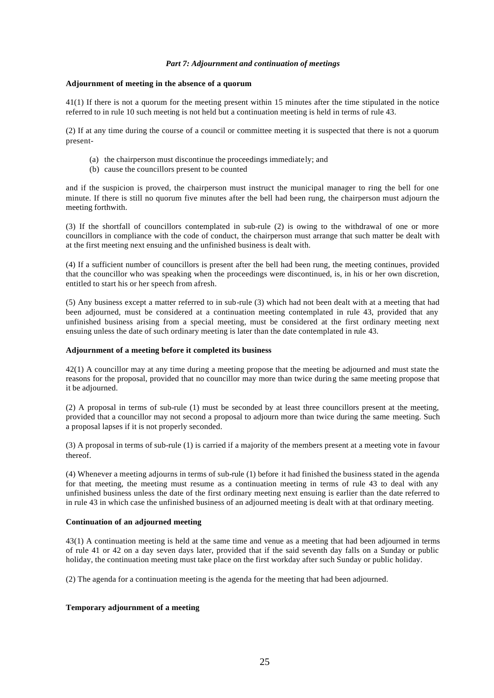## *Part 7: Adjournment and continuation of meetings*

## **Adjournment of meeting in the absence of a quorum**

41(1) If there is not a quorum for the meeting present within 15 minutes after the time stipulated in the notice referred to in rule 10 such meeting is not held but a continuation meeting is held in terms of rule 43.

(2) If at any time during the course of a council or committee meeting it is suspected that there is not a quorum present-

- (a) the chairperson must discontinue the proceedings immediately; and
- (b) cause the councillors present to be counted

and if the suspicion is proved, the chairperson must instruct the municipal manager to ring the bell for one minute. If there is still no quorum five minutes after the bell had been rung, the chairperson must adjourn the meeting forthwith.

(3) If the shortfall of councillors contemplated in sub-rule (2) is owing to the withdrawal of one or more councillors in compliance with the code of conduct, the chairperson must arrange that such matter be dealt with at the first meeting next ensuing and the unfinished business is dealt with.

(4) If a sufficient number of councillors is present after the bell had been rung, the meeting continues, provided that the councillor who was speaking when the proceedings were discontinued, is, in his or her own discretion, entitled to start his or her speech from afresh.

(5) Any business except a matter referred to in sub-rule (3) which had not been dealt with at a meeting that had been adjourned, must be considered at a continuation meeting contemplated in rule 43, provided that any unfinished business arising from a special meeting, must be considered at the first ordinary meeting next ensuing unless the date of such ordinary meeting is later than the date contemplated in rule 43.

## **Adjournment of a meeting before it completed its business**

42(1) A councillor may at any time during a meeting propose that the meeting be adjourned and must state the reasons for the proposal, provided that no councillor may more than twice during the same meeting propose that it be adjourned.

(2) A proposal in terms of sub-rule (1) must be seconded by at least three councillors present at the meeting, provided that a councillor may not second a proposal to adjourn more than twice during the same meeting. Such a proposal lapses if it is not properly seconded.

(3) A proposal in terms of sub-rule (1) is carried if a majority of the members present at a meeting vote in favour thereof.

(4) Whenever a meeting adjourns in terms of sub-rule (1) before it had finished the business stated in the agenda for that meeting, the meeting must resume as a continuation meeting in terms of rule 43 to deal with any unfinished business unless the date of the first ordinary meeting next ensuing is earlier than the date referred to in rule 43 in which case the unfinished business of an adjourned meeting is dealt with at that ordinary meeting.

## **Continuation of an adjourned meeting**

43(1) A continuation meeting is held at the same time and venue as a meeting that had been adjourned in terms of rule 41 or 42 on a day seven days later, provided that if the said seventh day falls on a Sunday or public holiday, the continuation meeting must take place on the first workday after such Sunday or public holiday.

(2) The agenda for a continuation meeting is the agenda for the meeting that had been adjourned.

# **Temporary adjournment of a meeting**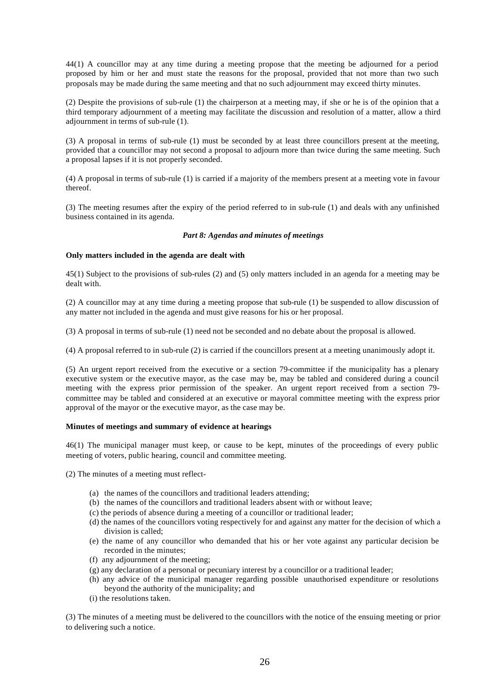44(1) A councillor may at any time during a meeting propose that the meeting be adjourned for a period proposed by him or her and must state the reasons for the proposal, provided that not more than two such proposals may be made during the same meeting and that no such adjournment may exceed thirty minutes.

(2) Despite the provisions of sub-rule (1) the chairperson at a meeting may, if she or he is of the opinion that a third temporary adjournment of a meeting may facilitate the discussion and resolution of a matter, allow a third adjournment in terms of sub-rule (1).

(3) A proposal in terms of sub-rule (1) must be seconded by at least three councillors present at the meeting, provided that a councillor may not second a proposal to adjourn more than twice during the same meeting. Such a proposal lapses if it is not properly seconded.

(4) A proposal in terms of sub-rule (1) is carried if a majority of the members present at a meeting vote in favour thereof.

(3) The meeting resumes after the expiry of the period referred to in sub-rule (1) and deals with any unfinished business contained in its agenda.

## *Part 8: Agendas and minutes of meetings*

## **Only matters included in the agenda are dealt with**

45(1) Subject to the provisions of sub-rules (2) and (5) only matters included in an agenda for a meeting may be dealt with.

(2) A councillor may at any time during a meeting propose that sub-rule (1) be suspended to allow discussion of any matter not included in the agenda and must give reasons for his or her proposal.

(3) A proposal in terms of sub-rule (1) need not be seconded and no debate about the proposal is allowed.

(4) A proposal referred to in sub-rule (2) is carried if the councillors present at a meeting unanimously adopt it.

(5) An urgent report received from the executive or a section 79-committee if the municipality has a plenary executive system or the executive mayor, as the case may be, may be tabled and considered during a council meeting with the express prior permission of the speaker. An urgent report received from a section 79 committee may be tabled and considered at an executive or mayoral committee meeting with the express prior approval of the mayor or the executive mayor, as the case may be.

# **Minutes of meetings and summary of evidence at hearings**

46(1) The municipal manager must keep, or cause to be kept, minutes of the proceedings of every public meeting of voters, public hearing, council and committee meeting.

(2) The minutes of a meeting must reflect-

- (a) the names of the councillors and traditional leaders attending;
- (b) the names of the councillors and traditional leaders absent with or without leave;
- (c) the periods of absence during a meeting of a councillor or traditional leader;
- (d) the names of the councillors voting respectively for and against any matter for the decision of which a division is called;
- (e) the name of any councillor who demanded that his or her vote against any particular decision be recorded in the minutes;
- (f) any adjournment of the meeting;
- (g) any declaration of a personal or pecuniary interest by a councillor or a traditional leader;
- (h) any advice of the municipal manager regarding possible unauthorised expenditure or resolutions beyond the authority of the municipality; and
- (i) the resolutions taken.

(3) The minutes of a meeting must be delivered to the councillors with the notice of the ensuing meeting or prior to delivering such a notice.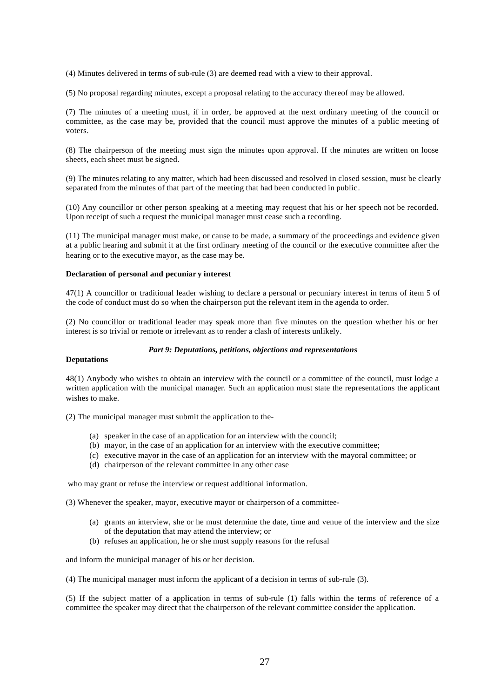(4) Minutes delivered in terms of sub-rule (3) are deemed read with a view to their approval.

(5) No proposal regarding minutes, except a proposal relating to the accuracy thereof may be allowed.

(7) The minutes of a meeting must, if in order, be approved at the next ordinary meeting of the council or committee, as the case may be, provided that the council must approve the minutes of a public meeting of voters.

(8) The chairperson of the meeting must sign the minutes upon approval. If the minutes are written on loose sheets, each sheet must be signed.

(9) The minutes relating to any matter, which had been discussed and resolved in closed session, must be clearly separated from the minutes of that part of the meeting that had been conducted in public.

(10) Any councillor or other person speaking at a meeting may request that his or her speech not be recorded. Upon receipt of such a request the municipal manager must cease such a recording.

(11) The municipal manager must make, or cause to be made, a summary of the proceedings and evidence given at a public hearing and submit it at the first ordinary meeting of the council or the executive committee after the hearing or to the executive mayor, as the case may be.

#### **Declaration of personal and pecuniar y interest**

47(1) A councillor or traditional leader wishing to declare a personal or pecuniary interest in terms of item 5 of the code of conduct must do so when the chairperson put the relevant item in the agenda to order.

(2) No councillor or traditional leader may speak more than five minutes on the question whether his or her interest is so trivial or remote or irrelevant as to render a clash of interests unlikely.

#### *Part 9: Deputations, petitions, objections and representations*

# **Deputations**

48(1) Anybody who wishes to obtain an interview with the council or a committee of the council, must lodge a written application with the municipal manager. Such an application must state the representations the applicant wishes to make.

(2) The municipal manager must submit the application to the-

- (a) speaker in the case of an application for an interview with the council;
- (b) mayor, in the case of an application for an interview with the executive committee;
- (c) executive mayor in the case of an application for an interview with the mayoral committee; or
- (d) chairperson of the relevant committee in any other case

who may grant or refuse the interview or request additional information.

(3) Whenever the speaker, mayor, executive mayor or chairperson of a committee-

- (a) grants an interview, she or he must determine the date, time and venue of the interview and the size of the deputation that may attend the interview; or
- (b) refuses an application, he or she must supply reasons for the refusal

and inform the municipal manager of his or her decision.

(4) The municipal manager must inform the applicant of a decision in terms of sub-rule (3).

(5) If the subject matter of a application in terms of sub-rule (1) falls within the terms of reference of a committee the speaker may direct that the chairperson of the relevant committee consider the application.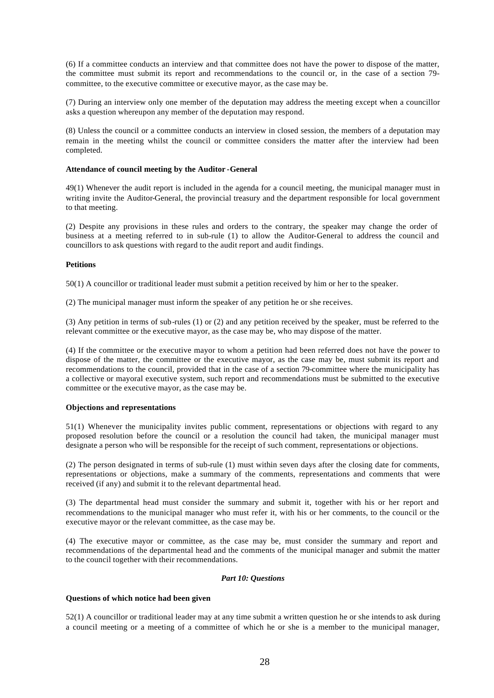(6) If a committee conducts an interview and that committee does not have the power to dispose of the matter, the committee must submit its report and recommendations to the council or, in the case of a section 79 committee, to the executive committee or executive mayor, as the case may be.

(7) During an interview only one member of the deputation may address the meeting except when a councillor asks a question whereupon any member of the deputation may respond.

(8) Unless the council or a committee conducts an interview in closed session, the members of a deputation may remain in the meeting whilst the council or committee considers the matter after the interview had been completed.

## **Attendance of council meeting by the Auditor -General**

49(1) Whenever the audit report is included in the agenda for a council meeting, the municipal manager must in writing invite the Auditor-General, the provincial treasury and the department responsible for local government to that meeting.

(2) Despite any provisions in these rules and orders to the contrary, the speaker may change the order of business at a meeting referred to in sub-rule (1) to allow the Auditor-General to address the council and councillors to ask questions with regard to the audit report and audit findings.

## **Petitions**

50(1) A councillor or traditional leader must submit a petition received by him or her to the speaker.

(2) The municipal manager must inform the speaker of any petition he or she receives.

(3) Any petition in terms of sub-rules (1) or (2) and any petition received by the speaker, must be referred to the relevant committee or the executive mayor, as the case may be, who may dispose of the matter.

(4) If the committee or the executive mayor to whom a petition had been referred does not have the power to dispose of the matter, the committee or the executive mayor, as the case may be, must submit its report and recommendations to the council, provided that in the case of a section 79-committee where the municipality has a collective or mayoral executive system, such report and recommendations must be submitted to the executive committee or the executive mayor, as the case may be.

# **Objections and representations**

51(1) Whenever the municipality invites public comment, representations or objections with regard to any proposed resolution before the council or a resolution the council had taken, the municipal manager must designate a person who will be responsible for the receipt of such comment, representations or objections.

(2) The person designated in terms of sub-rule (1) must within seven days after the closing date for comments, representations or objections, make a summary of the comments, representations and comments that were received (if any) and submit it to the relevant departmental head.

(3) The departmental head must consider the summary and submit it, together with his or her report and recommendations to the municipal manager who must refer it, with his or her comments, to the council or the executive mayor or the relevant committee, as the case may be.

(4) The executive mayor or committee, as the case may be, must consider the summary and report and recommendations of the departmental head and the comments of the municipal manager and submit the matter to the council together with their recommendations.

# *Part 10: Questions*

# **Questions of which notice had been given**

52(1) A councillor or traditional leader may at any time submit a written question he or she intends to ask during a council meeting or a meeting of a committee of which he or she is a member to the municipal manager,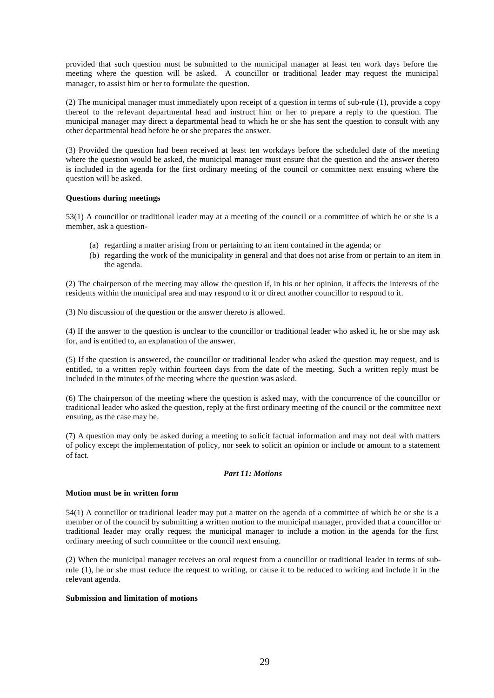provided that such question must be submitted to the municipal manager at least ten work days before the meeting where the question will be asked. A councillor or traditional leader may request the municipal manager, to assist him or her to formulate the question.

(2) The municipal manager must immediately upon receipt of a question in terms of sub-rule (1), provide a copy thereof to the relevant departmental head and instruct him or her to prepare a reply to the question. The municipal manager may direct a departmental head to which he or she has sent the question to consult with any other departmental head before he or she prepares the answer.

(3) Provided the question had been received at least ten workdays before the scheduled date of the meeting where the question would be asked, the municipal manager must ensure that the question and the answer thereto is included in the agenda for the first ordinary meeting of the council or committee next ensuing where the question will be asked.

# **Questions during meetings**

53(1) A councillor or traditional leader may at a meeting of the council or a committee of which he or she is a member, ask a question-

- (a) regarding a matter arising from or pertaining to an item contained in the agenda; or
- (b) regarding the work of the municipality in general and that does not arise from or pertain to an item in the agenda.

(2) The chairperson of the meeting may allow the question if, in his or her opinion, it affects the interests of the residents within the municipal area and may respond to it or direct another councillor to respond to it.

(3) No discussion of the question or the answer thereto is allowed.

(4) If the answer to the question is unclear to the councillor or traditional leader who asked it, he or she may ask for, and is entitled to, an explanation of the answer.

(5) If the question is answered, the councillor or traditional leader who asked the question may request, and is entitled, to a written reply within fourteen days from the date of the meeting. Such a written reply must be included in the minutes of the meeting where the question was asked.

(6) The chairperson of the meeting where the question is asked may, with the concurrence of the councillor or traditional leader who asked the question, reply at the first ordinary meeting of the council or the committee next ensuing, as the case may be.

(7) A question may only be asked during a meeting to solicit factual information and may not deal with matters of policy except the implementation of policy, nor seek to solicit an opinion or include or amount to a statement of fact.

#### *Part 11: Motions*

## **Motion must be in written form**

54(1) A councillor or traditional leader may put a matter on the agenda of a committee of which he or she is a member or of the council by submitting a written motion to the municipal manager, provided that a councillor or traditional leader may orally request the municipal manager to include a motion in the agenda for the first ordinary meeting of such committee or the council next ensuing.

(2) When the municipal manager receives an oral request from a councillor or traditional leader in terms of subrule (1), he or she must reduce the request to writing, or cause it to be reduced to writing and include it in the relevant agenda.

## **Submission and limitation of motions**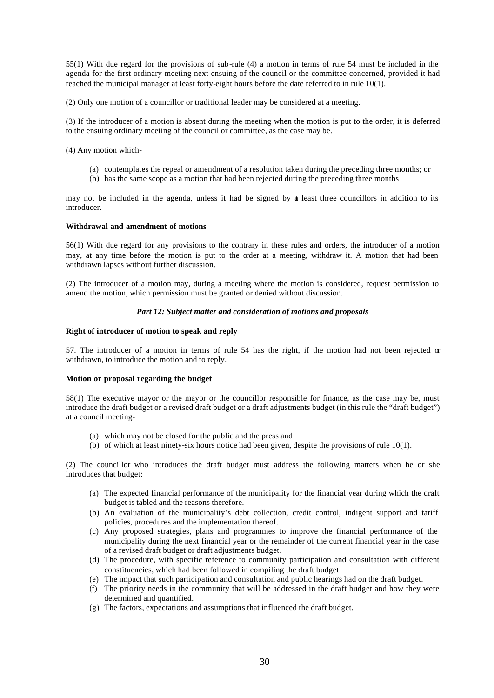55(1) With due regard for the provisions of sub-rule (4) a motion in terms of rule 54 must be included in the agenda for the first ordinary meeting next ensuing of the council or the committee concerned, provided it had reached the municipal manager at least forty-eight hours before the date referred to in rule 10(1).

(2) Only one motion of a councillor or traditional leader may be considered at a meeting.

(3) If the introducer of a motion is absent during the meeting when the motion is put to the order, it is deferred to the ensuing ordinary meeting of the council or committee, as the case may be.

(4) Any motion which-

- (a) contemplates the repeal or amendment of a resolution taken during the preceding three months; or
- (b) has the same scope as a motion that had been rejected during the preceding three months

may not be included in the agenda, unless it had be signed by at least three councillors in addition to its introducer.

## **Withdrawal and amendment of motions**

56(1) With due regard for any provisions to the contrary in these rules and orders, the introducer of a motion may, at any time before the motion is put to the order at a meeting, withdraw it. A motion that had been withdrawn lapses without further discussion.

(2) The introducer of a motion may, during a meeting where the motion is considered, request permission to amend the motion, which permission must be granted or denied without discussion.

## *Part 12: Subject matter and consideration of motions and proposals*

## **Right of introducer of motion to speak and reply**

57. The introducer of a motion in terms of rule 54 has the right, if the motion had not been rejected or withdrawn, to introduce the motion and to reply.

#### **Motion or proposal regarding the budget**

58(1) The executive mayor or the mayor or the councillor responsible for finance, as the case may be, must introduce the draft budget or a revised draft budget or a draft adjustments budget (in this rule the "draft budget") at a council meeting-

- (a) which may not be closed for the public and the press and
- (b) of which at least ninety-six hours notice had been given, despite the provisions of rule 10(1).

(2) The councillor who introduces the draft budget must address the following matters when he or she introduces that budget:

- (a) The expected financial performance of the municipality for the financial year during which the draft budget is tabled and the reasons therefore.
- (b) An evaluation of the municipality's debt collection, credit control, indigent support and tariff policies, procedures and the implementation thereof.
- (c) Any proposed strategies, plans and programmes to improve the financial performance of the municipality during the next financial year or the remainder of the current financial year in the case of a revised draft budget or draft adjustments budget.
- (d) The procedure, with specific reference to community participation and consultation with different constituencies, which had been followed in compiling the draft budget.
- (e) The impact that such participation and consultation and public hearings had on the draft budget.
- (f) The priority needs in the community that will be addressed in the draft budget and how they were determined and quantified.
- (g) The factors, expectations and assumptions that influenced the draft budget.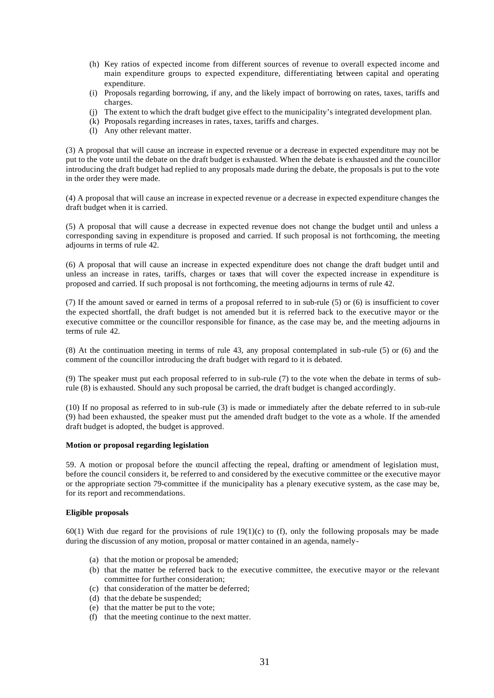- (h) Key ratios of expected income from different sources of revenue to overall expected income and main expenditure groups to expected expenditure, differentiating between capital and operating expenditure.
- (i) Proposals regarding borrowing, if any, and the likely impact of borrowing on rates, taxes, tariffs and charges.
- (j) The extent to which the draft budget give effect to the municipality's integrated development plan.
- (k) Proposals regarding increases in rates, taxes, tariffs and charges.
- (l) Any other relevant matter.

(3) A proposal that will cause an increase in expected revenue or a decrease in expected expenditure may not be put to the vote until the debate on the draft budget is exhausted. When the debate is exhausted and the councillor introducing the draft budget had replied to any proposals made during the debate, the proposals is put to the vote in the order they were made.

(4) A proposal that will cause an increase in expected revenue or a decrease in expected expenditure changes the draft budget when it is carried.

(5) A proposal that will cause a decrease in expected revenue does not change the budget until and unless a corresponding saving in expenditure is proposed and carried. If such proposal is not forthcoming, the meeting adjourns in terms of rule 42.

(6) A proposal that will cause an increase in expected expenditure does not change the draft budget until and unless an increase in rates, tariffs, charges or taxes that will cover the expected increase in expenditure is proposed and carried. If such proposal is not forthcoming, the meeting adjourns in terms of rule 42.

(7) If the amount saved or earned in terms of a proposal referred to in sub-rule (5) or (6) is insufficient to cover the expected shortfall, the draft budget is not amended but it is referred back to the executive mayor or the executive committee or the councillor responsible for finance, as the case may be, and the meeting adjourns in terms of rule 42.

(8) At the continuation meeting in terms of rule 43, any proposal contemplated in sub-rule (5) or (6) and the comment of the councillor introducing the draft budget with regard to it is debated.

(9) The speaker must put each proposal referred to in sub-rule (7) to the vote when the debate in terms of subrule (8) is exhausted. Should any such proposal be carried, the draft budget is changed accordingly.

(10) If no proposal as referred to in sub-rule (3) is made or immediately after the debate referred to in sub-rule (9) had been exhausted, the speaker must put the amended draft budget to the vote as a whole. If the amended draft budget is adopted, the budget is approved.

#### **Motion or proposal regarding legislation**

59. A motion or proposal before the council affecting the repeal, drafting or amendment of legislation must, before the council considers it, be referred to and considered by the executive committee or the executive mayor or the appropriate section 79-committee if the municipality has a plenary executive system, as the case may be, for its report and recommendations.

# **Eligible proposals**

 $60(1)$  With due regard for the provisions of rule  $19(1)(c)$  to (f), only the following proposals may be made during the discussion of any motion, proposal or matter contained in an agenda, namely-

- (a) that the motion or proposal be amended;
- (b) that the matter be referred back to the executive committee, the executive mayor or the relevant committee for further consideration;
- (c) that consideration of the matter be deferred;
- (d) that the debate be suspended;
- (e) that the matter be put to the vote;
- (f) that the meeting continue to the next matter.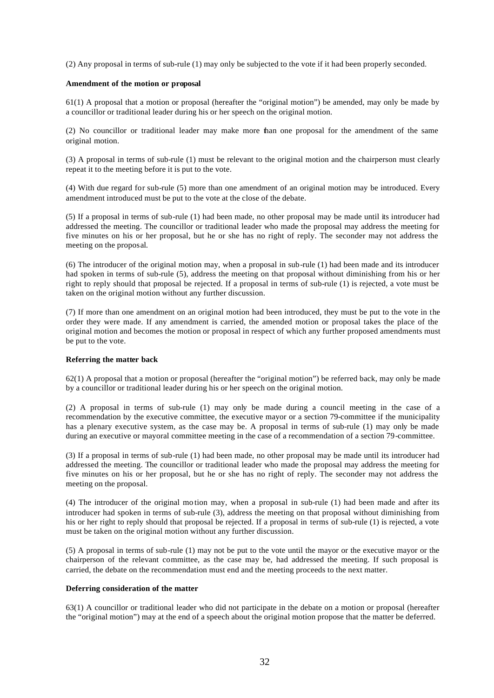(2) Any proposal in terms of sub-rule (1) may only be subjected to the vote if it had been properly seconded.

## **Amendment of the motion or proposal**

61(1) A proposal that a motion or proposal (hereafter the "original motion") be amended, may only be made by a councillor or traditional leader during his or her speech on the original motion.

(2) No councillor or traditional leader may make more than one proposal for the amendment of the same original motion.

(3) A proposal in terms of sub-rule (1) must be relevant to the original motion and the chairperson must clearly repeat it to the meeting before it is put to the vote.

(4) With due regard for sub-rule (5) more than one amendment of an original motion may be introduced. Every amendment introduced must be put to the vote at the close of the debate.

(5) If a proposal in terms of sub-rule (1) had been made, no other proposal may be made until its introducer had addressed the meeting. The councillor or traditional leader who made the proposal may address the meeting for five minutes on his or her proposal, but he or she has no right of reply. The seconder may not address the meeting on the proposal.

(6) The introducer of the original motion may, when a proposal in sub-rule (1) had been made and its introducer had spoken in terms of sub-rule (5), address the meeting on that proposal without diminishing from his or her right to reply should that proposal be rejected. If a proposal in terms of sub-rule (1) is rejected, a vote must be taken on the original motion without any further discussion.

(7) If more than one amendment on an original motion had been introduced, they must be put to the vote in the order they were made. If any amendment is carried, the amended motion or proposal takes the place of the original motion and becomes the motion or proposal in respect of which any further proposed amendments must be put to the vote.

#### **Referring the matter back**

62(1) A proposal that a motion or proposal (hereafter the "original motion") be referred back, may only be made by a councillor or traditional leader during his or her speech on the original motion.

(2) A proposal in terms of sub-rule (1) may only be made during a council meeting in the case of a recommendation by the executive committee, the executive mayor or a section 79-committee if the municipality has a plenary executive system, as the case may be. A proposal in terms of sub-rule (1) may only be made during an executive or mayoral committee meeting in the case of a recommendation of a section 79-committee.

(3) If a proposal in terms of sub-rule (1) had been made, no other proposal may be made until its introducer had addressed the meeting. The councillor or traditional leader who made the proposal may address the meeting for five minutes on his or her proposal, but he or she has no right of reply. The seconder may not address the meeting on the proposal.

(4) The introducer of the original mo tion may, when a proposal in sub-rule (1) had been made and after its introducer had spoken in terms of sub-rule (3), address the meeting on that proposal without diminishing from his or her right to reply should that proposal be rejected. If a proposal in terms of sub-rule (1) is rejected, a vote must be taken on the original motion without any further discussion.

(5) A proposal in terms of sub-rule (1) may not be put to the vote until the mayor or the executive mayor or the chairperson of the relevant committee, as the case may be, had addressed the meeting. If such proposal is carried, the debate on the recommendation must end and the meeting proceeds to the next matter.

#### **Deferring consideration of the matter**

63(1) A councillor or traditional leader who did not participate in the debate on a motion or proposal (hereafter the "original motion") may at the end of a speech about the original motion propose that the matter be deferred.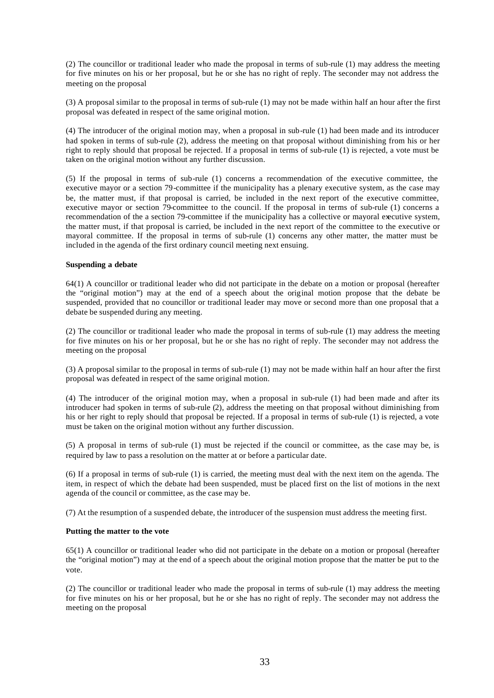(2) The councillor or traditional leader who made the proposal in terms of sub-rule (1) may address the meeting for five minutes on his or her proposal, but he or she has no right of reply. The seconder may not address the meeting on the proposal

(3) A proposal similar to the proposal in terms of sub-rule (1) may not be made within half an hour after the first proposal was defeated in respect of the same original motion.

(4) The introducer of the original motion may, when a proposal in sub-rule (1) had been made and its introducer had spoken in terms of sub-rule (2), address the meeting on that proposal without diminishing from his or her right to reply should that proposal be rejected. If a proposal in terms of sub-rule (1) is rejected, a vote must be taken on the original motion without any further discussion.

(5) If the proposal in terms of sub-rule (1) concerns a recommendation of the executive committee, the executive mayor or a section 79-committee if the municipality has a plenary executive system, as the case may be, the matter must, if that proposal is carried, be included in the next report of the executive committee, executive mayor or section 79-committee to the council. If the proposal in terms of sub-rule (1) concerns a recommendation of the a section 79-committee if the municipality has a collective or mayoral executive system, the matter must, if that proposal is carried, be included in the next report of the committee to the executive or mayoral committee. If the proposal in terms of sub-rule (1) concerns any other matter, the matter must be included in the agenda of the first ordinary council meeting next ensuing.

#### **Suspending a debate**

64(1) A councillor or traditional leader who did not participate in the debate on a motion or proposal (hereafter the "original motion") may at the end of a speech about the original motion propose that the debate be suspended, provided that no councillor or traditional leader may move or second more than one proposal that a debate be suspended during any meeting.

(2) The councillor or traditional leader who made the proposal in terms of sub-rule (1) may address the meeting for five minutes on his or her proposal, but he or she has no right of reply. The seconder may not address the meeting on the proposal

(3) A proposal similar to the proposal in terms of sub-rule (1) may not be made within half an hour after the first proposal was defeated in respect of the same original motion.

(4) The introducer of the original motion may, when a proposal in sub-rule (1) had been made and after its introducer had spoken in terms of sub-rule (2), address the meeting on that proposal without diminishing from his or her right to reply should that proposal be rejected. If a proposal in terms of sub-rule (1) is rejected, a vote must be taken on the original motion without any further discussion.

(5) A proposal in terms of sub-rule (1) must be rejected if the council or committee, as the case may be, is required by law to pass a resolution on the matter at or before a particular date.

(6) If a proposal in terms of sub-rule (1) is carried, the meeting must deal with the next item on the agenda. The item, in respect of which the debate had been suspended, must be placed first on the list of motions in the next agenda of the council or committee, as the case may be.

(7) At the resumption of a suspended debate, the introducer of the suspension must address the meeting first.

# **Putting the matter to the vote**

65(1) A councillor or traditional leader who did not participate in the debate on a motion or proposal (hereafter the "original motion") may at the end of a speech about the original motion propose that the matter be put to the vote.

(2) The councillor or traditional leader who made the proposal in terms of sub-rule (1) may address the meeting for five minutes on his or her proposal, but he or she has no right of reply. The seconder may not address the meeting on the proposal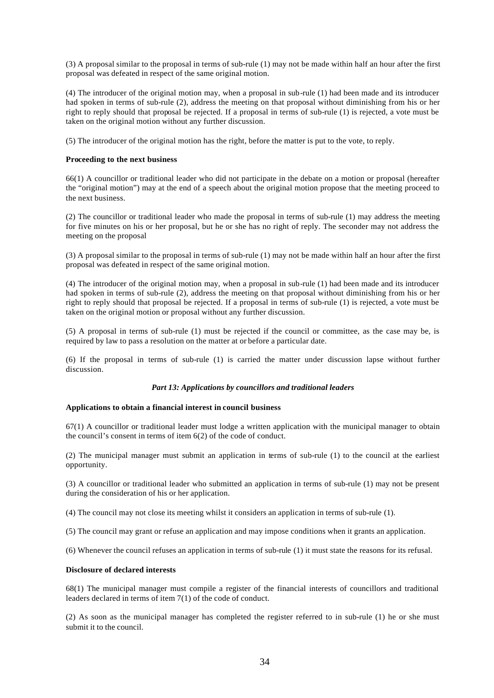(3) A proposal similar to the proposal in terms of sub-rule (1) may not be made within half an hour after the first proposal was defeated in respect of the same original motion.

(4) The introducer of the original motion may, when a proposal in sub-rule (1) had been made and its introducer had spoken in terms of sub-rule (2), address the meeting on that proposal without diminishing from his or her right to reply should that proposal be rejected. If a proposal in terms of sub-rule (1) is rejected, a vote must be taken on the original motion without any further discussion.

(5) The introducer of the original motion has the right, before the matter is put to the vote, to reply.

## **Proceeding to the next business**

66(1) A councillor or traditional leader who did not participate in the debate on a motion or proposal (hereafter the "original motion") may at the end of a speech about the original motion propose that the meeting proceed to the next business.

(2) The councillor or traditional leader who made the proposal in terms of sub-rule (1) may address the meeting for five minutes on his or her proposal, but he or she has no right of reply. The seconder may not address the meeting on the proposal

(3) A proposal similar to the proposal in terms of sub-rule (1) may not be made within half an hour after the first proposal was defeated in respect of the same original motion.

(4) The introducer of the original motion may, when a proposal in sub-rule (1) had been made and its introducer had spoken in terms of sub-rule (2), address the meeting on that proposal without diminishing from his or her right to reply should that proposal be rejected. If a proposal in terms of sub-rule (1) is rejected, a vote must be taken on the original motion or proposal without any further discussion.

(5) A proposal in terms of sub-rule (1) must be rejected if the council or committee, as the case may be, is required by law to pass a resolution on the matter at or before a particular date.

(6) If the proposal in terms of sub-rule (1) is carried the matter under discussion lapse without further discussion.

# *Part 13: Applications by councillors and traditional leaders*

#### **Applications to obtain a financial interest in council business**

67(1) A councillor or traditional leader must lodge a written application with the municipal manager to obtain the council's consent in terms of item 6(2) of the code of conduct.

(2) The municipal manager must submit an application in terms of sub-rule (1) to the council at the earliest opportunity.

(3) A councillor or traditional leader who submitted an application in terms of sub-rule (1) may not be present during the consideration of his or her application.

(4) The council may not close its meeting whilst it considers an application in terms of sub-rule (1).

(5) The council may grant or refuse an application and may impose conditions when it grants an application.

(6) Whenever the council refuses an application in terms of sub-rule (1) it must state the reasons for its refusal.

#### **Disclosure of declared interests**

68(1) The municipal manager must compile a register of the financial interests of councillors and traditional leaders declared in terms of item 7(1) of the code of conduct.

(2) As soon as the municipal manager has completed the register referred to in sub-rule (1) he or she must submit it to the council.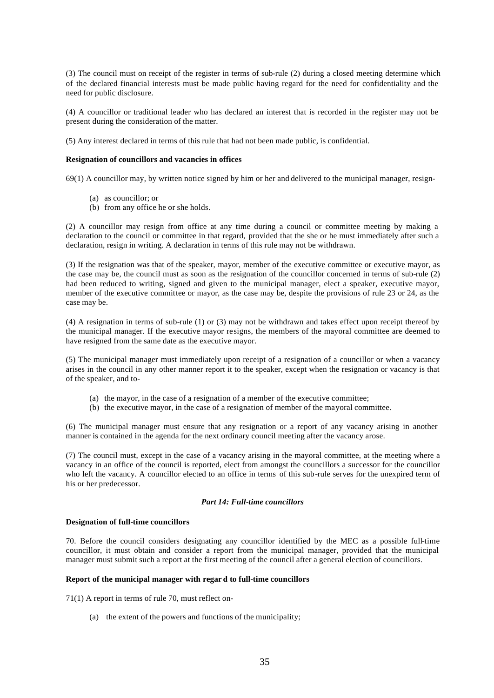(3) The council must on receipt of the register in terms of sub-rule (2) during a closed meeting determine which of the declared financial interests must be made public having regard for the need for confidentiality and the need for public disclosure.

(4) A councillor or traditional leader who has declared an interest that is recorded in the register may not be present during the consideration of the matter.

(5) Any interest declared in terms of this rule that had not been made public, is confidential.

## **Resignation of councillors and vacancies in offices**

69(1) A councillor may, by written notice signed by him or her and delivered to the municipal manager, resign-

- (a) as councillor; or
- (b) from any office he or she holds.

(2) A councillor may resign from office at any time during a council or committee meeting by making a declaration to the council or committee in that regard, provided that the she or he must immediately after such a declaration, resign in writing. A declaration in terms of this rule may not be withdrawn.

(3) If the resignation was that of the speaker, mayor, member of the executive committee or executive mayor, as the case may be, the council must as soon as the resignation of the councillor concerned in terms of sub-rule (2) had been reduced to writing, signed and given to the municipal manager, elect a speaker, executive mayor, member of the executive committee or mayor, as the case may be, despite the provisions of rule 23 or 24, as the case may be.

(4) A resignation in terms of sub-rule (1) or (3) may not be withdrawn and takes effect upon receipt thereof by the municipal manager. If the executive mayor resigns, the members of the mayoral committee are deemed to have resigned from the same date as the executive mayor.

(5) The municipal manager must immediately upon receipt of a resignation of a councillor or when a vacancy arises in the council in any other manner report it to the speaker, except when the resignation or vacancy is that of the speaker, and to-

- (a) the mayor, in the case of a resignation of a member of the executive committee;
- (b) the executive mayor, in the case of a resignation of member of the mayoral committee.

(6) The municipal manager must ensure that any resignation or a report of any vacancy arising in another manner is contained in the agenda for the next ordinary council meeting after the vacancy arose.

(7) The council must, except in the case of a vacancy arising in the mayoral committee, at the meeting where a vacancy in an office of the council is reported, elect from amongst the councillors a successor for the councillor who left the vacancy. A councillor elected to an office in terms of this sub-rule serves for the unexpired term of his or her predecessor.

#### *Part 14: Full-time councillors*

## **Designation of full-time councillors**

70. Before the council considers designating any councillor identified by the MEC as a possible full-time councillor, it must obtain and consider a report from the municipal manager, provided that the municipal manager must submit such a report at the first meeting of the council after a general election of councillors.

#### **Report of the municipal manager with regar d to full-time councillors**

71(1) A report in terms of rule 70, must reflect on-

(a) the extent of the powers and functions of the municipality;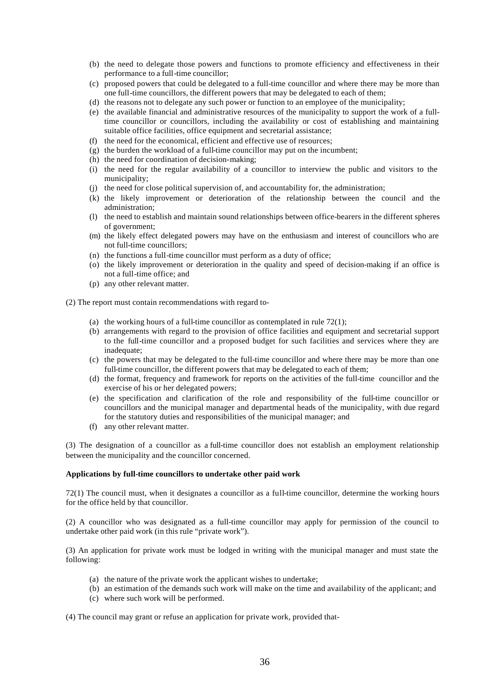- (b) the need to delegate those powers and functions to promote efficiency and effectiveness in their performance to a full-time councillor;
- (c) proposed powers that could be delegated to a full-time councillor and where there may be more than one full-time councillors, the different powers that may be delegated to each of them;
- (d) the reasons not to delegate any such power or function to an employee of the municipality;
- (e) the available financial and administrative resources of the municipality to support the work of a fulltime councillor or councillors, including the availability or cost of establishing and maintaining suitable office facilities, office equipment and secretarial assistance;
- (f) the need for the economical, efficient and effective use of resources;
- (g) the burden the workload of a full-time councillor may put on the incumbent;
- (h) the need for coordination of decision-making;
- (i) the need for the regular availability of a councillor to interview the public and visitors to the municipality;
- (j) the need for close political supervision of, and accountability for, the administration;
- (k) the likely improvement or deterioration of the relationship between the council and the administration;
- (l) the need to establish and maintain sound relationships between office-bearers in the different spheres of government;
- (m) the likely effect delegated powers may have on the enthusiasm and interest of councillors who are not full-time councillors;
- (n) the functions a full-time councillor must perform as a duty of office;
- (o) the likely improvement or deterioration in the quality and speed of decision-making if an office is not a full-time office; and
- (p) any other relevant matter.

(2) The report must contain recommendations with regard to-

- (a) the working hours of a full-time councillor as contemplated in rule  $72(1)$ ;
- (b) arrangements with regard to the provision of office facilities and equipment and secretarial support to the full-time councillor and a proposed budget for such facilities and services where they are inadequate:
- (c) the powers that may be delegated to the full-time councillor and where there may be more than one full-time councillor, the different powers that may be delegated to each of them;
- (d) the format, frequency and framework for reports on the activities of the full-time councillor and the exercise of his or her delegated powers;
- (e) the specification and clarification of the role and responsibility of the full-time councillor or councillors and the municipal manager and departmental heads of the municipality, with due regard for the statutory duties and responsibilities of the municipal manager; and
- (f) any other relevant matter.

(3) The designation of a councillor as a full-time councillor does not establish an employment relationship between the municipality and the councillor concerned.

# **Applications by full-time councillors to undertake other paid work**

72(1) The council must, when it designates a councillor as a full-time councillor, determine the working hours for the office held by that councillor.

(2) A councillor who was designated as a full-time councillor may apply for permission of the council to undertake other paid work (in this rule "private work").

(3) An application for private work must be lodged in writing with the municipal manager and must state the following:

- (a) the nature of the private work the applicant wishes to undertake;
- (b) an estimation of the demands such work will make on the time and availability of the applicant; and
- (c) where such work will be performed.

(4) The council may grant or refuse an application for private work, provided that-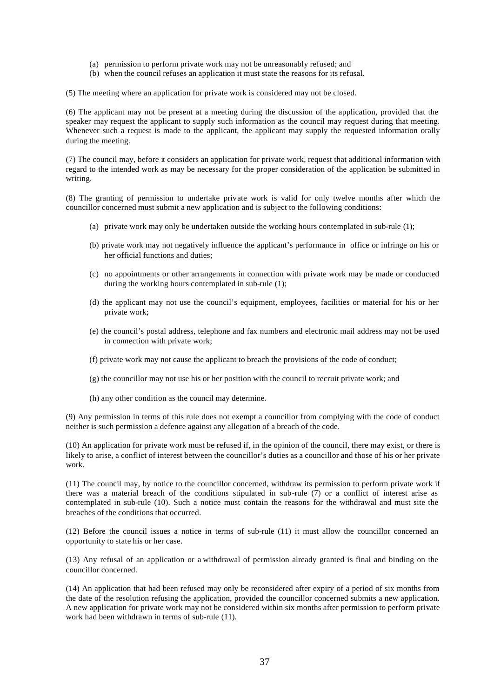- (a) permission to perform private work may not be unreasonably refused; and
- (b) when the council refuses an application it must state the reasons for its refusal.
- (5) The meeting where an application for private work is considered may not be closed.

(6) The applicant may not be present at a meeting during the discussion of the application, provided that the speaker may request the applicant to supply such information as the council may request during that meeting. Whenever such a request is made to the applicant, the applicant may supply the requested information orally during the meeting.

(7) The council may, before it considers an application for private work, request that additional information with regard to the intended work as may be necessary for the proper consideration of the application be submitted in writing.

(8) The granting of permission to undertake private work is valid for only twelve months after which the councillor concerned must submit a new application and is subject to the following conditions:

- (a) private work may only be undertaken outside the working hours contemplated in sub-rule (1);
- (b) private work may not negatively influence the applicant's performance in office or infringe on his or her official functions and duties;
- (c) no appointments or other arrangements in connection with private work may be made or conducted during the working hours contemplated in sub-rule (1);
- (d) the applicant may not use the council's equipment, employees, facilities or material for his or her private work;
- (e) the council's postal address, telephone and fax numbers and electronic mail address may not be used in connection with private work;
- (f) private work may not cause the applicant to breach the provisions of the code of conduct;
- (g) the councillor may not use his or her position with the council to recruit private work; and
- (h) any other condition as the council may determine.

(9) Any permission in terms of this rule does not exempt a councillor from complying with the code of conduct neither is such permission a defence against any allegation of a breach of the code.

(10) An application for private work must be refused if, in the opinion of the council, there may exist, or there is likely to arise, a conflict of interest between the councillor's duties as a councillor and those of his or her private work.

(11) The council may, by notice to the councillor concerned, withdraw its permission to perform private work if there was a material breach of the conditions stipulated in sub-rule (7) or a conflict of interest arise as contemplated in sub-rule (10). Such a notice must contain the reasons for the withdrawal and must site the breaches of the conditions that occurred.

(12) Before the council issues a notice in terms of sub-rule (11) it must allow the councillor concerned an opportunity to state his or her case.

(13) Any refusal of an application or a withdrawal of permission already granted is final and binding on the councillor concerned.

(14) An application that had been refused may only be reconsidered after expiry of a period of six months from the date of the resolution refusing the application, provided the councillor concerned submits a new application. A new application for private work may not be considered within six months after permission to perform private work had been withdrawn in terms of sub-rule (11).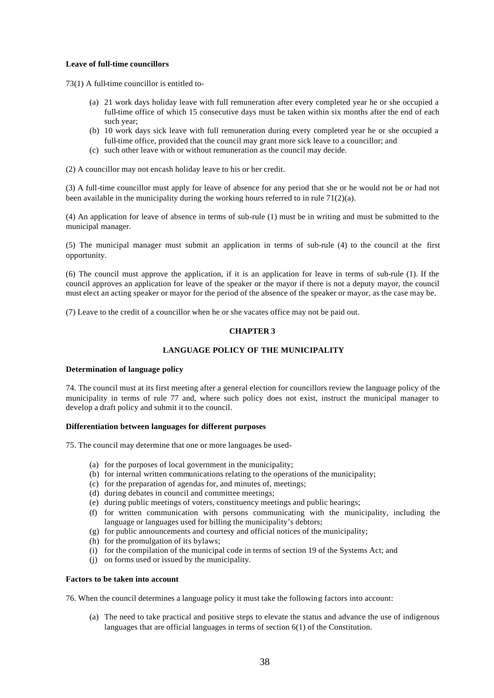# **Leave of full-time councillors**

73(1) A full-time councillor is entitled to-

- (a) 21 work days holiday leave with full remuneration after every completed year he or she occupied a full-time office of which 15 consecutive days must be taken within six months after the end of each such year;
- (b) 10 work days sick leave with full remuneration during every completed year he or she occupied a full-time office, provided that the council may grant more sick leave to a councillor; and
- (c) such other leave with or without remuneration as the council may decide.

(2) A councillor may not encash holiday leave to his or her credit.

(3) A full-time councillor must apply for leave of absence for any period that she or he would not be or had not been available in the municipality during the working hours referred to in rule  $71(2)(a)$ .

(4) An application for leave of absence in terms of sub-rule (1) must be in writing and must be submitted to the municipal manager.

(5) The municipal manager must submit an application in terms of sub-rule (4) to the council at the first opportunity.

(6) The council must approve the application, if it is an application for leave in terms of sub-rule (1). If the council approves an application for leave of the speaker or the mayor if there is not a deputy mayor, the council must elect an acting speaker or mayor for the period of the absence of the speaker or mayor, as the case may be.

(7) Leave to the credit of a councillor when he or she vacates office may not be paid out.

# **CHAPTER 3**

# **LANGUAGE POLICY OF THE MUNICIPALITY**

#### **Determination of language policy**

74. The council must at its first meeting after a general election for councillors review the language policy of the municipality in terms of rule 77 and, where such policy does not exist, instruct the municipal manager to develop a draft policy and submit it to the council.

# **Differentiation between languages for different purposes**

75. The council may determine that one or more languages be used-

- (a) for the purposes of local government in the municipality;
- (b) for internal written communications relating to the operations of the municipality;
- (c) for the preparation of agendas for, and minutes of, meetings;
- (d) during debates in council and committee meetings;
- (e) during public meetings of voters, constituency meetings and public hearings;
- (f) for written communication with persons communicating with the municipality, including the language or languages used for billing the municipality's debtors;
- (g) for public announcements and courtesy and official notices of the municipality;
- (h) for the promulgation of its bylaws;
- (i) for the compilation of the municipal code in terms of section 19 of the Systems Act; and
- (j) on forms used or issued by the municipality.

#### **Factors to be taken into account**

76. When the council determines a language policy it must take the following factors into account:

(a) The need to take practical and positive steps to elevate the status and advance the use of indigenous languages that are official languages in terms of section 6(1) of the Constitution.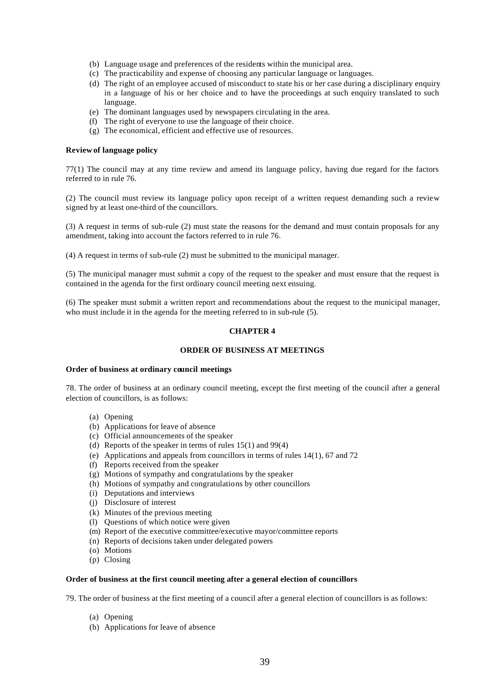- (b) Language usage and preferences of the residents within the municipal area.
- (c) The practicability and expense of choosing any particular language or languages.
- (d) The right of an employee accused of misconduct to state his or her case during a disciplinary enquiry in a language of his or her choice and to have the proceedings at such enquiry translated to such language.
- (e) The dominant languages used by newspapers circulating in the area.
- (f) The right of everyone to use the language of their choice.
- (g) The economical, efficient and effective use of resources.

### **Review of language policy**

77(1) The council may at any time review and amend its language policy, having due regard for the factors referred to in rule 76.

(2) The council must review its language policy upon receipt of a written request demanding such a review signed by at least one-third of the councillors.

(3) A request in terms of sub-rule (2) must state the reasons for the demand and must contain proposals for any amendment, taking into account the factors referred to in rule 76.

(4) A request in terms of sub-rule (2) must be submitted to the municipal manager.

(5) The municipal manager must submit a copy of the request to the speaker and must ensure that the request is contained in the agenda for the first ordinary council meeting next ensuing.

(6) The speaker must submit a written report and recommendations about the request to the municipal manager, who must include it in the agenda for the meeting referred to in sub-rule (5).

# **CHAPTER 4**

# **ORDER OF BUSINESS AT MEETINGS**

#### **Order of business at ordinary council meetings**

78. The order of business at an ordinary council meeting, except the first meeting of the council after a general election of councillors, is as follows:

- (a) Opening
- (b) Applications for leave of absence
- (c) Official announcements of the speaker
- (d) Reports of the speaker in terms of rules 15(1) and 99(4)
- (e) Applications and appeals from councillors in terms of rules 14(1), 67 and 72
- (f) Reports received from the speaker
- (g) Motions of sympathy and congratulations by the speaker
- (h) Motions of sympathy and congratulations by other councillors
- (i) Deputations and interviews
- (j) Disclosure of interest
- (k) Minutes of the previous meeting
- (l) Questions of which notice were given
- (m) Report of the executive committee/executive mayor/committee reports
- (n) Reports of decisions taken under delegated powers
- (o) Motions
- (p) Closing

#### **Order of business at the first council meeting after a general election of councillors**

79. The order of business at the first meeting of a council after a general election of councillors is as follows:

- (a) Opening
- (b) Applications for leave of absence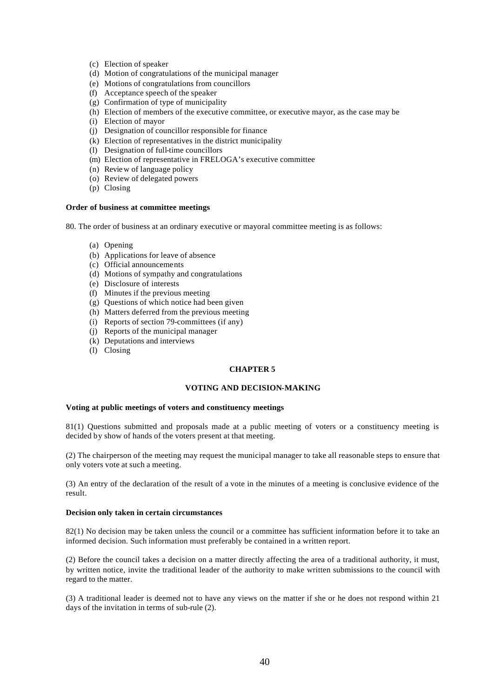- (c) Election of speaker
- (d) Motion of congratulations of the municipal manager
- (e) Motions of congratulations from councillors
- (f) Acceptance speech of the speaker
- (g) Confirmation of type of municipality
- (h) Election of members of the executive committee, or executive mayor, as the case may be
- (i) Election of mayor
- (j) Designation of councillor responsible for finance
- (k) Election of representatives in the district municipality
- (l) Designation of full-time councillors
- (m) Election of representative in FRELOGA's executive committee
- (n) Review of language policy
- (o) Review of delegated powers
- (p) Closing

# **Order of business at committee meetings**

80. The order of business at an ordinary executive or mayoral committee meeting is as follows:

- (a) Opening
- (b) Applications for leave of absence
- (c) Official announcements
- (d) Motions of sympathy and congratulations
- (e) Disclosure of interests
- (f) Minutes if the previous meeting
- (g) Questions of which notice had been given
- (h) Matters deferred from the previous meeting
- (i) Reports of section 79-committees (if any)
- (j) Reports of the municipal manager
- (k) Deputations and interviews
- (l) Closing

# **CHAPTER 5**

### **VOTING AND DECISION-MAKING**

### **Voting at public meetings of voters and constituency meetings**

81(1) Questions submitted and proposals made at a public meeting of voters or a constituency meeting is decided by show of hands of the voters present at that meeting.

(2) The chairperson of the meeting may request the municipal manager to take all reasonable steps to ensure that only voters vote at such a meeting.

(3) An entry of the declaration of the result of a vote in the minutes of a meeting is conclusive evidence of the result.

### **Decision only taken in certain circumstances**

82(1) No decision may be taken unless the council or a committee has sufficient information before it to take an informed decision. Such information must preferably be contained in a written report.

(2) Before the council takes a decision on a matter directly affecting the area of a traditional authority, it must, by written notice, invite the traditional leader of the authority to make written submissions to the council with regard to the matter.

(3) A traditional leader is deemed not to have any views on the matter if she or he does not respond within 21 days of the invitation in terms of sub-rule (2).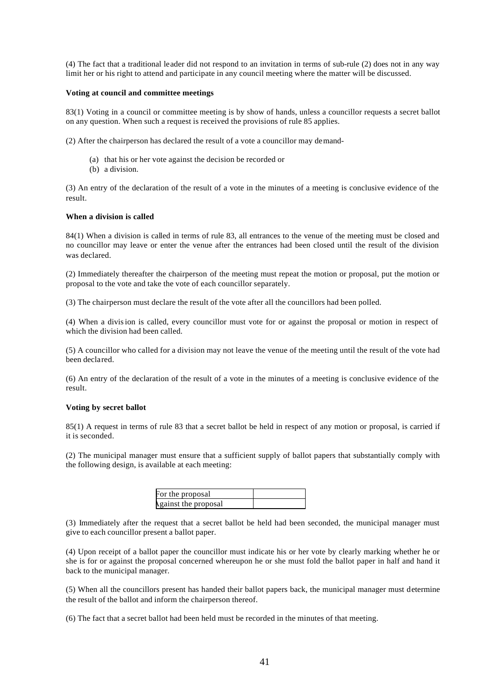(4) The fact that a traditional leader did not respond to an invitation in terms of sub-rule (2) does not in any way limit her or his right to attend and participate in any council meeting where the matter will be discussed.

#### **Voting at council and committee meetings**

83(1) Voting in a council or committee meeting is by show of hands, unless a councillor requests a secret ballot on any question. When such a request is received the provisions of rule 85 applies.

(2) After the chairperson has declared the result of a vote a councillor may demand-

- (a) that his or her vote against the decision be recorded or
- (b) a division.

(3) An entry of the declaration of the result of a vote in the minutes of a meeting is conclusive evidence of the result.

### **When a division is called**

84(1) When a division is called in terms of rule 83, all entrances to the venue of the meeting must be closed and no councillor may leave or enter the venue after the entrances had been closed until the result of the division was declared.

(2) Immediately thereafter the chairperson of the meeting must repeat the motion or proposal, put the motion or proposal to the vote and take the vote of each councillor separately.

(3) The chairperson must declare the result of the vote after all the councillors had been polled.

(4) When a division is called, every councillor must vote for or against the proposal or motion in respect of which the division had been called.

(5) A councillor who called for a division may not leave the venue of the meeting until the result of the vote had been declared.

(6) An entry of the declaration of the result of a vote in the minutes of a meeting is conclusive evidence of the result.

#### **Voting by secret ballot**

85(1) A request in terms of rule 83 that a secret ballot be held in respect of any motion or proposal, is carried if it is seconded.

(2) The municipal manager must ensure that a sufficient supply of ballot papers that substantially comply with the following design, is available at each meeting:

| For the proposal     |  |
|----------------------|--|
| Against the proposal |  |

(3) Immediately after the request that a secret ballot be held had been seconded, the municipal manager must give to each councillor present a ballot paper.

(4) Upon receipt of a ballot paper the councillor must indicate his or her vote by clearly marking whether he or she is for or against the proposal concerned whereupon he or she must fold the ballot paper in half and hand it back to the municipal manager.

(5) When all the councillors present has handed their ballot papers back, the municipal manager must determine the result of the ballot and inform the chairperson thereof.

(6) The fact that a secret ballot had been held must be recorded in the minutes of that meeting.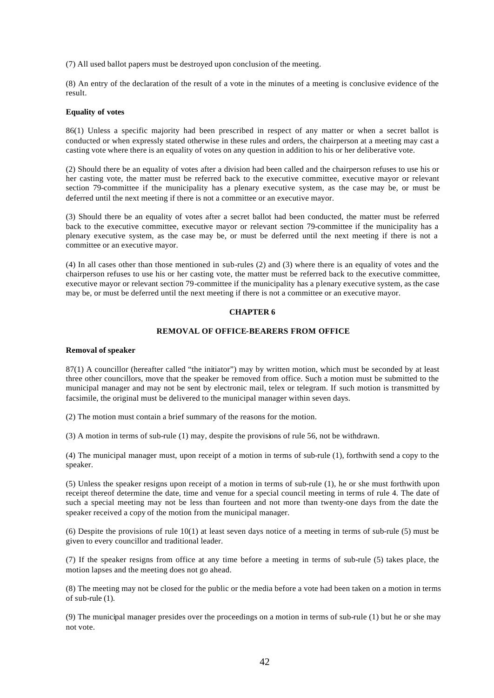(7) All used ballot papers must be destroyed upon conclusion of the meeting.

(8) An entry of the declaration of the result of a vote in the minutes of a meeting is conclusive evidence of the result.

#### **Equality of votes**

86(1) Unless a specific majority had been prescribed in respect of any matter or when a secret ballot is conducted or when expressly stated otherwise in these rules and orders, the chairperson at a meeting may cast a casting vote where there is an equality of votes on any question in addition to his or her deliberative vote.

(2) Should there be an equality of votes after a division had been called and the chairperson refuses to use his or her casting vote, the matter must be referred back to the executive committee, executive mayor or relevant section 79-committee if the municipality has a plenary executive system, as the case may be, or must be deferred until the next meeting if there is not a committee or an executive mayor.

(3) Should there be an equality of votes after a secret ballot had been conducted, the matter must be referred back to the executive committee, executive mayor or relevant section 79-committee if the municipality has a plenary executive system, as the case may be, or must be deferred until the next meeting if there is not a committee or an executive mayor.

(4) In all cases other than those mentioned in sub-rules (2) and (3) where there is an equality of votes and the chairperson refuses to use his or her casting vote, the matter must be referred back to the executive committee, executive mayor or relevant section 79-committee if the municipality has a plenary executive system, as the case may be, or must be deferred until the next meeting if there is not a committee or an executive mayor.

# **CHAPTER 6**

### **REMOVAL OF OFFICE-BEARERS FROM OFFICE**

#### **Removal of speaker**

87(1) A councillor (hereafter called "the initiator") may by written motion, which must be seconded by at least three other councillors, move that the speaker be removed from office. Such a motion must be submitted to the municipal manager and may not be sent by electronic mail, telex or telegram. If such motion is transmitted by facsimile, the original must be delivered to the municipal manager within seven days.

(2) The motion must contain a brief summary of the reasons for the motion.

(3) A motion in terms of sub-rule (1) may, despite the provisions of rule 56, not be withdrawn.

(4) The municipal manager must, upon receipt of a motion in terms of sub-rule (1), forthwith send a copy to the speaker.

(5) Unless the speaker resigns upon receipt of a motion in terms of sub-rule (1), he or she must forthwith upon receipt thereof determine the date, time and venue for a special council meeting in terms of rule 4. The date of such a special meeting may not be less than fourteen and not more than twenty-one days from the date the speaker received a copy of the motion from the municipal manager.

(6) Despite the provisions of rule 10(1) at least seven days notice of a meeting in terms of sub-rule (5) must be given to every councillor and traditional leader.

(7) If the speaker resigns from office at any time before a meeting in terms of sub-rule (5) takes place, the motion lapses and the meeting does not go ahead.

(8) The meeting may not be closed for the public or the media before a vote had been taken on a motion in terms of sub-rule (1).

(9) The municipal manager presides over the proceedings on a motion in terms of sub-rule (1) but he or she may not vote.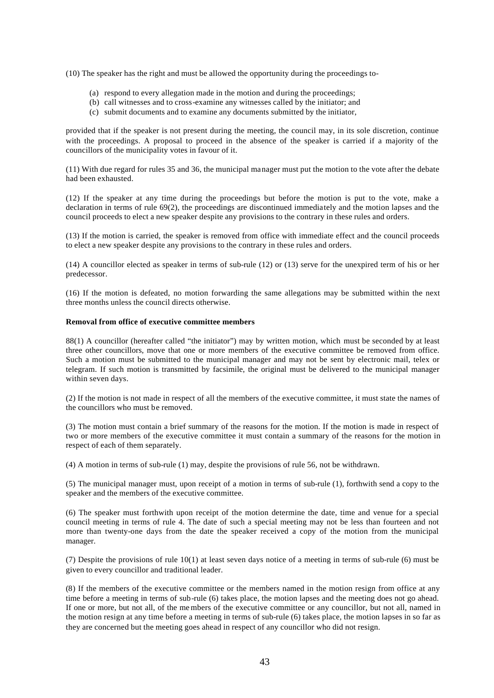(10) The speaker has the right and must be allowed the opportunity during the proceedings to-

- (a) respond to every allegation made in the motion and during the proceedings;
- (b) call witnesses and to cross-examine any witnesses called by the initiator; and
- (c) submit documents and to examine any documents submitted by the initiator,

provided that if the speaker is not present during the meeting, the council may, in its sole discretion, continue with the proceedings. A proposal to proceed in the absence of the speaker is carried if a majority of the councillors of the municipality votes in favour of it.

(11) With due regard for rules 35 and 36, the municipal manager must put the motion to the vote after the debate had been exhausted.

(12) If the speaker at any time during the proceedings but before the motion is put to the vote, make a declaration in terms of rule 69(2), the proceedings are discontinued immediately and the motion lapses and the council proceeds to elect a new speaker despite any provisions to the contrary in these rules and orders.

(13) If the motion is carried, the speaker is removed from office with immediate effect and the council proceeds to elect a new speaker despite any provisions to the contrary in these rules and orders.

(14) A councillor elected as speaker in terms of sub-rule (12) or (13) serve for the unexpired term of his or her predecessor.

(16) If the motion is defeated, no motion forwarding the same allegations may be submitted within the next three months unless the council directs otherwise.

# **Removal from office of executive committee members**

88(1) A councillor (hereafter called "the initiator") may by written motion, which must be seconded by at least three other councillors, move that one or more members of the executive committee be removed from office. Such a motion must be submitted to the municipal manager and may not be sent by electronic mail, telex or telegram. If such motion is transmitted by facsimile, the original must be delivered to the municipal manager within seven days.

(2) If the motion is not made in respect of all the members of the executive committee, it must state the names of the councillors who must be removed.

(3) The motion must contain a brief summary of the reasons for the motion. If the motion is made in respect of two or more members of the executive committee it must contain a summary of the reasons for the motion in respect of each of them separately.

(4) A motion in terms of sub-rule (1) may, despite the provisions of rule 56, not be withdrawn.

(5) The municipal manager must, upon receipt of a motion in terms of sub-rule (1), forthwith send a copy to the speaker and the members of the executive committee.

(6) The speaker must forthwith upon receipt of the motion determine the date, time and venue for a special council meeting in terms of rule 4. The date of such a special meeting may not be less than fourteen and not more than twenty-one days from the date the speaker received a copy of the motion from the municipal manager.

(7) Despite the provisions of rule 10(1) at least seven days notice of a meeting in terms of sub-rule (6) must be given to every councillor and traditional leader.

(8) If the members of the executive committee or the members named in the motion resign from office at any time before a meeting in terms of sub-rule (6) takes place, the motion lapses and the meeting does not go ahead. If one or more, but not all, of the me mbers of the executive committee or any councillor, but not all, named in the motion resign at any time before a meeting in terms of sub-rule (6) takes place, the motion lapses in so far as they are concerned but the meeting goes ahead in respect of any councillor who did not resign.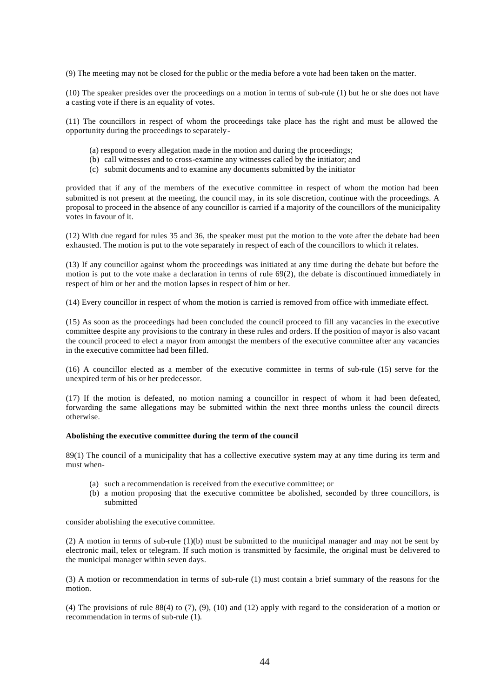(9) The meeting may not be closed for the public or the media before a vote had been taken on the matter.

(10) The speaker presides over the proceedings on a motion in terms of sub-rule (1) but he or she does not have a casting vote if there is an equality of votes.

(11) The councillors in respect of whom the proceedings take place has the right and must be allowed the opportunity during the proceedings to separately-

- (a) respond to every allegation made in the motion and during the proceedings;
- (b) call witnesses and to cross-examine any witnesses called by the initiator; and
- (c) submit documents and to examine any documents submitted by the initiator

provided that if any of the members of the executive committee in respect of whom the motion had been submitted is not present at the meeting, the council may, in its sole discretion, continue with the proceedings. A proposal to proceed in the absence of any councillor is carried if a majority of the councillors of the municipality votes in favour of it.

(12) With due regard for rules 35 and 36, the speaker must put the motion to the vote after the debate had been exhausted. The motion is put to the vote separately in respect of each of the councillors to which it relates.

(13) If any councillor against whom the proceedings was initiated at any time during the debate but before the motion is put to the vote make a declaration in terms of rule 69(2), the debate is discontinued immediately in respect of him or her and the motion lapses in respect of him or her.

(14) Every councillor in respect of whom the motion is carried is removed from office with immediate effect.

(15) As soon as the proceedings had been concluded the council proceed to fill any vacancies in the executive committee despite any provisions to the contrary in these rules and orders. If the position of mayor is also vacant the council proceed to elect a mayor from amongst the members of the executive committee after any vacancies in the executive committee had been filled.

(16) A councillor elected as a member of the executive committee in terms of sub-rule (15) serve for the unexpired term of his or her predecessor.

(17) If the motion is defeated, no motion naming a councillor in respect of whom it had been defeated, forwarding the same allegations may be submitted within the next three months unless the council directs otherwise.

#### **Abolishing the executive committee during the term of the council**

89(1) The council of a municipality that has a collective executive system may at any time during its term and must when-

- (a) such a recommendation is received from the executive committee; or
- (b) a motion proposing that the executive committee be abolished, seconded by three councillors, is submitted

consider abolishing the executive committee.

(2) A motion in terms of sub-rule (1)(b) must be submitted to the municipal manager and may not be sent by electronic mail, telex or telegram. If such motion is transmitted by facsimile, the original must be delivered to the municipal manager within seven days.

(3) A motion or recommendation in terms of sub-rule (1) must contain a brief summary of the reasons for the motion.

(4) The provisions of rule 88(4) to (7), (9), (10) and (12) apply with regard to the consideration of a motion or recommendation in terms of sub-rule (1).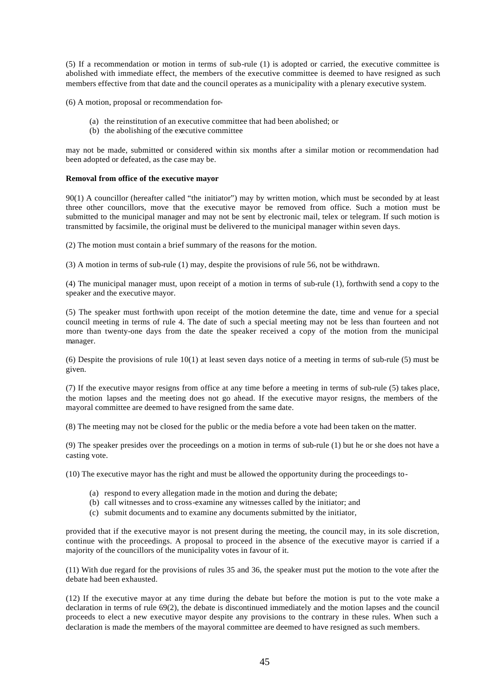(5) If a recommendation or motion in terms of sub-rule (1) is adopted or carried, the executive committee is abolished with immediate effect, the members of the executive committee is deemed to have resigned as such members effective from that date and the council operates as a municipality with a plenary executive system.

(6) A motion, proposal or recommendation for-

- (a) the reinstitution of an executive committee that had been abolished; or
- (b) the abolishing of the executive committee

may not be made, submitted or considered within six months after a similar motion or recommendation had been adopted or defeated, as the case may be.

### **Removal from office of the executive mayor**

90(1) A councillor (hereafter called "the initiator") may by written motion, which must be seconded by at least three other councillors, move that the executive mayor be removed from office. Such a motion must be submitted to the municipal manager and may not be sent by electronic mail, telex or telegram. If such motion is transmitted by facsimile, the original must be delivered to the municipal manager within seven days.

(2) The motion must contain a brief summary of the reasons for the motion.

(3) A motion in terms of sub-rule (1) may, despite the provisions of rule 56, not be withdrawn.

(4) The municipal manager must, upon receipt of a motion in terms of sub-rule (1), forthwith send a copy to the speaker and the executive mayor.

(5) The speaker must forthwith upon receipt of the motion determine the date, time and venue for a special council meeting in terms of rule 4. The date of such a special meeting may not be less than fourteen and not more than twenty-one days from the date the speaker received a copy of the motion from the municipal manager.

(6) Despite the provisions of rule 10(1) at least seven days notice of a meeting in terms of sub-rule (5) must be given.

(7) If the executive mayor resigns from office at any time before a meeting in terms of sub-rule (5) takes place, the motion lapses and the meeting does not go ahead. If the executive mayor resigns, the members of the mayoral committee are deemed to have resigned from the same date.

(8) The meeting may not be closed for the public or the media before a vote had been taken on the matter.

(9) The speaker presides over the proceedings on a motion in terms of sub-rule (1) but he or she does not have a casting vote.

(10) The executive mayor has the right and must be allowed the opportunity during the proceedings to-

- (a) respond to every allegation made in the motion and during the debate;
- (b) call witnesses and to cross-examine any witnesses called by the initiator; and
- (c) submit documents and to examine any documents submitted by the initiator,

provided that if the executive mayor is not present during the meeting, the council may, in its sole discretion, continue with the proceedings. A proposal to proceed in the absence of the executive mayor is carried if a majority of the councillors of the municipality votes in favour of it.

(11) With due regard for the provisions of rules 35 and 36, the speaker must put the motion to the vote after the debate had been exhausted.

(12) If the executive mayor at any time during the debate but before the motion is put to the vote make a declaration in terms of rule 69(2), the debate is discontinued immediately and the motion lapses and the council proceeds to elect a new executive mayor despite any provisions to the contrary in these rules. When such a declaration is made the members of the mayoral committee are deemed to have resigned as such members.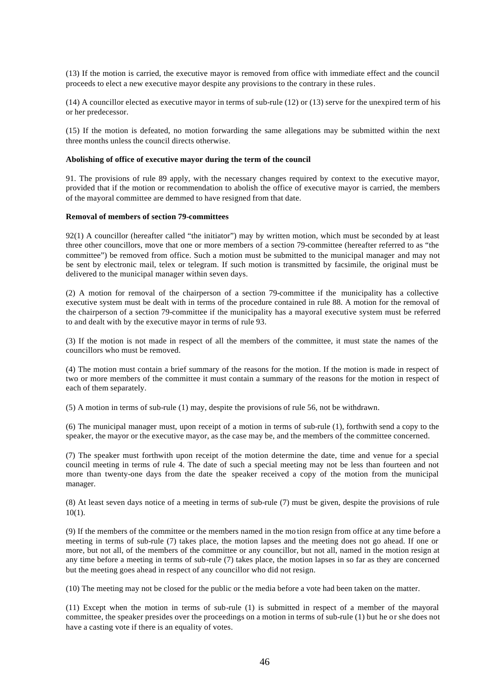(13) If the motion is carried, the executive mayor is removed from office with immediate effect and the council proceeds to elect a new executive mayor despite any provisions to the contrary in these rules.

(14) A councillor elected as executive mayor in terms of sub-rule (12) or (13) serve for the unexpired term of his or her predecessor.

(15) If the motion is defeated, no motion forwarding the same allegations may be submitted within the next three months unless the council directs otherwise.

### **Abolishing of office of executive mayor during the term of the council**

91. The provisions of rule 89 apply, with the necessary changes required by context to the executive mayor, provided that if the motion or recommendation to abolish the office of executive mayor is carried, the members of the mayoral committee are demmed to have resigned from that date.

#### **Removal of members of section 79-committees**

92(1) A councillor (hereafter called "the initiator") may by written motion, which must be seconded by at least three other councillors, move that one or more members of a section 79-committee (hereafter referred to as "the committee") be removed from office. Such a motion must be submitted to the municipal manager and may not be sent by electronic mail, telex or telegram. If such motion is transmitted by facsimile, the original must be delivered to the municipal manager within seven days.

(2) A motion for removal of the chairperson of a section 79-committee if the municipality has a collective executive system must be dealt with in terms of the procedure contained in rule 88. A motion for the removal of the chairperson of a section 79-committee if the municipality has a mayoral executive system must be referred to and dealt with by the executive mayor in terms of rule 93.

(3) If the motion is not made in respect of all the members of the committee, it must state the names of the councillors who must be removed.

(4) The motion must contain a brief summary of the reasons for the motion. If the motion is made in respect of two or more members of the committee it must contain a summary of the reasons for the motion in respect of each of them separately.

(5) A motion in terms of sub-rule (1) may, despite the provisions of rule 56, not be withdrawn.

(6) The municipal manager must, upon receipt of a motion in terms of sub-rule (1), forthwith send a copy to the speaker, the mayor or the executive mayor, as the case may be, and the members of the committee concerned.

(7) The speaker must forthwith upon receipt of the motion determine the date, time and venue for a special council meeting in terms of rule 4. The date of such a special meeting may not be less than fourteen and not more than twenty-one days from the date the speaker received a copy of the motion from the municipal manager.

(8) At least seven days notice of a meeting in terms of sub-rule (7) must be given, despite the provisions of rule  $10(1)$ .

(9) If the members of the committee or the members named in the mo tion resign from office at any time before a meeting in terms of sub-rule (7) takes place, the motion lapses and the meeting does not go ahead. If one or more, but not all, of the members of the committee or any councillor, but not all, named in the motion resign at any time before a meeting in terms of sub-rule (7) takes place, the motion lapses in so far as they are concerned but the meeting goes ahead in respect of any councillor who did not resign.

(10) The meeting may not be closed for the public or the media before a vote had been taken on the matter.

(11) Except when the motion in terms of sub-rule (1) is submitted in respect of a member of the mayoral committee, the speaker presides over the proceedings on a motion in terms of sub-rule (1) but he or she does not have a casting vote if there is an equality of votes.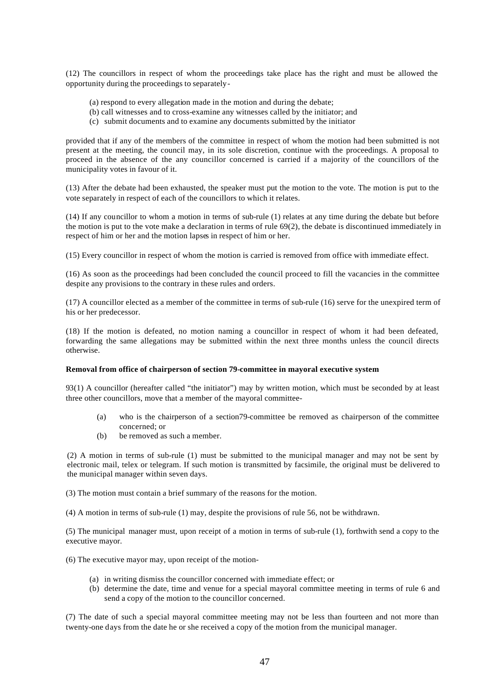(12) The councillors in respect of whom the proceedings take place has the right and must be allowed the opportunity during the proceedings to separately-

- (a) respond to every allegation made in the motion and during the debate;
- (b) call witnesses and to cross-examine any witnesses called by the initiator; and
- (c) submit documents and to examine any documents submitted by the initiator

provided that if any of the members of the committee in respect of whom the motion had been submitted is not present at the meeting, the council may, in its sole discretion, continue with the proceedings. A proposal to proceed in the absence of the any councillor concerned is carried if a majority of the councillors of the municipality votes in favour of it.

(13) After the debate had been exhausted, the speaker must put the motion to the vote. The motion is put to the vote separately in respect of each of the councillors to which it relates.

(14) If any councillor to whom a motion in terms of sub-rule (1) relates at any time during the debate but before the motion is put to the vote make a declaration in terms of rule 69(2), the debate is discontinued immediately in respect of him or her and the motion lapses in respect of him or her.

(15) Every councillor in respect of whom the motion is carried is removed from office with immediate effect.

(16) As soon as the proceedings had been concluded the council proceed to fill the vacancies in the committee despite any provisions to the contrary in these rules and orders.

(17) A councillor elected as a member of the committee in terms of sub-rule (16) serve for the unexpired term of his or her predecessor.

(18) If the motion is defeated, no motion naming a councillor in respect of whom it had been defeated, forwarding the same allegations may be submitted within the next three months unless the council directs otherwise.

#### **Removal from office of chairperson of section 79-committee in mayoral executive system**

93(1) A councillor (hereafter called "the initiator") may by written motion, which must be seconded by at least three other councillors, move that a member of the mayoral committee-

- (a) who is the chairperson of a section79-committee be removed as chairperson of the committee concerned; or
- (b) be removed as such a member.

(2) A motion in terms of sub-rule (1) must be submitted to the municipal manager and may not be sent by electronic mail, telex or telegram. If such motion is transmitted by facsimile, the original must be delivered to the municipal manager within seven days.

(3) The motion must contain a brief summary of the reasons for the motion.

(4) A motion in terms of sub-rule (1) may, despite the provisions of rule 56, not be withdrawn.

(5) The municipal manager must, upon receipt of a motion in terms of sub-rule (1), forthwith send a copy to the executive mayor.

- (6) The executive mayor may, upon receipt of the motion-
	- (a) in writing dismiss the councillor concerned with immediate effect; or
	- (b) determine the date, time and venue for a special mayoral committee meeting in terms of rule 6 and send a copy of the motion to the councillor concerned.

(7) The date of such a special mayoral committee meeting may not be less than fourteen and not more than twenty-one days from the date he or she received a copy of the motion from the municipal manager.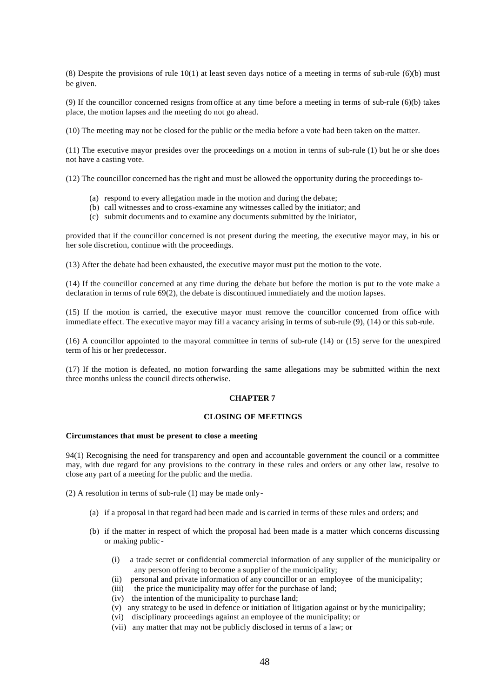(8) Despite the provisions of rule  $10(1)$  at least seven days notice of a meeting in terms of sub-rule (6)(b) must be given.

(9) If the councillor concerned resigns from office at any time before a meeting in terms of sub-rule (6)(b) takes place, the motion lapses and the meeting do not go ahead.

(10) The meeting may not be closed for the public or the media before a vote had been taken on the matter.

(11) The executive mayor presides over the proceedings on a motion in terms of sub-rule (1) but he or she does not have a casting vote.

(12) The councillor concerned has the right and must be allowed the opportunity during the proceedings to-

- (a) respond to every allegation made in the motion and during the debate;
- (b) call witnesses and to cross-examine any witnesses called by the initiator; and
- (c) submit documents and to examine any documents submitted by the initiator,

provided that if the councillor concerned is not present during the meeting, the executive mayor may, in his or her sole discretion, continue with the proceedings.

(13) After the debate had been exhausted, the executive mayor must put the motion to the vote.

(14) If the councillor concerned at any time during the debate but before the motion is put to the vote make a declaration in terms of rule 69(2), the debate is discontinued immediately and the motion lapses.

(15) If the motion is carried, the executive mayor must remove the councillor concerned from office with immediate effect. The executive mayor may fill a vacancy arising in terms of sub-rule (9), (14) or this sub-rule.

(16) A councillor appointed to the mayoral committee in terms of sub-rule (14) or (15) serve for the unexpired term of his or her predecessor.

(17) If the motion is defeated, no motion forwarding the same allegations may be submitted within the next three months unless the council directs otherwise.

#### **CHAPTER 7**

### **CLOSING OF MEETINGS**

#### **Circumstances that must be present to close a meeting**

94(1) Recognising the need for transparency and open and accountable government the council or a committee may, with due regard for any provisions to the contrary in these rules and orders or any other law, resolve to close any part of a meeting for the public and the media.

(2) A resolution in terms of sub-rule (1) may be made only-

- (a) if a proposal in that regard had been made and is carried in terms of these rules and orders; and
- (b) if the matter in respect of which the proposal had been made is a matter which concerns discussing or making public -
	- (i) a trade secret or confidential commercial information of any supplier of the municipality or any person offering to become a supplier of the municipality;
	- (ii) personal and private information of any councillor or an employee of the municipality;
	- (iii) the price the municipality may offer for the purchase of land;
	- (iv) the intention of the municipality to purchase land;
	- (v) any strategy to be used in defence or initiation of litigation against or by the municipality;
	- (vi) disciplinary proceedings against an employee of the municipality; or
	- (vii) any matter that may not be publicly disclosed in terms of a law; or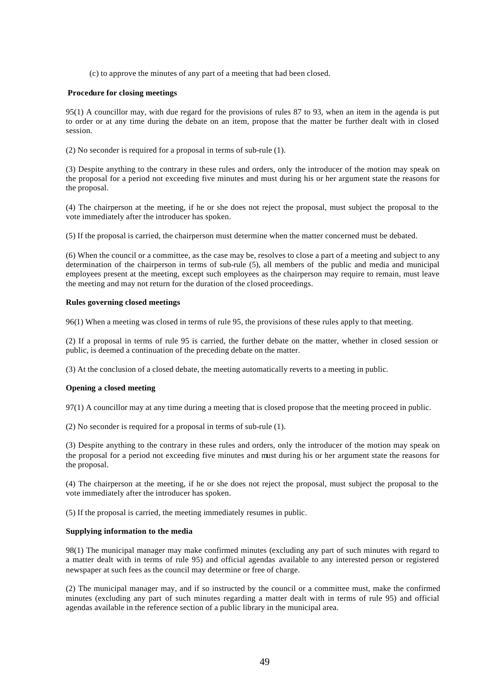(c) to approve the minutes of any part of a meeting that had been closed.

### **Procedure for closing meetings**

95(1) A councillor may, with due regard for the provisions of rules 87 to 93, when an item in the agenda is put to order or at any time during the debate on an item, propose that the matter be further dealt with in closed session.

(2) No seconder is required for a proposal in terms of sub-rule (1).

(3) Despite anything to the contrary in these rules and orders, only the introducer of the motion may speak on the proposal for a period not exceeding five minutes and must during his or her argument state the reasons for the proposal.

(4) The chairperson at the meeting, if he or she does not reject the proposal, must subject the proposal to the vote immediately after the introducer has spoken.

(5) If the proposal is carried, the chairperson must determine when the matter concerned must be debated.

(6) When the council or a committee, as the case may be, resolves to close a part of a meeting and subject to any determination of the chairperson in terms of sub-rule (5), all members of the public and media and municipal employees present at the meeting, except such employees as the chairperson may require to remain, must leave the meeting and may not return for the duration of the closed proceedings.

### **Rules governing closed meetings**

96(1) When a meeting was closed in terms of rule 95, the provisions of these rules apply to that meeting.

(2) If a proposal in terms of rule 95 is carried, the further debate on the matter, whether in closed session or public, is deemed a continuation of the preceding debate on the matter.

(3) At the conclusion of a closed debate, the meeting automatically reverts to a meeting in public.

# **Opening a closed meeting**

97(1) A councillor may at any time during a meeting that is closed propose that the meeting proceed in public.

(2) No seconder is required for a proposal in terms of sub-rule (1).

(3) Despite anything to the contrary in these rules and orders, only the introducer of the motion may speak on the proposal for a period not exceeding five minutes and must during his or her argument state the reasons for the proposal.

(4) The chairperson at the meeting, if he or she does not reject the proposal, must subject the proposal to the vote immediately after the introducer has spoken.

(5) If the proposal is carried, the meeting immediately resumes in public.

### **Supplying information to the media**

98(1) The municipal manager may make confirmed minutes (excluding any part of such minutes with regard to a matter dealt with in terms of rule 95) and official agendas available to any interested person or registered newspaper at such fees as the council may determine or free of charge.

(2) The municipal manager may, and if so instructed by the council or a committee must, make the confirmed minutes (excluding any part of such minutes regarding a matter dealt with in terms of rule 95) and official agendas available in the reference section of a public library in the municipal area.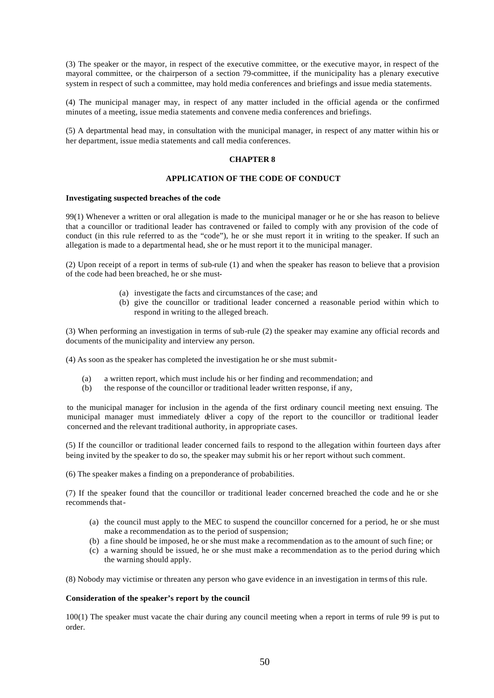(3) The speaker or the mayor, in respect of the executive committee, or the executive mayor, in respect of the mayoral committee, or the chairperson of a section 79-committee, if the municipality has a plenary executive system in respect of such a committee, may hold media conferences and briefings and issue media statements.

(4) The municipal manager may, in respect of any matter included in the official agenda or the confirmed minutes of a meeting, issue media statements and convene media conferences and briefings.

(5) A departmental head may, in consultation with the municipal manager, in respect of any matter within his or her department, issue media statements and call media conferences.

# **CHAPTER 8**

### **APPLICATION OF THE CODE OF CONDUCT**

#### **Investigating suspected breaches of the code**

99(1) Whenever a written or oral allegation is made to the municipal manager or he or she has reason to believe that a councillor or traditional leader has contravened or failed to comply with any provision of the code of conduct (in this rule referred to as the "code"), he or she must report it in writing to the speaker. If such an allegation is made to a departmental head, she or he must report it to the municipal manager.

(2) Upon receipt of a report in terms of sub-rule (1) and when the speaker has reason to believe that a provision of the code had been breached, he or she must-

- (a) investigate the facts and circumstances of the case; and
- (b) give the councillor or traditional leader concerned a reasonable period within which to respond in writing to the alleged breach.

(3) When performing an investigation in terms of sub-rule (2) the speaker may examine any official records and documents of the municipality and interview any person.

(4) As soon as the speaker has completed the investigation he or she must submit-

- (a) a written report, which must include his or her finding and recommendation; and
- (b) the response of the councillor or traditional leader written response, if any,

to the municipal manager for inclusion in the agenda of the first ordinary council meeting next ensuing. The municipal manager must immediately deliver a copy of the report to the councillor or traditional leader concerned and the relevant traditional authority, in appropriate cases.

(5) If the councillor or traditional leader concerned fails to respond to the allegation within fourteen days after being invited by the speaker to do so, the speaker may submit his or her report without such comment.

(6) The speaker makes a finding on a preponderance of probabilities.

(7) If the speaker found that the councillor or traditional leader concerned breached the code and he or she recommends that-

- (a) the council must apply to the MEC to suspend the councillor concerned for a period, he or she must make a recommendation as to the period of suspension;
- (b) a fine should be imposed, he or she must make a recommendation as to the amount of such fine; or
- (c) a warning should be issued, he or she must make a recommendation as to the period during which the warning should apply.

(8) Nobody may victimise or threaten any person who gave evidence in an investigation in terms of this rule.

### **Consideration of the speaker's report by the council**

100(1) The speaker must vacate the chair during any council meeting when a report in terms of rule 99 is put to order.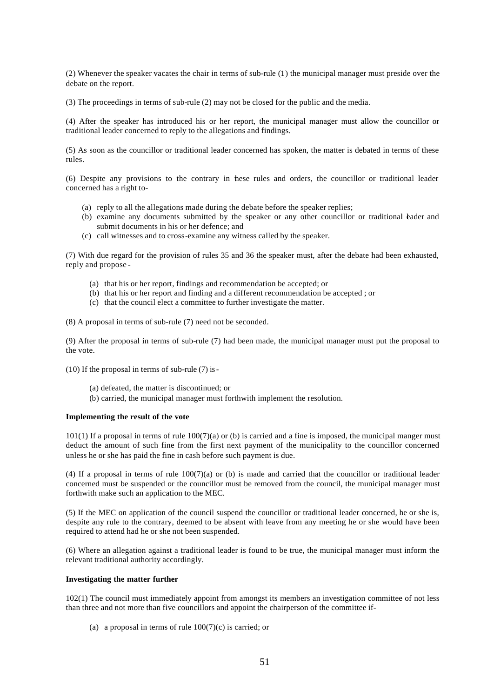(2) Whenever the speaker vacates the chair in terms of sub-rule (1) the municipal manager must preside over the debate on the report.

(3) The proceedings in terms of sub-rule (2) may not be closed for the public and the media.

(4) After the speaker has introduced his or her report, the municipal manager must allow the councillor or traditional leader concerned to reply to the allegations and findings.

(5) As soon as the councillor or traditional leader concerned has spoken, the matter is debated in terms of these rules.

(6) Despite any provisions to the contrary in these rules and orders, the councillor or traditional leader concerned has a right to-

- (a) reply to all the allegations made during the debate before the speaker replies;
- (b) examine any documents submitted by the speaker or any other councillor or traditional *eader* and submit documents in his or her defence; and
- (c) call witnesses and to cross-examine any witness called by the speaker.

(7) With due regard for the provision of rules 35 and 36 the speaker must, after the debate had been exhausted, reply and propose -

- (a) that his or her report, findings and recommendation be accepted; or
- (b) that his or her report and finding and a different recommendation be accepted ; or
- (c) that the council elect a committee to further investigate the matter.

(8) A proposal in terms of sub-rule (7) need not be seconded.

(9) After the proposal in terms of sub-rule (7) had been made, the municipal manager must put the proposal to the vote.

- (10) If the proposal in terms of sub-rule (7) is-
	- (a) defeated, the matter is discontinued; or
	- (b) carried, the municipal manager must forthwith implement the resolution.

### **Implementing the result of the vote**

 $101(1)$  If a proposal in terms of rule  $100(7)(a)$  or (b) is carried and a fine is imposed, the municipal manger must deduct the amount of such fine from the first next payment of the municipality to the councillor concerned unless he or she has paid the fine in cash before such payment is due.

(4) If a proposal in terms of rule  $100(7)(a)$  or (b) is made and carried that the councillor or traditional leader concerned must be suspended or the councillor must be removed from the council, the municipal manager must forthwith make such an application to the MEC.

(5) If the MEC on application of the council suspend the councillor or traditional leader concerned, he or she is, despite any rule to the contrary, deemed to be absent with leave from any meeting he or she would have been required to attend had he or she not been suspended.

(6) Where an allegation against a traditional leader is found to be true, the municipal manager must inform the relevant traditional authority accordingly.

#### **Investigating the matter further**

102(1) The council must immediately appoint from amongst its members an investigation committee of not less than three and not more than five councillors and appoint the chairperson of the committee if-

(a) a proposal in terms of rule  $100(7)(c)$  is carried; or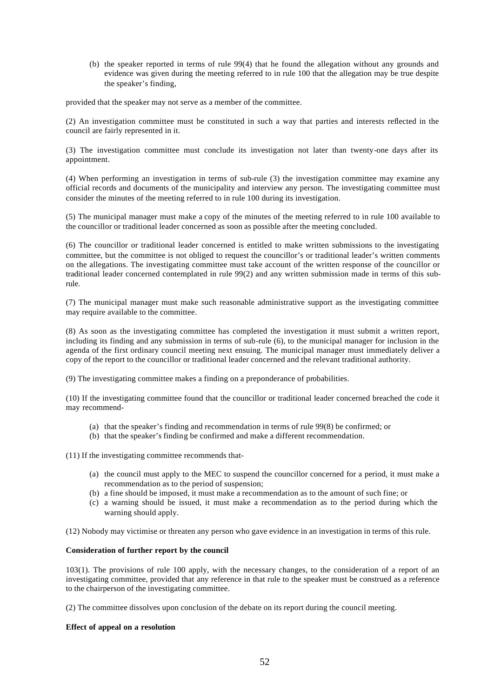(b) the speaker reported in terms of rule 99(4) that he found the allegation without any grounds and evidence was given during the meeting referred to in rule 100 that the allegation may be true despite the speaker's finding,

provided that the speaker may not serve as a member of the committee.

(2) An investigation committee must be constituted in such a way that parties and interests reflected in the council are fairly represented in it.

(3) The investigation committee must conclude its investigation not later than twenty-one days after its appointment.

(4) When performing an investigation in terms of sub-rule (3) the investigation committee may examine any official records and documents of the municipality and interview any person. The investigating committee must consider the minutes of the meeting referred to in rule 100 during its investigation.

(5) The municipal manager must make a copy of the minutes of the meeting referred to in rule 100 available to the councillor or traditional leader concerned as soon as possible after the meeting concluded.

(6) The councillor or traditional leader concerned is entitled to make written submissions to the investigating committee, but the committee is not obliged to request the councillor's or traditional leader's written comments on the allegations. The investigating committee must take account of the written response of the councillor or traditional leader concerned contemplated in rule 99(2) and any written submission made in terms of this subrule.

(7) The municipal manager must make such reasonable administrative support as the investigating committee may require available to the committee.

(8) As soon as the investigating committee has completed the investigation it must submit a written report, including its finding and any submission in terms of sub-rule (6), to the municipal manager for inclusion in the agenda of the first ordinary council meeting next ensuing. The municipal manager must immediately deliver a copy of the report to the councillor or traditional leader concerned and the relevant traditional authority.

(9) The investigating committee makes a finding on a preponderance of probabilities.

(10) If the investigating committee found that the councillor or traditional leader concerned breached the code it may recommend-

- (a) that the speaker's finding and recommendation in terms of rule 99(8) be confirmed; or
- (b) that the speaker's finding be confirmed and make a different recommendation.

(11) If the investigating committee recommends that-

- (a) the council must apply to the MEC to suspend the councillor concerned for a period, it must make a recommendation as to the period of suspension;
- (b) a fine should be imposed, it must make a recommendation as to the amount of such fine; or
- (c) a warning should be issued, it must make a recommendation as to the period during which the warning should apply.

(12) Nobody may victimise or threaten any person who gave evidence in an investigation in terms of this rule.

# **Consideration of further report by the council**

103(1). The provisions of rule 100 apply, with the necessary changes, to the consideration of a report of an investigating committee, provided that any reference in that rule to the speaker must be construed as a reference to the chairperson of the investigating committee.

(2) The committee dissolves upon conclusion of the debate on its report during the council meeting.

# **Effect of appeal on a resolution**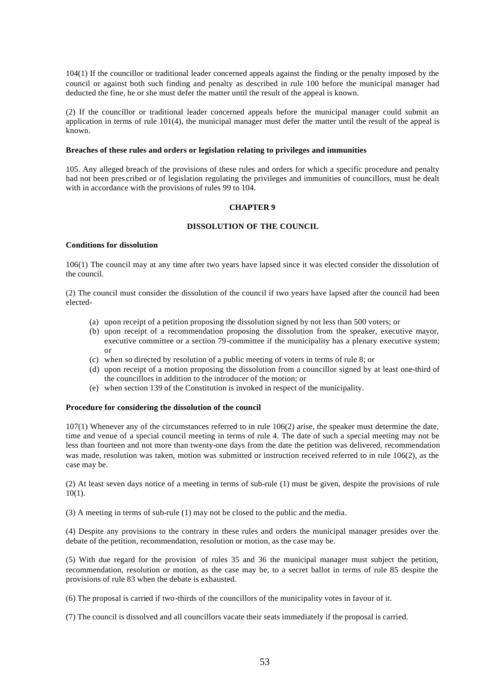104(1) If the councillor or traditional leader concerned appeals against the finding or the penalty imposed by the council or against both such finding and penalty as described in rule 100 before the municipal manager had deducted the fine, he or she must defer the matter until the result of the appeal is known.

(2) If the councillor or traditional leader concerned appeals before the municipal manager could submit an application in terms of rule 101(4), the municipal manager must defer the matter until the result of the appeal is known.

#### **Breaches of these rules and orders or legislation relating to privileges and immunities**

105. Any alleged breach of the provisions of these rules and orders for which a specific procedure and penalty had not been pres cribed or of legislation regulating the privileges and immunities of councillors, must be dealt with in accordance with the provisions of rules 99 to 104.

### **CHAPTER 9**

# **DISSOLUTION OF THE COUNCIL**

## **Conditions for dissolution**

106(1) The council may at any time after two years have lapsed since it was elected consider the dissolution of the council.

(2) The council must consider the dissolution of the council if two years have lapsed after the council had been elected-

- (a) upon receipt of a petition proposing the dissolution signed by not less than 500 voters; or
- (b) upon receipt of a recommendation proposing the dissolution from the speaker, executive mayor, executive committee or a section 79-committee if the municipality has a plenary executive system; or
- (c) when so directed by resolution of a public meeting of voters in terms of rule 8; or
- (d) upon receipt of a motion proposing the dissolution from a councillor signed by at least one-third of the councillors in addition to the introducer of the motion; or
- (e) when section 139 of the Constitution is invoked in respect of the municipality.

### **Procedure for considering the dissolution of the council**

107(1) Whenever any of the circumstances referred to in rule 106(2) arise, the speaker must determine the date, time and venue of a special council meeting in terms of rule 4. The date of such a special meeting may not be less than fourteen and not more than twenty-one days from the date the petition was delivered, recommendation was made, resolution was taken, motion was submitted or instruction received referred to in rule 106(2), as the case may be.

(2) At least seven days notice of a meeting in terms of sub-rule (1) must be given, despite the provisions of rule  $10(1)$ .

(3) A meeting in terms of sub-rule (1) may not be closed to the public and the media.

(4) Despite any provisions to the contrary in these rules and orders the municipal manager presides over the debate of the petition, recommendation, resolution or motion, as the case may be.

(5) With due regard for the provision of rules 35 and 36 the municipal manager must subject the petition, recommendation, resolution or motion, as the case may be, to a secret ballot in terms of rule 85 despite the provisions of rule 83 when the debate is exhausted.

(6) The proposal is carried if two-thirds of the councillors of the municipality votes in favour of it.

(7) The council is dissolved and all councillors vacate their seats immediately if the proposal is carried.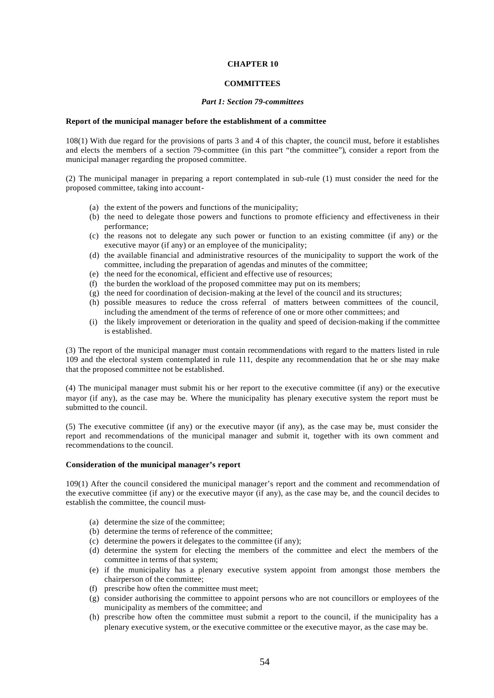### **CHAPTER 10**

### **COMMITTEES**

#### *Part 1: Section 79-committees*

#### **Report of the municipal manager before the establishment of a committee**

108(1) With due regard for the provisions of parts 3 and 4 of this chapter, the council must, before it establishes and elects the members of a section 79-committee (in this part "the committee"), consider a report from the municipal manager regarding the proposed committee.

(2) The municipal manager in preparing a report contemplated in sub-rule (1) must consider the need for the proposed committee, taking into account-

- (a) the extent of the powers and functions of the municipality;
- (b) the need to delegate those powers and functions to promote efficiency and effectiveness in their performance;
- (c) the reasons not to delegate any such power or function to an existing committee (if any) or the executive mayor (if any) or an employee of the municipality;
- (d) the available financial and administrative resources of the municipality to support the work of the committee, including the preparation of agendas and minutes of the committee;
- (e) the need for the economical, efficient and effective use of resources;
- (f) the burden the workload of the proposed committee may put on its members;
- (g) the need for coordination of decision-making at the level of the council and its structures;
- (h) possible measures to reduce the cross referral of matters between committees of the council, including the amendment of the terms of reference of one or more other committees; and
- (i) the likely improvement or deterioration in the quality and speed of decision-making if the committee is established.

(3) The report of the municipal manager must contain recommendations with regard to the matters listed in rule 109 and the electoral system contemplated in rule 111, despite any recommendation that he or she may make that the proposed committee not be established.

(4) The municipal manager must submit his or her report to the executive committee (if any) or the executive mayor (if any), as the case may be. Where the municipality has plenary executive system the report must be submitted to the council.

(5) The executive committee (if any) or the executive mayor (if any), as the case may be, must consider the report and recommendations of the municipal manager and submit it, together with its own comment and recommendations to the council.

#### **Consideration of the municipal manager's report**

109(1) After the council considered the municipal manager's report and the comment and recommendation of the executive committee (if any) or the executive mayor (if any), as the case may be, and the council decides to establish the committee, the council must-

- (a) determine the size of the committee;
- (b) determine the terms of reference of the committee;
- (c) determine the powers it delegates to the committee (if any);
- (d) determine the system for electing the members of the committee and elect the members of the committee in terms of that system;
- (e) if the municipality has a plenary executive system appoint from amongst those members the chairperson of the committee;
- (f) prescribe how often the committee must meet;
- (g) consider authorising the committee to appoint persons who are not councillors or employees of the municipality as members of the committee; and
- (h) prescribe how often the committee must submit a report to the council, if the municipality has a plenary executive system, or the executive committee or the executive mayor, as the case may be.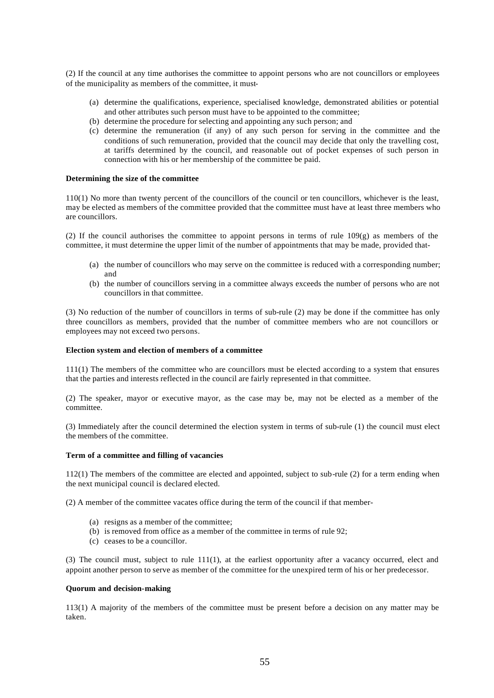(2) If the council at any time authorises the committee to appoint persons who are not councillors or employees of the municipality as members of the committee, it must-

- (a) determine the qualifications, experience, specialised knowledge, demonstrated abilities or potential and other attributes such person must have to be appointed to the committee;
- (b) determine the procedure for selecting and appointing any such person; and
- (c) determine the remuneration (if any) of any such person for serving in the committee and the conditions of such remuneration, provided that the council may decide that only the travelling cost, at tariffs determined by the council, and reasonable out of pocket expenses of such person in connection with his or her membership of the committee be paid.

### **Determining the size of the committee**

110(1) No more than twenty percent of the councillors of the council or ten councillors, whichever is the least, may be elected as members of the committee provided that the committee must have at least three members who are councillors.

(2) If the council authorises the committee to appoint persons in terms of rule 109(g) as members of the committee, it must determine the upper limit of the number of appointments that may be made, provided that-

- (a) the number of councillors who may serve on the committee is reduced with a corresponding number; and
- (b) the number of councillors serving in a committee always exceeds the number of persons who are not councillors in that committee.

(3) No reduction of the number of councillors in terms of sub-rule (2) may be done if the committee has only three councillors as members, provided that the number of committee members who are not councillors or employees may not exceed two persons.

#### **Election system and election of members of a committee**

111(1) The members of the committee who are councillors must be elected according to a system that ensures that the parties and interests reflected in the council are fairly represented in that committee.

(2) The speaker, mayor or executive mayor, as the case may be, may not be elected as a member of the committee.

(3) Immediately after the council determined the election system in terms of sub-rule (1) the council must elect the members of the committee.

#### **Term of a committee and filling of vacancies**

112(1) The members of the committee are elected and appointed, subject to sub-rule (2) for a term ending when the next municipal council is declared elected.

(2) A member of the committee vacates office during the term of the council if that member-

- (a) resigns as a member of the committee;
- (b) is removed from office as a member of the committee in terms of rule 92;
- (c) ceases to be a councillor.

(3) The council must, subject to rule 111(1), at the earliest opportunity after a vacancy occurred, elect and appoint another person to serve as member of the committee for the unexpired term of his or her predecessor.

#### **Quorum and decision-making**

113(1) A majority of the members of the committee must be present before a decision on any matter may be taken.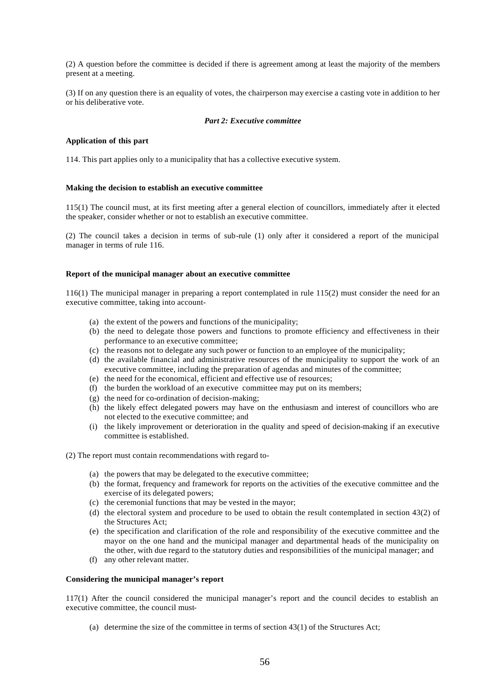(2) A question before the committee is decided if there is agreement among at least the majority of the members present at a meeting.

(3) If on any question there is an equality of votes, the chairperson may exercise a casting vote in addition to her or his deliberative vote.

### *Part 2: Executive committee*

# **Application of this part**

114. This part applies only to a municipality that has a collective executive system.

#### **Making the decision to establish an executive committee**

115(1) The council must, at its first meeting after a general election of councillors, immediately after it elected the speaker, consider whether or not to establish an executive committee.

(2) The council takes a decision in terms of sub-rule (1) only after it considered a report of the municipal manager in terms of rule 116.

#### **Report of the municipal manager about an executive committee**

116(1) The municipal manager in preparing a report contemplated in rule 115(2) must consider the need for an executive committee, taking into account-

- (a) the extent of the powers and functions of the municipality;
- (b) the need to delegate those powers and functions to promote efficiency and effectiveness in their performance to an executive committee;
- (c) the reasons not to delegate any such power or function to an employee of the municipality;
- (d) the available financial and administrative resources of the municipality to support the work of an executive committee, including the preparation of agendas and minutes of the committee;
- (e) the need for the economical, efficient and effective use of resources;
- (f) the burden the workload of an executive committee may put on its members;
- (g) the need for co-ordination of decision-making;
- (h) the likely effect delegated powers may have on the enthusiasm and interest of councillors who are not elected to the executive committee; and
- (i) the likely improvement or deterioration in the quality and speed of decision-making if an executive committee is established.
- (2) The report must contain recommendations with regard to-
	- (a) the powers that may be delegated to the executive committee;
	- (b) the format, frequency and framework for reports on the activities of the executive committee and the exercise of its delegated powers;
	- (c) the ceremonial functions that may be vested in the mayor;
	- (d) the electoral system and procedure to be used to obtain the result contemplated in section 43(2) of the Structures Act;
	- (e) the specification and clarification of the role and responsibility of the executive committee and the mayor on the one hand and the municipal manager and departmental heads of the municipality on the other, with due regard to the statutory duties and responsibilities of the municipal manager; and
	- (f) any other relevant matter.

### **Considering the municipal manager's report**

117(1) After the council considered the municipal manager's report and the council decides to establish an executive committee, the council must-

(a) determine the size of the committee in terms of section 43(1) of the Structures Act;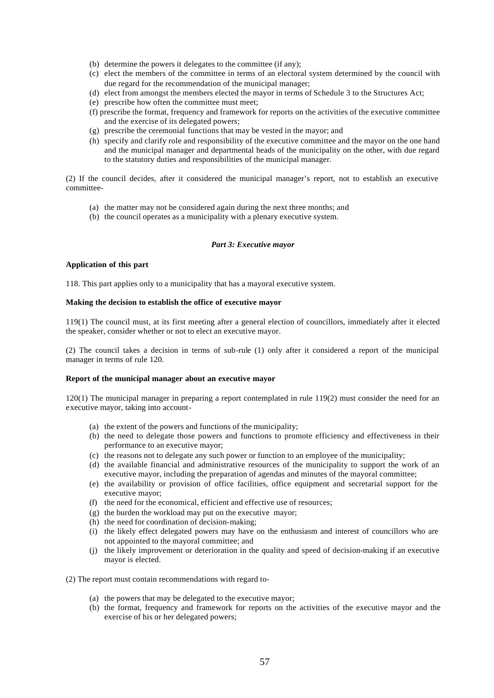- (b) determine the powers it delegates to the committee (if any);
- (c) elect the members of the committee in terms of an electoral system determined by the council with due regard for the recommendation of the municipal manager;
- (d) elect from amongst the members elected the mayor in terms of Schedule 3 to the Structures Act;
- (e) prescribe how often the committee must meet;
- (f) prescribe the format, frequency and framework for reports on the activities of the executive committee and the exercise of its delegated powers;
- (g) prescribe the ceremonial functions that may be vested in the mayor; and
- (h) specify and clarify role and responsibility of the executive committee and the mayor on the one hand and the municipal manager and departmental heads of the municipality on the other, with due regard to the statutory duties and responsibilities of the municipal manager.

(2) If the council decides, after it considered the municipal manager's report, not to establish an executive committee-

- (a) the matter may not be considered again during the next three months; and
- (b) the council operates as a municipality with a plenary executive system.

# *Part 3: Executive mayor*

#### **Application of this part**

118. This part applies only to a municipality that has a mayoral executive system.

#### **Making the decision to establish the office of executive mayor**

119(1) The council must, at its first meeting after a general election of councillors, immediately after it elected the speaker, consider whether or not to elect an executive mayor.

(2) The council takes a decision in terms of sub-rule (1) only after it considered a report of the municipal manager in terms of rule 120.

#### **Report of the municipal manager about an executive mayor**

120(1) The municipal manager in preparing a report contemplated in rule 119(2) must consider the need for an executive mayor, taking into account-

- (a) the extent of the powers and functions of the municipality;
- (b) the need to delegate those powers and functions to promote efficiency and effectiveness in their performance to an executive mayor;
- (c) the reasons not to delegate any such power or function to an employee of the municipality;
- (d) the available financial and administrative resources of the municipality to support the work of an executive mayor, including the preparation of agendas and minutes of the mayoral committee;
- (e) the availability or provision of office facilities, office equipment and secretarial support for the executive mayor;
- (f) the need for the economical, efficient and effective use of resources;
- (g) the burden the workload may put on the executive mayor;
- (h) the need for coordination of decision-making;
- (i) the likely effect delegated powers may have on the enthusiasm and interest of councillors who are not appointed to the mayoral committee; and
- (j) the likely improvement or deterioration in the quality and speed of decision-making if an executive mayor is elected.
- (2) The report must contain recommendations with regard to-
	- (a) the powers that may be delegated to the executive mayor;
	- (b) the format, frequency and framework for reports on the activities of the executive mayor and the exercise of his or her delegated powers;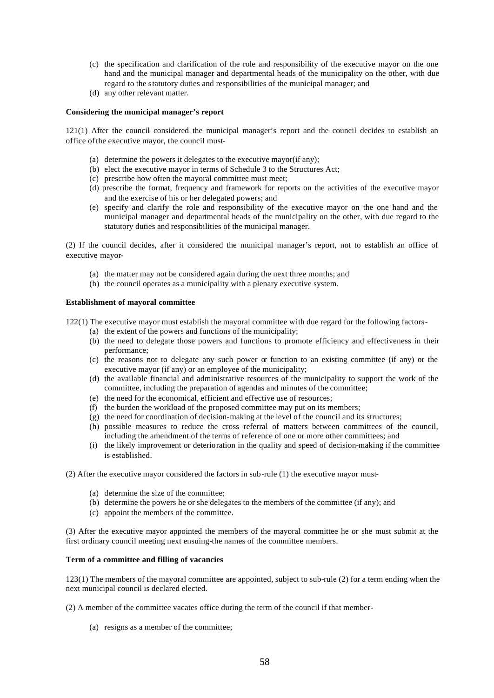- (c) the specification and clarification of the role and responsibility of the executive mayor on the one hand and the municipal manager and departmental heads of the municipality on the other, with due regard to the statutory duties and responsibilities of the municipal manager; and
- (d) any other relevant matter.

### **Considering the municipal manager's report**

121(1) After the council considered the municipal manager's report and the council decides to establish an office of the executive mayor, the council must-

- (a) determine the powers it delegates to the executive mayor(if any);
- (b) elect the executive mayor in terms of Schedule 3 to the Structures Act;
- (c) prescribe how often the mayoral committee must meet;
- (d) prescribe the format, frequency and framework for reports on the activities of the executive mayor and the exercise of his or her delegated powers; and
- (e) specify and clarify the role and responsibility of the executive mayor on the one hand and the municipal manager and departmental heads of the municipality on the other, with due regard to the statutory duties and responsibilities of the municipal manager.

(2) If the council decides, after it considered the municipal manager's report, not to establish an office of executive mayor-

- (a) the matter may not be considered again during the next three months; and
- (b) the council operates as a municipality with a plenary executive system.

#### **Establishment of mayoral committee**

122(1) The executive mayor must establish the mayoral committee with due regard for the following factors-

- (a) the extent of the powers and functions of the municipality;
- (b) the need to delegate those powers and functions to promote efficiency and effectiveness in their performance;
- (c) the reasons not to delegate any such power or function to an existing committee (if any) or the executive mayor (if any) or an employee of the municipality;
- (d) the available financial and administrative resources of the municipality to support the work of the committee, including the preparation of agendas and minutes of the committee;
- (e) the need for the economical, efficient and effective use of resources;
- (f) the burden the workload of the proposed committee may put on its members;
- (g) the need for coordination of decision-making at the level of the council and its structures;
- (h) possible measures to reduce the cross referral of matters between committees of the council, including the amendment of the terms of reference of one or more other committees; and
- (i) the likely improvement or deterioration in the quality and speed of decision-making if the committee is established.
- (2) After the executive mayor considered the factors in sub-rule (1) the executive mayor must-
	- (a) determine the size of the committee;
	- (b) determine the powers he or she delegates to the members of the committee (if any); and
	- (c) appoint the members of the committee.

(3) After the executive mayor appointed the members of the mayoral committee he or she must submit at the first ordinary council meeting next ensuing-the names of the committee members.

## **Term of a committee and filling of vacancies**

123(1) The members of the mayoral committee are appointed, subject to sub-rule (2) for a term ending when the next municipal council is declared elected.

(2) A member of the committee vacates office during the term of the council if that member-

(a) resigns as a member of the committee;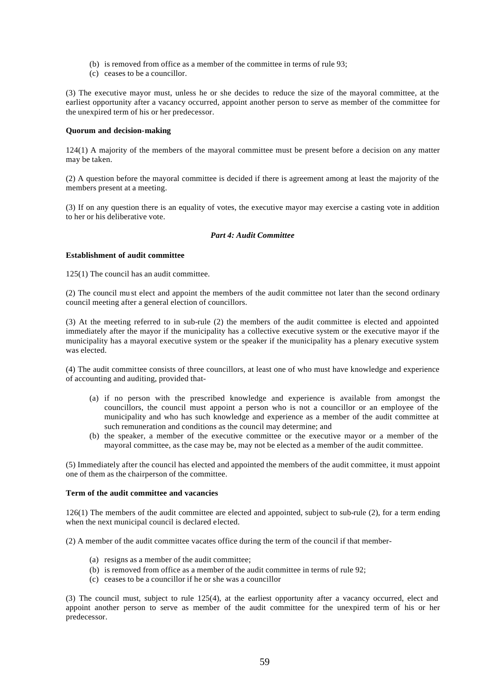- (b) is removed from office as a member of the committee in terms of rule 93;
- (c) ceases to be a councillor.

(3) The executive mayor must, unless he or she decides to reduce the size of the mayoral committee, at the earliest opportunity after a vacancy occurred, appoint another person to serve as member of the committee for the unexpired term of his or her predecessor.

## **Quorum and decision-making**

124(1) A majority of the members of the mayoral committee must be present before a decision on any matter may be taken.

(2) A question before the mayoral committee is decided if there is agreement among at least the majority of the members present at a meeting.

(3) If on any question there is an equality of votes, the executive mayor may exercise a casting vote in addition to her or his deliberative vote.

# *Part 4: Audit Committee*

### **Establishment of audit committee**

125(1) The council has an audit committee.

(2) The council mu st elect and appoint the members of the audit committee not later than the second ordinary council meeting after a general election of councillors.

(3) At the meeting referred to in sub-rule (2) the members of the audit committee is elected and appointed immediately after the mayor if the municipality has a collective executive system or the executive mayor if the municipality has a mayoral executive system or the speaker if the municipality has a plenary executive system was elected.

(4) The audit committee consists of three councillors, at least one of who must have knowledge and experience of accounting and auditing, provided that-

- (a) if no person with the prescribed knowledge and experience is available from amongst the councillors, the council must appoint a person who is not a councillor or an employee of the municipality and who has such knowledge and experience as a member of the audit committee at such remuneration and conditions as the council may determine; and
- (b) the speaker, a member of the executive committee or the executive mayor or a member of the mayoral committee, as the case may be, may not be elected as a member of the audit committee.

(5) Immediately after the council has elected and appointed the members of the audit committee, it must appoint one of them as the chairperson of the committee.

# **Term of the audit committee and vacancies**

126(1) The members of the audit committee are elected and appointed, subject to sub-rule (2), for a term ending when the next municipal council is declared elected.

(2) A member of the audit committee vacates office during the term of the council if that member-

- (a) resigns as a member of the audit committee;
- (b) is removed from office as a member of the audit committee in terms of rule 92;
- (c) ceases to be a councillor if he or she was a councillor

(3) The council must, subject to rule 125(4), at the earliest opportunity after a vacancy occurred, elect and appoint another person to serve as member of the audit committee for the unexpired term of his or her predecessor.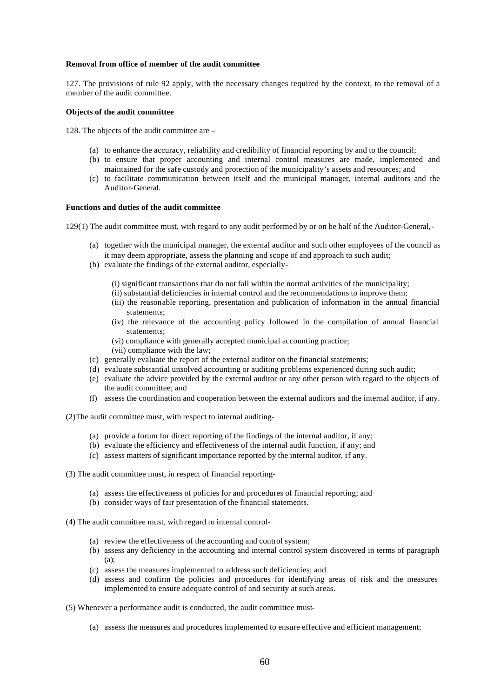#### **Removal from office of member of the audit committee**

127. The provisions of rule 92 apply, with the necessary changes required by the context, to the removal of a member of the audit committee.

#### **Objects of the audit committee**

128. The objects of the audit committee are –

- (a) to enhance the accuracy, reliability and credibility of financial reporting by and to the council;
- (b) to ensure that proper accounting and internal control measures are made, implemented and maintained for the safe custody and protection of the municipality's assets and resources; and
- (c) to facilitate communication between itself and the municipal manager, internal auditors and the Auditor-General.

### **Functions and duties of the audit committee**

129(1) The audit committee must, with regard to any audit performed by or on be half of the Auditor-General,-

- (a) together with the municipal manager, the external auditor and such other employees of the council as it may deem appropriate, assess the planning and scope of and approach to such audit;
- (b) evaluate the findings of the external auditor, especially-
	- (i) significant transactions that do not fall within the normal activities of the municipality;
	- (ii) substantial deficiencies in internal control and the recommendations to improve them;
	- (iii) the reasonable reporting, presentation and publication of information in the annual financial statements;
	- (iv) the relevance of the accounting policy followed in the compilation of annual financial statements;
	- (vi) compliance with generally accepted municipal accounting practice;
	- (vii) compliance with the law;
- (c) generally evaluate the report of the external auditor on the financial statements;
- (d) evaluate substantial unsolved accounting or auditing problems experienced during such audit;
- (e) evaluate the advice provided by the external auditor or any other person with regard to the objects of the audit committee; and
- (f) assess the coordination and cooperation between the external auditors and the internal auditor, if any.

(2)The audit committee must, with respect to internal auditing-

- (a) provide a forum for direct reporting of the findings of the internal auditor, if any;
- (b) evaluate the efficiency and effectiveness of the internal audit function, if any; and
- (c) assess matters of significant importance reported by the internal auditor, if any.
- (3) The audit committee must, in respect of financial reporting-
	- (a) assess the effectiveness of policies for and procedures of financial reporting; and
	- (b) consider ways of fair presentation of the financial statements.
- (4) The audit committee must, with regard to internal control-
	- (a) review the effectiveness of the accounting and control system;
	- (b) assess any deficiency in the accounting and internal control system discovered in terms of paragraph (a);
	- (c) assess the measures implemented to address such deficiencies; and
	- (d) assess and confirm the policies and procedures for identifying areas of risk and the measures implemented to ensure adequate control of and security at such areas.
- (5) Whenever a performance audit is conducted, the audit committee must-
	- (a) assess the measures and procedures implemented to ensure effective and efficient management;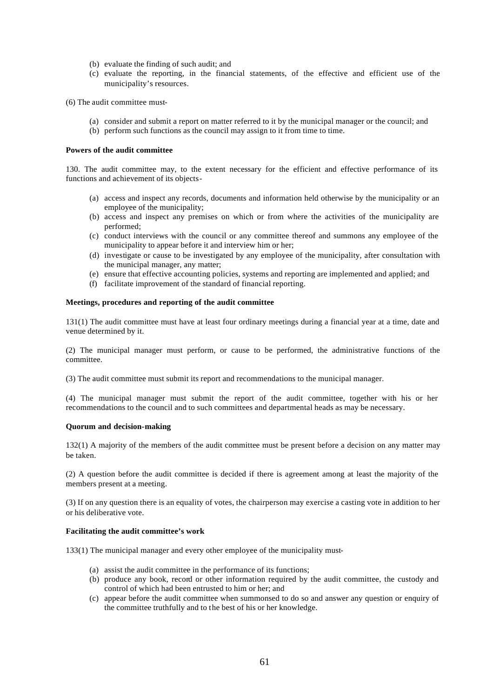- (b) evaluate the finding of such audit; and
- (c) evaluate the reporting, in the financial statements, of the effective and efficient use of the municipality's resources.

(6) The audit committee must-

- (a) consider and submit a report on matter referred to it by the municipal manager or the council; and
- (b) perform such functions as the council may assign to it from time to time.

#### **Powers of the audit committee**

130. The audit committee may, to the extent necessary for the efficient and effective performance of its functions and achievement of its objects-

- (a) access and inspect any records, documents and information held otherwise by the municipality or an employee of the municipality;
- (b) access and inspect any premises on which or from where the activities of the municipality are performed;
- (c) conduct interviews with the council or any committee thereof and summons any employee of the municipality to appear before it and interview him or her;
- (d) investigate or cause to be investigated by any employee of the municipality, after consultation with the municipal manager, any matter;
- (e) ensure that effective accounting policies, systems and reporting are implemented and applied; and
- (f) facilitate improvement of the standard of financial reporting.

#### **Meetings, procedures and reporting of the audit committee**

131(1) The audit committee must have at least four ordinary meetings during a financial year at a time, date and venue determined by it.

(2) The municipal manager must perform, or cause to be performed, the administrative functions of the committee.

(3) The audit committee must submit its report and recommendations to the municipal manager.

(4) The municipal manager must submit the report of the audit committee, together with his or her recommendations to the council and to such committees and departmental heads as may be necessary.

#### **Quorum and decision-making**

132(1) A majority of the members of the audit committee must be present before a decision on any matter may be taken.

(2) A question before the audit committee is decided if there is agreement among at least the majority of the members present at a meeting.

(3) If on any question there is an equality of votes, the chairperson may exercise a casting vote in addition to her or his deliberative vote.

## **Facilitating the audit committee's work**

133(1) The municipal manager and every other employee of the municipality must-

- (a) assist the audit committee in the performance of its functions;
- (b) produce any book, record or other information required by the audit committee, the custody and control of which had been entrusted to him or her; and
- (c) appear before the audit committee when summonsed to do so and answer any question or enquiry of the committee truthfully and to the best of his or her knowledge.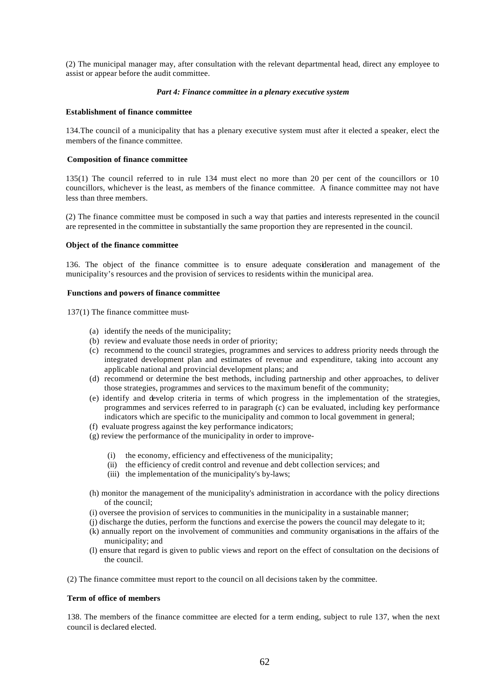(2) The municipal manager may, after consultation with the relevant departmental head, direct any employee to assist or appear before the audit committee.

### *Part 4: Finance committee in a plenary executive system*

### **Establishment of finance committee**

134.The council of a municipality that has a plenary executive system must after it elected a speaker, elect the members of the finance committee.

### **Composition of finance committee**

135(1) The council referred to in rule 134 must elect no more than 20 per cent of the councillors or 10 councillors, whichever is the least, as members of the finance committee. A finance committee may not have less than three members.

(2) The finance committee must be composed in such a way that parties and interests represented in the council are represented in the committee in substantially the same proportion they are represented in the council.

### **Object of the finance committee**

136. The object of the finance committee is to ensure adequate consideration and management of the municipality's resources and the provision of services to residents within the municipal area.

#### **Functions and powers of finance committee**

137(1) The finance committee must-

- (a) identify the needs of the municipality;
- (b) review and evaluate those needs in order of priority;
- (c) recommend to the council strategies, programmes and services to address priority needs through the integrated development plan and estimates of revenue and expenditure, taking into account any applicable national and provincial development plans; and
- (d) recommend or determine the best methods, including partnership and other approaches, to deliver those strategies, programmes and services to the maximum benefit of the community;
- (e) identify and develop criteria in terms of which progress in the implementation of the strategies, programmes and services referred to in paragraph (c) can be evaluated, including key performance indicators which are specific to the municipality and common to local government in general;
- (f) evaluate progress against the key performance indicators;
- (g) review the performance of the municipality in order to improve-
	- (i) the economy, efficiency and effectiveness of the municipality;
	- (ii) the efficiency of credit control and revenue and debt collection services; and
	- (iii) the implementation of the municipality's by-laws;
- (h) monitor the management of the municipality's administration in accordance with the policy directions of the council;
- (i) oversee the provision of services to communities in the municipality in a sustainable manner;
- (j) discharge the duties, perform the functions and exercise the powers the council may delegate to it;
- (k) annually report on the involvement of communities and community organisations in the affairs of the municipality; and
- (l) ensure that regard is given to public views and report on the effect of consultation on the decisions of the council.

(2) The finance committee must report to the council on all decisions taken by the committee.

### **Term of office of members**

138. The members of the finance committee are elected for a term ending, subject to rule 137, when the next council is declared elected.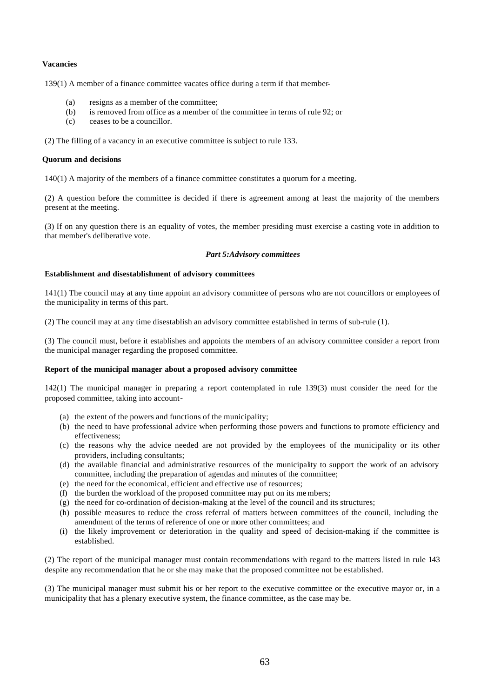## **Vacancies**

139(1) A member of a finance committee vacates office during a term if that member-

- (a) resigns as a member of the committee;
- (b) is removed from office as a member of the committee in terms of rule 92; or
- (c) ceases to be a councillor.

(2) The filling of a vacancy in an executive committee is subject to rule 133.

### **Quorum and decisions**

140(1) A majority of the members of a finance committee constitutes a quorum for a meeting.

(2) A question before the committee is decided if there is agreement among at least the majority of the members present at the meeting.

(3) If on any question there is an equality of votes, the member presiding must exercise a casting vote in addition to that member's deliberative vote.

### *Part 5:Advisory committees*

### **Establishment and disestablishment of advisory committees**

141(1) The council may at any time appoint an advisory committee of persons who are not councillors or employees of the municipality in terms of this part.

(2) The council may at any time disestablish an advisory committee established in terms of sub-rule (1).

(3) The council must, before it establishes and appoints the members of an advisory committee consider a report from the municipal manager regarding the proposed committee.

# **Report of the municipal manager about a proposed advisory committee**

142(1) The municipal manager in preparing a report contemplated in rule 139(3) must consider the need for the proposed committee, taking into account-

- (a) the extent of the powers and functions of the municipality;
- (b) the need to have professional advice when performing those powers and functions to promote efficiency and effectiveness;
- (c) the reasons why the advice needed are not provided by the employees of the municipality or its other providers, including consultants;
- (d) the available financial and administrative resources of the municipality to support the work of an advisory committee, including the preparation of agendas and minutes of the committee;
- (e) the need for the economical, efficient and effective use of resources;
- (f) the burden the workload of the proposed committee may put on its me mbers;
- (g) the need for co-ordination of decision-making at the level of the council and its structures;
- (h) possible measures to reduce the cross referral of matters between committees of the council, including the amendment of the terms of reference of one or more other committees; and
- (i) the likely improvement or deterioration in the quality and speed of decision-making if the committee is established.

(2) The report of the municipal manager must contain recommendations with regard to the matters listed in rule 143 despite any recommendation that he or she may make that the proposed committee not be established.

(3) The municipal manager must submit his or her report to the executive committee or the executive mayor or, in a municipality that has a plenary executive system, the finance committee, as the case may be.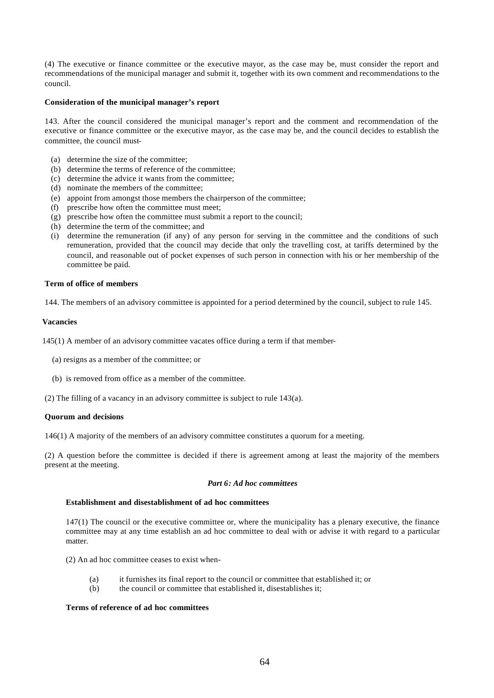(4) The executive or finance committee or the executive mayor, as the case may be, must consider the report and recommendations of the municipal manager and submit it, together with its own comment and recommendations to the council.

# **Consideration of the municipal manager's report**

143. After the council considered the municipal manager's report and the comment and recommendation of the executive or finance committee or the executive mayor, as the case may be, and the council decides to establish the committee, the council must-

- (a) determine the size of the committee;
- (b) determine the terms of reference of the committee;
- (c) determine the advice it wants from the committee;
- (d) nominate the members of the committee;
- (e) appoint from amongst those members the chairperson of the committee;
- (f) prescribe how often the committee must meet;
- (g) prescribe how often the committee must submit a report to the council;
- (h) determine the term of the committee; and
- (i) determine the remuneration (if any) of any person for serving in the committee and the conditions of such remuneration, provided that the council may decide that only the travelling cost, at tariffs determined by the council, and reasonable out of pocket expenses of such person in connection with his or her membership of the committee be paid.

#### **Term of office of members**

144. The members of an advisory committee is appointed for a period determined by the council, subject to rule 145.

## **Vacancies**

145(1) A member of an advisory committee vacates office during a term if that member-

- (a) resigns as a member of the committee; or
- (b) is removed from office as a member of the committee.
- (2) The filling of a vacancy in an advisory committee is subject to rule 143(a).

### **Quorum and decisions**

146(1) A majority of the members of an advisory committee constitutes a quorum for a meeting.

(2) A question before the committee is decided if there is agreement among at least the majority of the members present at the meeting.

#### *Part 6: Ad hoc committees*

## **Establishment and disestablishment of ad hoc committees**

147(1) The council or the executive committee or, where the municipality has a plenary executive, the finance committee may at any time establish an ad hoc committee to deal with or advise it with regard to a particular matter.

(2) An ad hoc committee ceases to exist when-

- (a) it furnishes its final report to the council or committee that established it; or
- (b) the council or committee that established it, disestablishes it;

# **Terms of reference of ad hoc committees**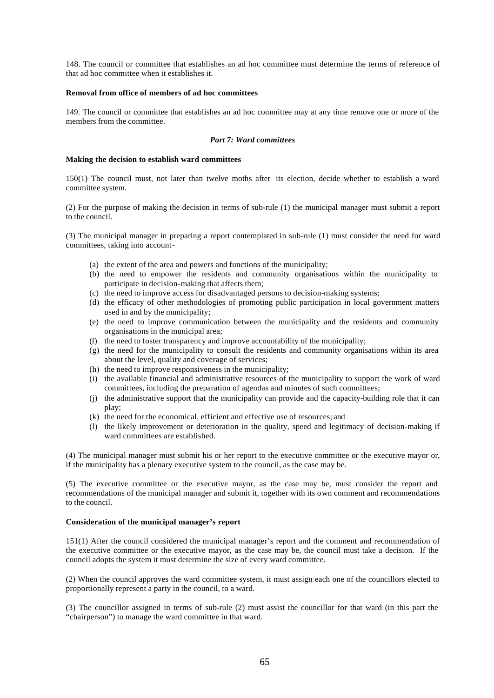148. The council or committee that establishes an ad hoc committee must determine the terms of reference of that ad hoc committee when it establishes it.

### **Removal from office of members of ad hoc committees**

149. The council or committee that establishes an ad hoc committee may at any time remove one or more of the members from the committee.

# *Part 7: Ward committees*

### **Making the decision to establish ward committees**

150(1) The council must, not later than twelve moths after its election, decide whether to establish a ward committee system.

(2) For the purpose of making the decision in terms of sub-rule (1) the municipal manager must submit a report to the council.

(3) The municipal manager in preparing a report contemplated in sub-rule (1) must consider the need for ward committees, taking into account-

- (a) the extent of the area and powers and functions of the municipality;
- (b) the need to empower the residents and community organisations within the municipality to participate in decision-making that affects them;
- (c) the need to improve access for disadvantaged persons to decision-making systems;
- (d) the efficacy of other methodologies of promoting public participation in local government matters used in and by the municipality;
- (e) the need to improve communication between the municipality and the residents and community organisations in the municipal area;
- (f) the need to foster transparency and improve accountability of the municipality;
- (g) the need for the municipality to consult the residents and community organisations within its area about the level, quality and coverage of services;
- (h) the need to improve responsiveness in the municipality;
- (i) the available financial and administrative resources of the municipality to support the work of ward committees, including the preparation of agendas and minutes of such committees;
- (j) the administrative support that the municipality can provide and the capacity-building role that it can play;
- (k) the need for the economical, efficient and effective use of resources; and
- (l) the likely improvement or deterioration in the quality, speed and legitimacy of decision-making if ward committees are established.

(4) The municipal manager must submit his or her report to the executive committee or the executive mayor or, if the municipality has a plenary executive system to the council, as the case may be.

(5) The executive committee or the executive mayor, as the case may be, must consider the report and recommendations of the municipal manager and submit it, together with its own comment and recommendations to the council.

### **Consideration of the municipal manager's report**

151(1) After the council considered the municipal manager's report and the comment and recommendation of the executive committee or the executive mayor, as the case may be, the council must take a decision. If the council adopts the system it must determine the size of every ward committee.

(2) When the council approves the ward committee system, it must assign each one of the councillors elected to proportionally represent a party in the council, to a ward.

(3) The councillor assigned in terms of sub-rule (2) must assist the councillor for that ward (in this part the "chairperson") to manage the ward committee in that ward.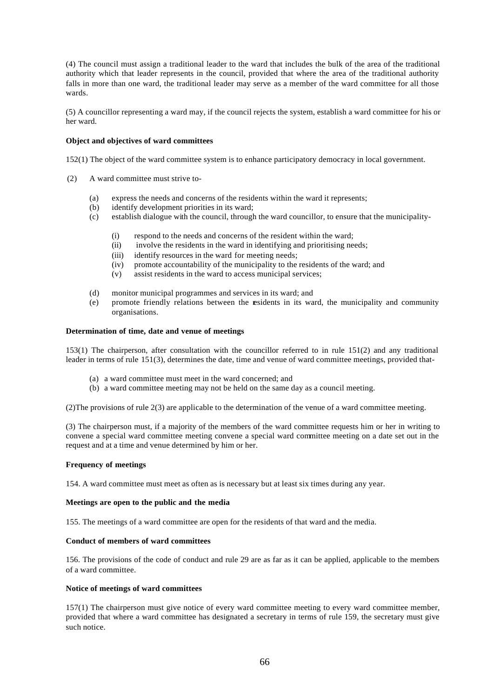(4) The council must assign a traditional leader to the ward that includes the bulk of the area of the traditional authority which that leader represents in the council, provided that where the area of the traditional authority falls in more than one ward, the traditional leader may serve as a member of the ward committee for all those wards.

(5) A councillor representing a ward may, if the council rejects the system, establish a ward committee for his or her ward.

### **Object and objectives of ward committees**

152(1) The object of the ward committee system is to enhance participatory democracy in local government.

- (2) A ward committee must strive to-
	- (a) express the needs and concerns of the residents within the ward it represents;
	- (b) identify development priorities in its ward;
	- (c) establish dialogue with the council, through the ward councillor, to ensure that the municipality-
		- (i) respond to the needs and concerns of the resident within the ward;
		- (ii) involve the residents in the ward in identifying and prioritising needs;
		- (iii) identify resources in the ward for meeting needs;
		- (iv) promote accountability of the municipality to the residents of the ward; and
		- (v) assist residents in the ward to access municipal services;
	- (d) monitor municipal programmes and services in its ward; and
	- (e) promote friendly relations between the residents in its ward, the municipality and community organisations.

#### **Determination of time, date and venue of meetings**

153(1) The chairperson, after consultation with the councillor referred to in rule 151(2) and any traditional leader in terms of rule 151(3), determines the date, time and venue of ward committee meetings, provided that-

- (a) a ward committee must meet in the ward concerned; and
- (b) a ward committee meeting may not be held on the same day as a council meeting.

(2)The provisions of rule 2(3) are applicable to the determination of the venue of a ward committee meeting.

(3) The chairperson must, if a majority of the members of the ward committee requests him or her in writing to convene a special ward committee meeting convene a special ward committee meeting on a date set out in the request and at a time and venue determined by him or her.

#### **Frequency of meetings**

154. A ward committee must meet as often as is necessary but at least six times during any year.

## **Meetings are open to the public and the media**

155. The meetings of a ward committee are open for the residents of that ward and the media.

### **Conduct of members of ward committees**

156. The provisions of the code of conduct and rule 29 are as far as it can be applied, applicable to the members of a ward committee.

# **Notice of meetings of ward committees**

157(1) The chairperson must give notice of every ward committee meeting to every ward committee member, provided that where a ward committee has designated a secretary in terms of rule 159, the secretary must give such notice.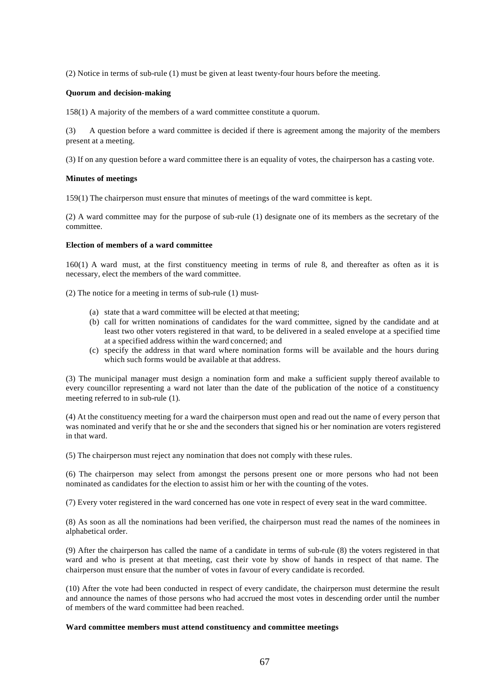(2) Notice in terms of sub-rule (1) must be given at least twenty-four hours before the meeting.

### **Quorum and decision-making**

158(1) A majority of the members of a ward committee constitute a quorum.

(3) A question before a ward committee is decided if there is agreement among the majority of the members present at a meeting.

(3) If on any question before a ward committee there is an equality of votes, the chairperson has a casting vote.

### **Minutes of meetings**

159(1) The chairperson must ensure that minutes of meetings of the ward committee is kept.

(2) A ward committee may for the purpose of sub-rule (1) designate one of its members as the secretary of the committee.

## **Election of members of a ward committee**

160(1) A ward must, at the first constituency meeting in terms of rule 8, and thereafter as often as it is necessary, elect the members of the ward committee.

(2) The notice for a meeting in terms of sub-rule (1) must-

- (a) state that a ward committee will be elected at that meeting;
- (b) call for written nominations of candidates for the ward committee, signed by the candidate and at least two other voters registered in that ward, to be delivered in a sealed envelope at a specified time at a specified address within the ward concerned; and
- (c) specify the address in that ward where nomination forms will be available and the hours during which such forms would be available at that address.

(3) The municipal manager must design a nomination form and make a sufficient supply thereof available to every councillor representing a ward not later than the date of the publication of the notice of a constituency meeting referred to in sub-rule (1).

(4) At the constituency meeting for a ward the chairperson must open and read out the name of every person that was nominated and verify that he or she and the seconders that signed his or her nomination are voters registered in that ward.

(5) The chairperson must reject any nomination that does not comply with these rules.

(6) The chairperson may select from amongst the persons present one or more persons who had not been nominated as candidates for the election to assist him or her with the counting of the votes.

(7) Every voter registered in the ward concerned has one vote in respect of every seat in the ward committee.

(8) As soon as all the nominations had been verified, the chairperson must read the names of the nominees in alphabetical order.

(9) After the chairperson has called the name of a candidate in terms of sub-rule (8) the voters registered in that ward and who is present at that meeting, cast their vote by show of hands in respect of that name. The chairperson must ensure that the number of votes in favour of every candidate is recorded.

(10) After the vote had been conducted in respect of every candidate, the chairperson must determine the result and announce the names of those persons who had accrued the most votes in descending order until the number of members of the ward committee had been reached.

#### **Ward committee members must attend constituency and committee meetings**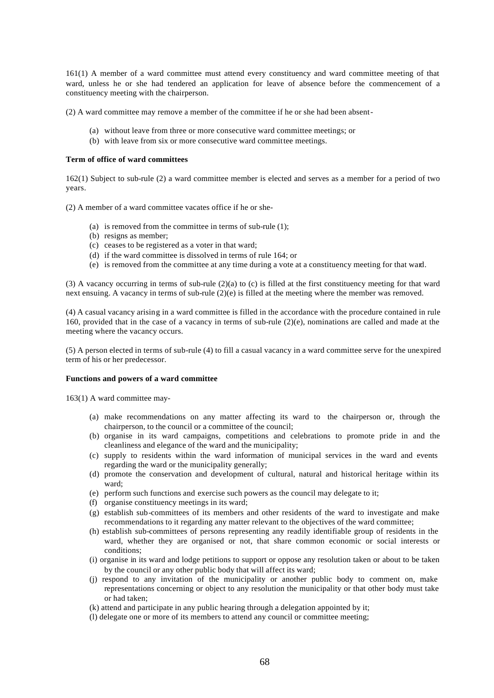161(1) A member of a ward committee must attend every constituency and ward committee meeting of that ward, unless he or she had tendered an application for leave of absence before the commencement of a constituency meeting with the chairperson.

(2) A ward committee may remove a member of the committee if he or she had been absent-

- (a) without leave from three or more consecutive ward committee meetings; or
- (b) with leave from six or more consecutive ward committee meetings.

#### **Term of office of ward committees**

162(1) Subject to sub-rule (2) a ward committee member is elected and serves as a member for a period of two years.

(2) A member of a ward committee vacates office if he or she-

- (a) is removed from the committee in terms of sub-rule (1);
- (b) resigns as member;
- (c) ceases to be registered as a voter in that ward;
- (d) if the ward committee is dissolved in terms of rule 164; or
- (e) is removed from the committee at any time during a vote at a constituency meeting for that ward.

(3) A vacancy occurring in terms of sub-rule (2)(a) to (c) is filled at the first constituency meeting for that ward next ensuing. A vacancy in terms of sub-rule (2)(e) is filled at the meeting where the member was removed.

(4) A casual vacancy arising in a ward committee is filled in the accordance with the procedure contained in rule 160, provided that in the case of a vacancy in terms of sub-rule (2)(e), nominations are called and made at the meeting where the vacancy occurs.

(5) A person elected in terms of sub-rule (4) to fill a casual vacancy in a ward committee serve for the unexpired term of his or her predecessor.

#### **Functions and powers of a ward committee**

163(1) A ward committee may-

- (a) make recommendations on any matter affecting its ward to the chairperson or, through the chairperson, to the council or a committee of the council;
- (b) organise in its ward campaigns, competitions and celebrations to promote pride in and the cleanliness and elegance of the ward and the municipality;
- (c) supply to residents within the ward information of municipal services in the ward and events regarding the ward or the municipality generally;
- (d) promote the conservation and development of cultural, natural and historical heritage within its ward;
- (e) perform such functions and exercise such powers as the council may delegate to it;
- (f) organise constituency meetings in its ward;
- (g) establish sub-committees of its members and other residents of the ward to investigate and make recommendations to it regarding any matter relevant to the objectives of the ward committee;
- (h) establish sub-committees of persons representing any readily identifiable group of residents in the ward, whether they are organised or not, that share common economic or social interests or conditions;
- (i) organise in its ward and lodge petitions to support or oppose any resolution taken or about to be taken by the council or any other public body that will affect its ward;
- (j) respond to any invitation of the municipality or another public body to comment on, make representations concerning or object to any resolution the municipality or that other body must take or had taken;
- (k) attend and participate in any public hearing through a delegation appointed by it;
- (l) delegate one or more of its members to attend any council or committee meeting;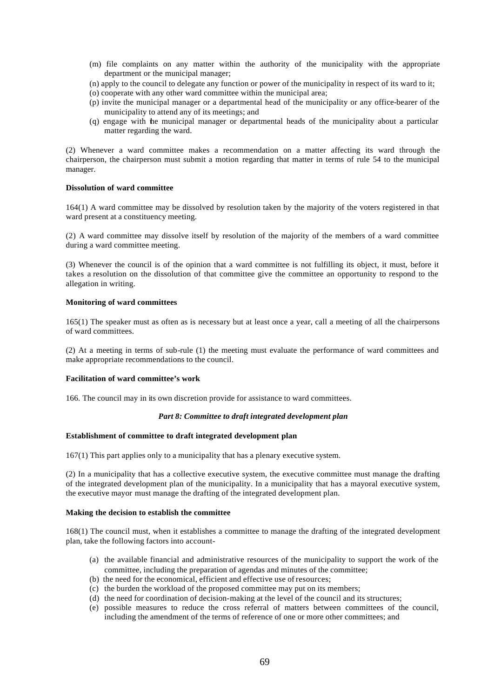- (m) file complaints on any matter within the authority of the municipality with the appropriate department or the municipal manager;
- (n) apply to the council to delegate any function or power of the municipality in respect of its ward to it;
- (o) cooperate with any other ward committee within the municipal area;
- (p) invite the municipal manager or a departmental head of the municipality or any office-bearer of the municipality to attend any of its meetings; and
- (q) engage with the municipal manager or departmental heads of the municipality about a particular matter regarding the ward.

(2) Whenever a ward committee makes a recommendation on a matter affecting its ward through the chairperson, the chairperson must submit a motion regarding that matter in terms of rule 54 to the municipal manager.

# **Dissolution of ward committee**

164(1) A ward committee may be dissolved by resolution taken by the majority of the voters registered in that ward present at a constituency meeting.

(2) A ward committee may dissolve itself by resolution of the majority of the members of a ward committee during a ward committee meeting.

(3) Whenever the council is of the opinion that a ward committee is not fulfilling its object, it must, before it takes a resolution on the dissolution of that committee give the committee an opportunity to respond to the allegation in writing.

#### **Monitoring of ward committees**

165(1) The speaker must as often as is necessary but at least once a year, call a meeting of all the chairpersons of ward committees.

(2) At a meeting in terms of sub-rule (1) the meeting must evaluate the performance of ward committees and make appropriate recommendations to the council.

### **Facilitation of ward committee's work**

166. The council may in its own discretion provide for assistance to ward committees.

#### *Part 8: Committee to draft integrated development plan*

#### **Establishment of committee to draft integrated development plan**

167(1) This part applies only to a municipality that has a plenary executive system.

(2) In a municipality that has a collective executive system, the executive committee must manage the drafting of the integrated development plan of the municipality. In a municipality that has a mayoral executive system, the executive mayor must manage the drafting of the integrated development plan.

# **Making the decision to establish the committee**

168(1) The council must, when it establishes a committee to manage the drafting of the integrated development plan, take the following factors into account-

- (a) the available financial and administrative resources of the municipality to support the work of the committee, including the preparation of agendas and minutes of the committee;
- (b) the need for the economical, efficient and effective use of resources;
- (c) the burden the workload of the proposed committee may put on its members;
- (d) the need for coordination of decision-making at the level of the council and its structures;
- (e) possible measures to reduce the cross referral of matters between committees of the council, including the amendment of the terms of reference of one or more other committees; and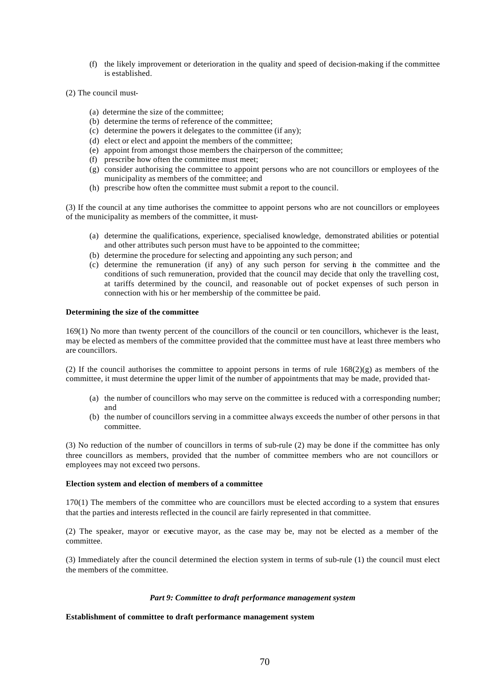- (f) the likely improvement or deterioration in the quality and speed of decision-making if the committee is established.
- (2) The council must-
	- (a) determine the size of the committee;
	- (b) determine the terms of reference of the committee;
	- (c) determine the powers it delegates to the committee (if any);
	- (d) elect or elect and appoint the members of the committee;
	- (e) appoint from amongst those members the chairperson of the committee;
	- (f) prescribe how often the committee must meet;
	- (g) consider authorising the committee to appoint persons who are not councillors or employees of the municipality as members of the committee; and
	- (h) prescribe how often the committee must submit a report to the council.

(3) If the council at any time authorises the committee to appoint persons who are not councillors or employees of the municipality as members of the committee, it must-

- (a) determine the qualifications, experience, specialised knowledge, demonstrated abilities or potential and other attributes such person must have to be appointed to the committee;
- (b) determine the procedure for selecting and appointing any such person; and
- (c) determine the remuneration (if any) of any such person for serving in the committee and the conditions of such remuneration, provided that the council may decide that only the travelling cost, at tariffs determined by the council, and reasonable out of pocket expenses of such person in connection with his or her membership of the committee be paid.

## **Determining the size of the committee**

169(1) No more than twenty percent of the councillors of the council or ten councillors, whichever is the least, may be elected as members of the committee provided that the committee must have at least three members who are councillors.

(2) If the council authorises the committee to appoint persons in terms of rule  $168(2)(g)$  as members of the committee, it must determine the upper limit of the number of appointments that may be made, provided that-

- (a) the number of councillors who may serve on the committee is reduced with a corresponding number; and
- (b) the number of councillors serving in a committee always exceeds the number of other persons in that committee.

(3) No reduction of the number of councillors in terms of sub-rule (2) may be done if the committee has only three councillors as members, provided that the number of committee members who are not councillors or employees may not exceed two persons.

#### **Election system and election of members of a committee**

170(1) The members of the committee who are councillors must be elected according to a system that ensures that the parties and interests reflected in the council are fairly represented in that committee.

(2) The speaker, mayor or executive mayor, as the case may be, may not be elected as a member of the committee.

(3) Immediately after the council determined the election system in terms of sub-rule (1) the council must elect the members of the committee.

#### *Part 9: Committee to draft performance management system*

#### **Establishment of committee to draft performance management system**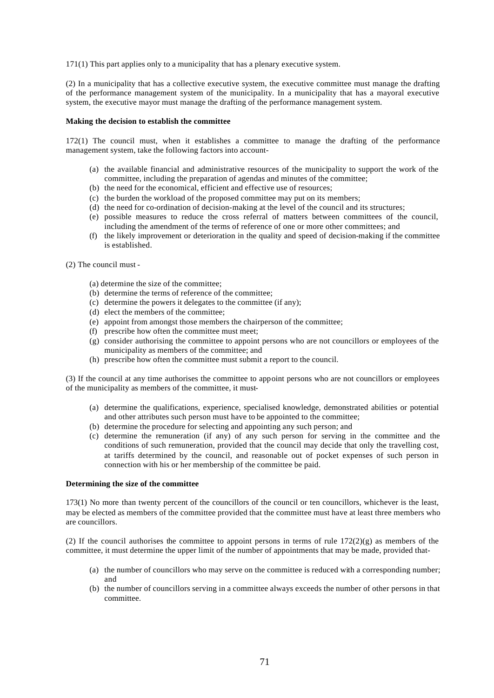171(1) This part applies only to a municipality that has a plenary executive system.

(2) In a municipality that has a collective executive system, the executive committee must manage the drafting of the performance management system of the municipality. In a municipality that has a mayoral executive system, the executive mayor must manage the drafting of the performance management system.

### **Making the decision to establish the committee**

172(1) The council must, when it establishes a committee to manage the drafting of the performance management system, take the following factors into account-

- (a) the available financial and administrative resources of the municipality to support the work of the committee, including the preparation of agendas and minutes of the committee;
- (b) the need for the economical, efficient and effective use of resources;
- (c) the burden the workload of the proposed committee may put on its members;
- (d) the need for co-ordination of decision-making at the level of the council and its structures;
- (e) possible measures to reduce the cross referral of matters between committees of the council, including the amendment of the terms of reference of one or more other committees; and
- (f) the likely improvement or deterioration in the quality and speed of decision-making if the committee is established.

(2) The council must -

- (a) determine the size of the committee;
- (b) determine the terms of reference of the committee;
- (c) determine the powers it delegates to the committee (if any);
- (d) elect the members of the committee;
- (e) appoint from amongst those members the chairperson of the committee;
- (f) prescribe how often the committee must meet;
- (g) consider authorising the committee to appoint persons who are not councillors or employees of the municipality as members of the committee; and
- (h) prescribe how often the committee must submit a report to the council.

(3) If the council at any time authorises the committee to appoint persons who are not councillors or employees of the municipality as members of the committee, it must-

- (a) determine the qualifications, experience, specialised knowledge, demonstrated abilities or potential and other attributes such person must have to be appointed to the committee;
- (b) determine the procedure for selecting and appointing any such person; and
- (c) determine the remuneration (if any) of any such person for serving in the committee and the conditions of such remuneration, provided that the council may decide that only the travelling cost, at tariffs determined by the council, and reasonable out of pocket expenses of such person in connection with his or her membership of the committee be paid.

### **Determining the size of the committee**

173(1) No more than twenty percent of the councillors of the council or ten councillors, whichever is the least, may be elected as members of the committee provided that the committee must have at least three members who are councillors.

(2) If the council authorises the committee to appoint persons in terms of rule  $172(2)(g)$  as members of the committee, it must determine the upper limit of the number of appointments that may be made, provided that-

- (a) the number of councillors who may serve on the committee is reduced with a corresponding number; and
- (b) the number of councillors serving in a committee always exceeds the number of other persons in that committee.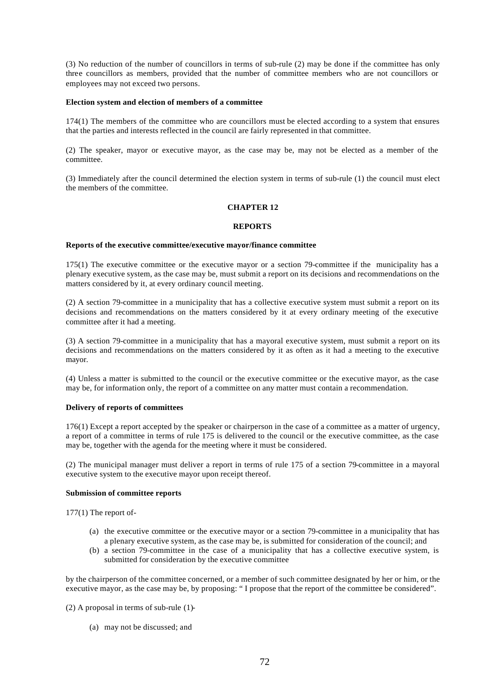(3) No reduction of the number of councillors in terms of sub-rule (2) may be done if the committee has only three councillors as members, provided that the number of committee members who are not councillors or employees may not exceed two persons.

#### **Election system and election of members of a committee**

174(1) The members of the committee who are councillors must be elected according to a system that ensures that the parties and interests reflected in the council are fairly represented in that committee.

(2) The speaker, mayor or executive mayor, as the case may be, may not be elected as a member of the committee.

(3) Immediately after the council determined the election system in terms of sub-rule (1) the council must elect the members of the committee.

# **CHAPTER 12**

#### **REPORTS**

#### **Reports of the executive committee/executive mayor/finance committee**

175(1) The executive committee or the executive mayor or a section 79-committee if the municipality has a plenary executive system, as the case may be, must submit a report on its decisions and recommendations on the matters considered by it, at every ordinary council meeting.

(2) A section 79-committee in a municipality that has a collective executive system must submit a report on its decisions and recommendations on the matters considered by it at every ordinary meeting of the executive committee after it had a meeting.

(3) A section 79-committee in a municipality that has a mayoral executive system, must submit a report on its decisions and recommendations on the matters considered by it as often as it had a meeting to the executive mayor.

(4) Unless a matter is submitted to the council or the executive committee or the executive mayor, as the case may be, for information only, the report of a committee on any matter must contain a recommendation.

## **Delivery of reports of committees**

176(1) Except a report accepted by the speaker or chairperson in the case of a committee as a matter of urgency, a report of a committee in terms of rule 175 is delivered to the council or the executive committee, as the case may be, together with the agenda for the meeting where it must be considered.

(2) The municipal manager must deliver a report in terms of rule 175 of a section 79-committee in a mayoral executive system to the executive mayor upon receipt thereof.

# **Submission of committee reports**

177(1) The report of-

- (a) the executive committee or the executive mayor or a section 79-committee in a municipality that has a plenary executive system, as the case may be, is submitted for consideration of the council; and
- (b) a section 79-committee in the case of a municipality that has a collective executive system, is submitted for consideration by the executive committee

by the chairperson of the committee concerned, or a member of such committee designated by her or him, or the executive mayor, as the case may be, by proposing: " I propose that the report of the committee be considered".

- (2) A proposal in terms of sub-rule (1)-
	- (a) may not be discussed; and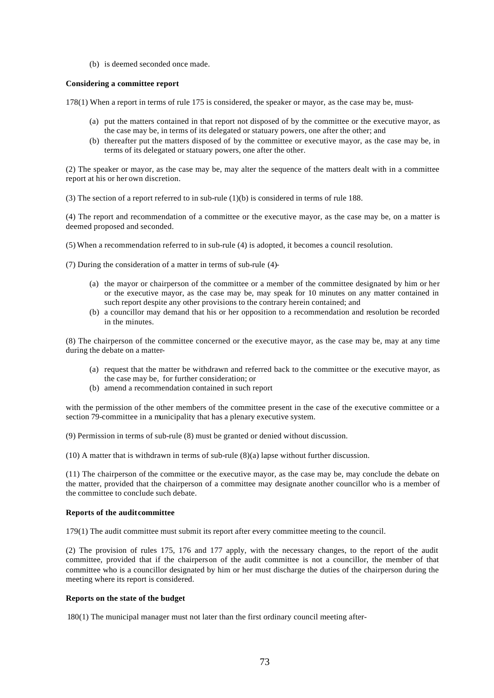(b) is deemed seconded once made.

### **Considering a committee report**

178(1) When a report in terms of rule 175 is considered, the speaker or mayor, as the case may be, must-

- (a) put the matters contained in that report not disposed of by the committee or the executive mayor, as the case may be, in terms of its delegated or statuary powers, one after the other; and
- (b) thereafter put the matters disposed of by the committee or executive mayor, as the case may be, in terms of its delegated or statuary powers, one after the other.

(2) The speaker or mayor, as the case may be, may alter the sequence of the matters dealt with in a committee report at his or her own discretion.

(3) The section of a report referred to in sub-rule (1)(b) is considered in terms of rule 188.

(4) The report and recommendation of a committee or the executive mayor, as the case may be, on a matter is deemed proposed and seconded.

(5) When a recommendation referred to in sub-rule (4) is adopted, it becomes a council resolution.

(7) During the consideration of a matter in terms of sub-rule (4)-

- (a) the mayor or chairperson of the committee or a member of the committee designated by him or her or the executive mayor, as the case may be, may speak for 10 minutes on any matter contained in such report despite any other provisions to the contrary herein contained; and
- (b) a councillor may demand that his or her opposition to a recommendation and resolution be recorded in the minutes.

(8) The chairperson of the committee concerned or the executive mayor, as the case may be, may at any time during the debate on a matter-

- (a) request that the matter be withdrawn and referred back to the committee or the executive mayor, as the case may be, for further consideration; or
- (b) amend a recommendation contained in such report

with the permission of the other members of the committee present in the case of the executive committee or a section 79-committee in a municipality that has a plenary executive system.

(9) Permission in terms of sub-rule (8) must be granted or denied without discussion.

(10) A matter that is withdrawn in terms of sub-rule (8)(a) lapse without further discussion.

(11) The chairperson of the committee or the executive mayor, as the case may be, may conclude the debate on the matter, provided that the chairperson of a committee may designate another councillor who is a member of the committee to conclude such debate.

# **Reports of the audit committee**

179(1) The audit committee must submit its report after every committee meeting to the council.

(2) The provision of rules 175, 176 and 177 apply, with the necessary changes, to the report of the audit committee, provided that if the chairperson of the audit committee is not a councillor, the member of that committee who is a councillor designated by him or her must discharge the duties of the chairperson during the meeting where its report is considered.

#### **Reports on the state of the budget**

180(1) The municipal manager must not later than the first ordinary council meeting after-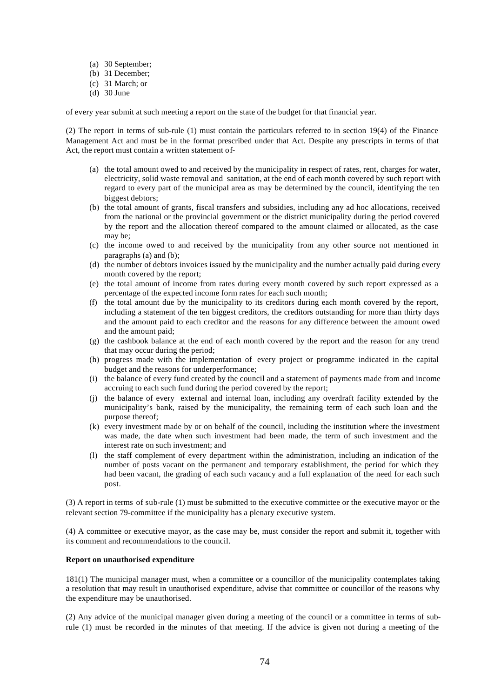- (a) 30 September;
- (b) 31 December;
- (c) 31 March; or
- (d) 30 June

of every year submit at such meeting a report on the state of the budget for that financial year.

(2) The report in terms of sub-rule (1) must contain the particulars referred to in section 19(4) of the Finance Management Act and must be in the format prescribed under that Act. Despite any prescripts in terms of that Act, the report must contain a written statement of-

- (a) the total amount owed to and received by the municipality in respect of rates, rent, charges for water, electricity, solid waste removal and sanitation, at the end of each month covered by such report with regard to every part of the municipal area as may be determined by the council, identifying the ten biggest debtors;
- (b) the total amount of grants, fiscal transfers and subsidies, including any ad hoc allocations, received from the national or the provincial government or the district municipality during the period covered by the report and the allocation thereof compared to the amount claimed or allocated, as the case may be;
- (c) the income owed to and received by the municipality from any other source not mentioned in paragraphs (a) and (b);
- (d) the number of debtors invoices issued by the municipality and the number actually paid during every month covered by the report;
- (e) the total amount of income from rates during every month covered by such report expressed as a percentage of the expected income form rates for each such month;
- (f) the total amount due by the municipality to its creditors during each month covered by the report, including a statement of the ten biggest creditors, the creditors outstanding for more than thirty days and the amount paid to each creditor and the reasons for any difference between the amount owed and the amount paid;
- (g) the cashbook balance at the end of each month covered by the report and the reason for any trend that may occur during the period;
- (h) progress made with the implementation of every project or programme indicated in the capital budget and the reasons for underperformance;
- (i) the balance of every fund created by the council and a statement of payments made from and income accruing to each such fund during the period covered by the report;
- (j) the balance of every external and internal loan, including any overdraft facility extended by the municipality's bank, raised by the municipality, the remaining term of each such loan and the purpose thereof;
- (k) every investment made by or on behalf of the council, including the institution where the investment was made, the date when such investment had been made, the term of such investment and the interest rate on such investment; and
- (l) the staff complement of every department within the administration, including an indication of the number of posts vacant on the permanent and temporary establishment, the period for which they had been vacant, the grading of each such vacancy and a full explanation of the need for each such post.

(3) A report in terms of sub-rule (1) must be submitted to the executive committee or the executive mayor or the relevant section 79-committee if the municipality has a plenary executive system.

(4) A committee or executive mayor, as the case may be, must consider the report and submit it, together with its comment and recommendations to the council.

## **Report on unauthorised expenditure**

181(1) The municipal manager must, when a committee or a councillor of the municipality contemplates taking a resolution that may result in unauthorised expenditure, advise that committee or councillor of the reasons why the expenditure may be unauthorised.

(2) Any advice of the municipal manager given during a meeting of the council or a committee in terms of subrule (1) must be recorded in the minutes of that meeting. If the advice is given not during a meeting of the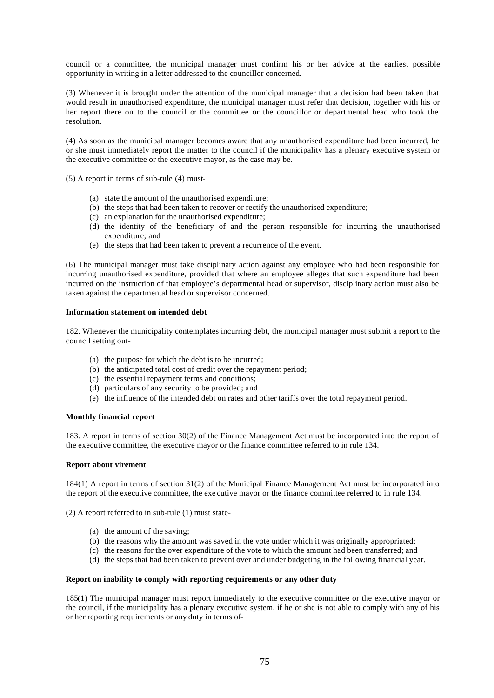council or a committee, the municipal manager must confirm his or her advice at the earliest possible opportunity in writing in a letter addressed to the councillor concerned.

(3) Whenever it is brought under the attention of the municipal manager that a decision had been taken that would result in unauthorised expenditure, the municipal manager must refer that decision, together with his or her report there on to the council  $\alpha$  the committee or the councillor or departmental head who took the resolution.

(4) As soon as the municipal manager becomes aware that any unauthorised expenditure had been incurred, he or she must immediately report the matter to the council if the municipality has a plenary executive system or the executive committee or the executive mayor, as the case may be.

(5) A report in terms of sub-rule (4) must-

- (a) state the amount of the unauthorised expenditure;
- (b) the steps that had been taken to recover or rectify the unauthorised expenditure;
- (c) an explanation for the unauthorised expenditure;
- (d) the identity of the beneficiary of and the person responsible for incurring the unauthorised expenditure; and
- (e) the steps that had been taken to prevent a recurrence of the event.

(6) The municipal manager must take disciplinary action against any employee who had been responsible for incurring unauthorised expenditure, provided that where an employee alleges that such expenditure had been incurred on the instruction of that employee's departmental head or supervisor, disciplinary action must also be taken against the departmental head or supervisor concerned.

## **Information statement on intended debt**

182. Whenever the municipality contemplates incurring debt, the municipal manager must submit a report to the council setting out-

- (a) the purpose for which the debt is to be incurred;
- (b) the anticipated total cost of credit over the repayment period;
- (c) the essential repayment terms and conditions;
- (d) particulars of any security to be provided; and
- (e) the influence of the intended debt on rates and other tariffs over the total repayment period.

## **Monthly financial report**

183. A report in terms of section 30(2) of the Finance Management Act must be incorporated into the report of the executive committee, the executive mayor or the finance committee referred to in rule 134.

#### **Report about virement**

184(1) A report in terms of section 31(2) of the Municipal Finance Management Act must be incorporated into the report of the executive committee, the exe cutive mayor or the finance committee referred to in rule 134.

(2) A report referred to in sub-rule (1) must state-

- (a) the amount of the saving;
- (b) the reasons why the amount was saved in the vote under which it was originally appropriated;
- (c) the reasons for the over expenditure of the vote to which the amount had been transferred; and
- (d) the steps that had been taken to prevent over and under budgeting in the following financial year.

### **Report on inability to comply with reporting requirements or any other duty**

185(1) The municipal manager must report immediately to the executive committee or the executive mayor or the council, if the municipality has a plenary executive system, if he or she is not able to comply with any of his or her reporting requirements or any duty in terms of-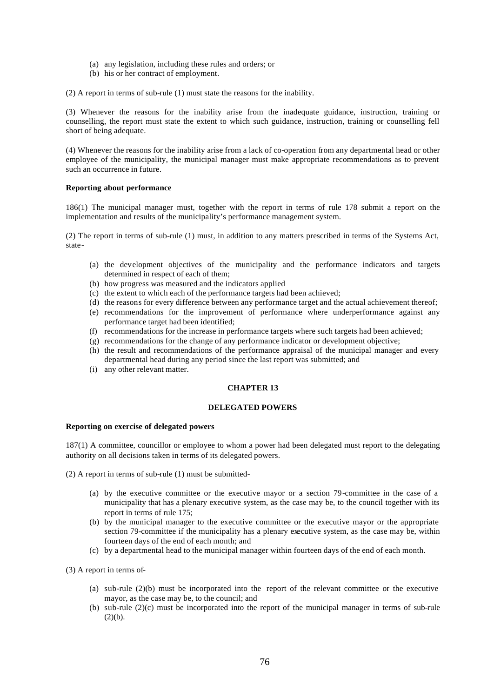- (a) any legislation, including these rules and orders; or
- (b) his or her contract of employment.

(2) A report in terms of sub-rule (1) must state the reasons for the inability.

(3) Whenever the reasons for the inability arise from the inadequate guidance, instruction, training or counselling, the report must state the extent to which such guidance, instruction, training or counselling fell short of being adequate.

(4) Whenever the reasons for the inability arise from a lack of co-operation from any departmental head or other employee of the municipality, the municipal manager must make appropriate recommendations as to prevent such an occurrence in future.

### **Reporting about performance**

186(1) The municipal manager must, together with the report in terms of rule 178 submit a report on the implementation and results of the municipality's performance management system.

(2) The report in terms of sub-rule (1) must, in addition to any matters prescribed in terms of the Systems Act, state-

- (a) the development objectives of the municipality and the performance indicators and targets determined in respect of each of them;
- (b) how progress was measured and the indicators applied
- (c) the extent to which each of the performance targets had been achieved;
- (d) the reasons for every difference between any performance target and the actual achievement thereof;
- (e) recommendations for the improvement of performance where underperformance against any performance target had been identified;
- (f) recommendations for the increase in performance targets where such targets had been achieved;
- (g) recommendations for the change of any performance indicator or development objective;
- (h) the result and recommendations of the performance appraisal of the municipal manager and every departmental head during any period since the last report was submitted; and
- (i) any other relevant matter.

### **CHAPTER 13**

### **DELEGATED POWERS**

#### **Reporting on exercise of delegated powers**

187(1) A committee, councillor or employee to whom a power had been delegated must report to the delegating authority on all decisions taken in terms of its delegated powers.

(2) A report in terms of sub-rule (1) must be submitted-

- (a) by the executive committee or the executive mayor or a section 79-committee in the case of a municipality that has a plenary executive system, as the case may be, to the council together with its report in terms of rule 175;
- (b) by the municipal manager to the executive committee or the executive mayor or the appropriate section 79-committee if the municipality has a plenary executive system, as the case may be, within fourteen days of the end of each month; and
- (c) by a departmental head to the municipal manager within fourteen days of the end of each month.

(3) A report in terms of-

- (a) sub-rule (2)(b) must be incorporated into the report of the relevant committee or the executive mayor, as the case may be, to the council; and
- (b) sub-rule (2)(c) must be incorporated into the report of the municipal manager in terms of sub-rule  $(2)(b)$ .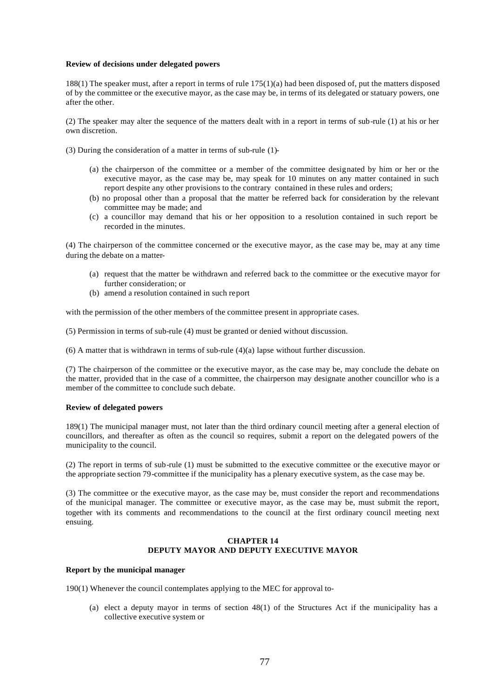### **Review of decisions under delegated powers**

188(1) The speaker must, after a report in terms of rule 175(1)(a) had been disposed of, put the matters disposed of by the committee or the executive mayor, as the case may be, in terms of its delegated or statuary powers, one after the other.

(2) The speaker may alter the sequence of the matters dealt with in a report in terms of sub-rule (1) at his or her own discretion.

(3) During the consideration of a matter in terms of sub-rule (1)-

- (a) the chairperson of the committee or a member of the committee designated by him or her or the executive mayor, as the case may be, may speak for 10 minutes on any matter contained in such report despite any other provisions to the contrary contained in these rules and orders;
- (b) no proposal other than a proposal that the matter be referred back for consideration by the relevant committee may be made; and
- (c) a councillor may demand that his or her opposition to a resolution contained in such report be recorded in the minutes.

(4) The chairperson of the committee concerned or the executive mayor, as the case may be, may at any time during the debate on a matter-

- (a) request that the matter be withdrawn and referred back to the committee or the executive mayor for further consideration; or
- (b) amend a resolution contained in such report

with the permission of the other members of the committee present in appropriate cases.

(5) Permission in terms of sub-rule (4) must be granted or denied without discussion.

(6) A matter that is withdrawn in terms of sub-rule (4)(a) lapse without further discussion.

(7) The chairperson of the committee or the executive mayor, as the case may be, may conclude the debate on the matter, provided that in the case of a committee, the chairperson may designate another councillor who is a member of the committee to conclude such debate.

## **Review of delegated powers**

189(1) The municipal manager must, not later than the third ordinary council meeting after a general election of councillors, and thereafter as often as the council so requires, submit a report on the delegated powers of the municipality to the council.

(2) The report in terms of sub-rule (1) must be submitted to the executive committee or the executive mayor or the appropriate section 79-committee if the municipality has a plenary executive system, as the case may be.

(3) The committee or the executive mayor, as the case may be, must consider the report and recommendations of the municipal manager. The committee or executive mayor, as the case may be, must submit the report, together with its comments and recommendations to the council at the first ordinary council meeting next ensuing.

# **CHAPTER 14 DEPUTY MAYOR AND DEPUTY EXECUTIVE MAYOR**

## **Report by the municipal manager**

190(1) Whenever the council contemplates applying to the MEC for approval to-

(a) elect a deputy mayor in terms of section 48(1) of the Structures Act if the municipality has a collective executive system or